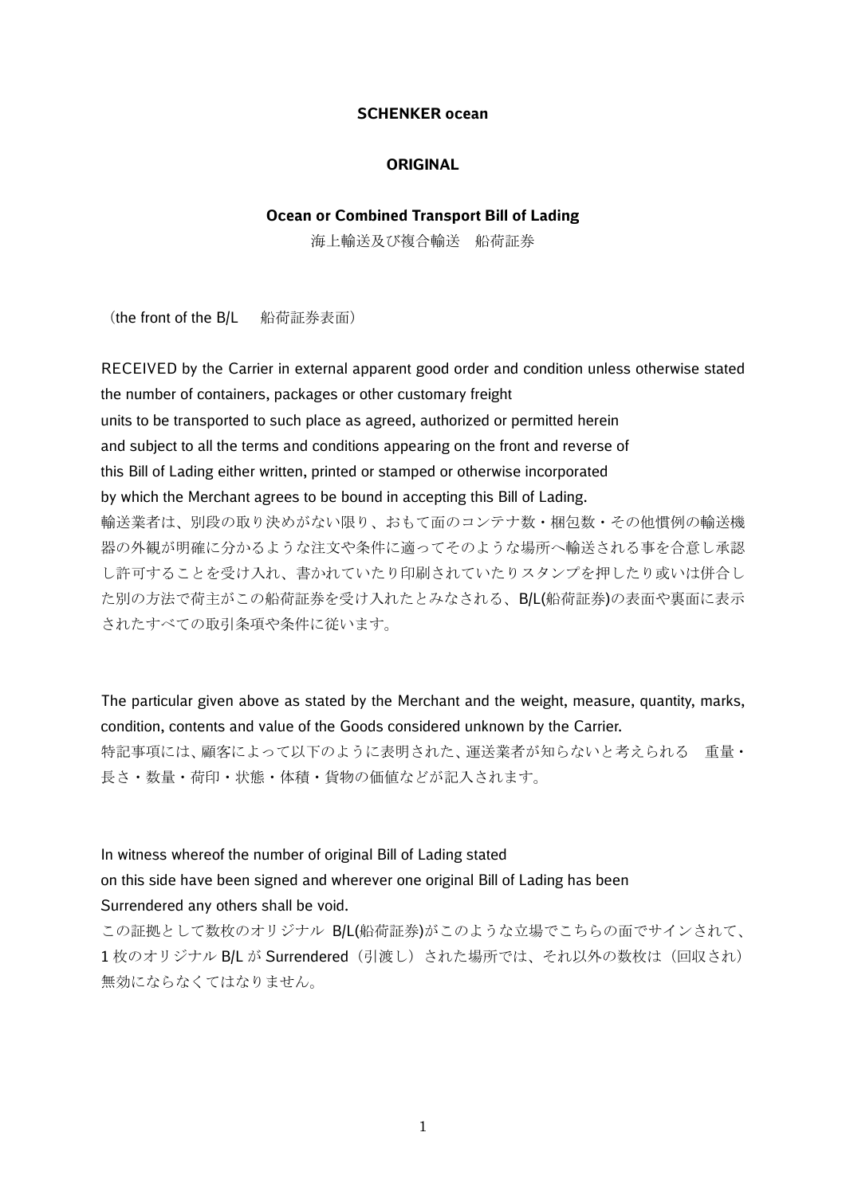#### **SCHENKER ocean**

#### **ORIGINAL**

## **Ocean or Combined Transport Bill of Lading**

海上輸送及び複合輸送 船荷証券

(the front of the B/L 船荷証券表面)

RECEIVED by the Carrier in external apparent good order and condition unless otherwise stated the number of containers, packages or other customary freight units to be transported to such place as agreed, authorized or permitted herein and subject to all the terms and conditions appearing on the front and reverse of this Bill of Lading either written, printed or stamped or otherwise incorporated by which the Merchant agrees to be bound in accepting this Bill of Lading. 輸送業者は、別段の取り決めがない限り、おもて面のコンテナ数・梱包数・その他慣例の輸送機 器の外観が明確に分かるような注文や条件に適ってそのような場所へ輸送される事を合意し承認 し許可することを受け入れ、書かれていたり印刷されていたりスタンプを押したり或いは併合し た別の方法で荷主がこの船荷証券を受け入れたとみなされる、B/L(船荷証券)の表面や裏面に表示 されたすべての取引条項や条件に従います。

The particular given above as stated by the Merchant and the weight, measure, quantity, marks, condition, contents and value of the Goods considered unknown by the Carrier. 特記事項には、顧客によって以下のように表明された、運送業者が知らないと考えられる 重量・ 長さ・数量・荷印・状態・体積・貨物の価値などが記入されます。

In witness whereof the number of original Bill of Lading stated on this side have been signed and wherever one original Bill of Lading has been Surrendered any others shall be void.

この証拠として数枚のオリジナル B/L(船荷証券)がこのような立場でこちらの面でサインされて、 1枚のオリジナル B/L が Surrendered (引渡し)された場所では、それ以外の数枚は(回収され) 無効にならなくてはなりません。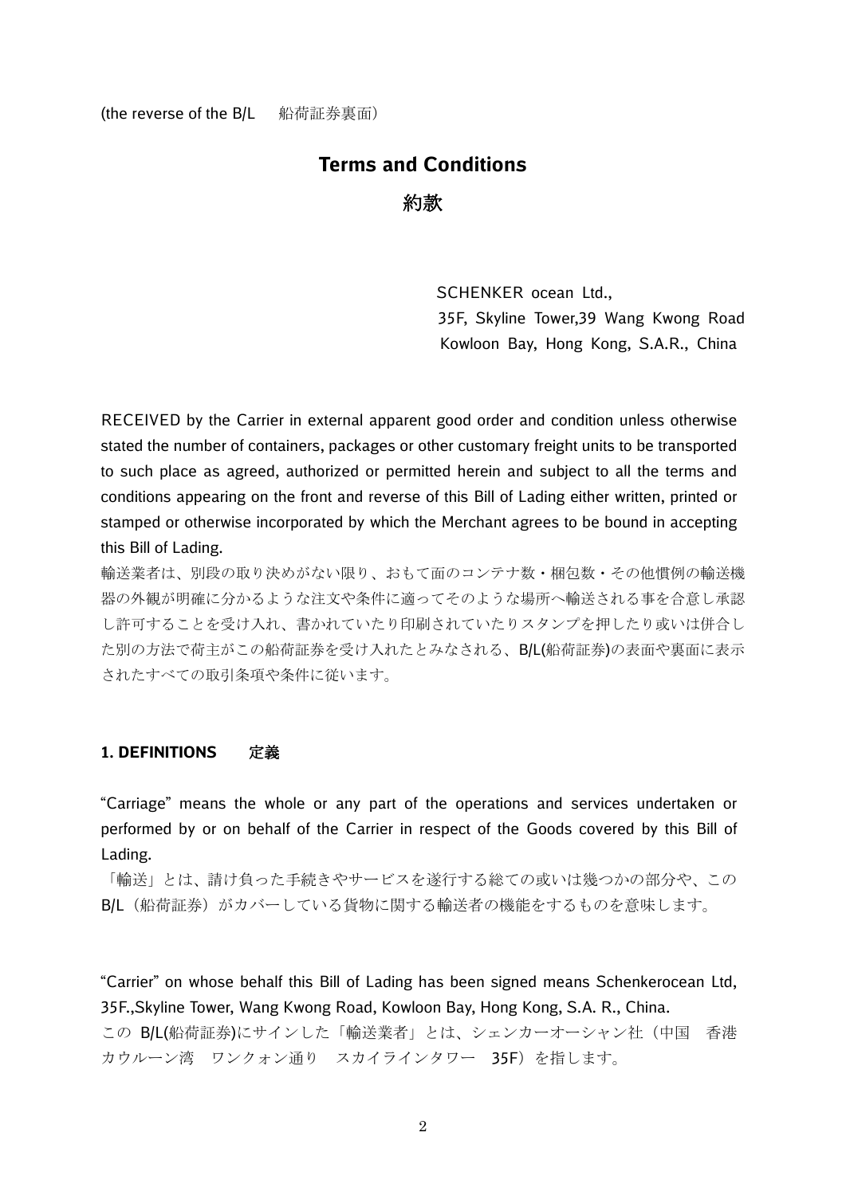# **Terms and Conditions** 約款

SCHENKER ocean Ltd., 35F, Skyline Tower,39 Wang Kwong Road Kowloon Bay, Hong Kong, S.A.R., China

RECEIVED by the Carrier in external apparent good order and condition unless otherwise stated the number of containers, packages or other customary freight units to be transported to such place as agreed, authorized or permitted herein and subject to all the terms and conditions appearing on the front and reverse of this Bill of Lading either written, printed or stamped or otherwise incorporated by which the Merchant agrees to be bound in accepting this Bill of Lading.

輸送業者は、別段の取り決めがない限り、おもて面のコンテナ数・梱包数・その他慣例の輸送機 器の外観が明確に分かるような注文や条件に適ってそのような場所へ輸送される事を合意し承認 し許可することを受け入れ、書かれていたり印刷されていたりスタンプを押したり或いは併合し た別の方法で荷主がこの船荷証券を受け入れたとみなされる、B/L(船荷証券)の表面や裏面に表示 されたすべての取引条項や条件に従います。

## **1. DEFINITIONS** 定義

"Carriage" means the whole or any part of the operations and services undertaken or performed by or on behalf of the Carrier in respect of the Goods covered by this Bill of Lading.

「輸送」とは、請け負った手続きやサービスを遂行する総ての或いは幾つかの部分や、この B/L (船荷証券) がカバーしている貨物に関する輸送者の機能をするものを意味します。

"Carrier" on whose behalf this Bill of Lading has been signed means Schenkerocean Ltd, 35F.,Skyline Tower, Wang Kwong Road, Kowloon Bay, Hong Kong, S.A. R., China. この B/L(船荷証券)にサインした「輸送業者」とは、シェンカーオーシャン社(中国 香港 カウルーン湾 ワンクォン通り スカイラインタワー 35F) を指します。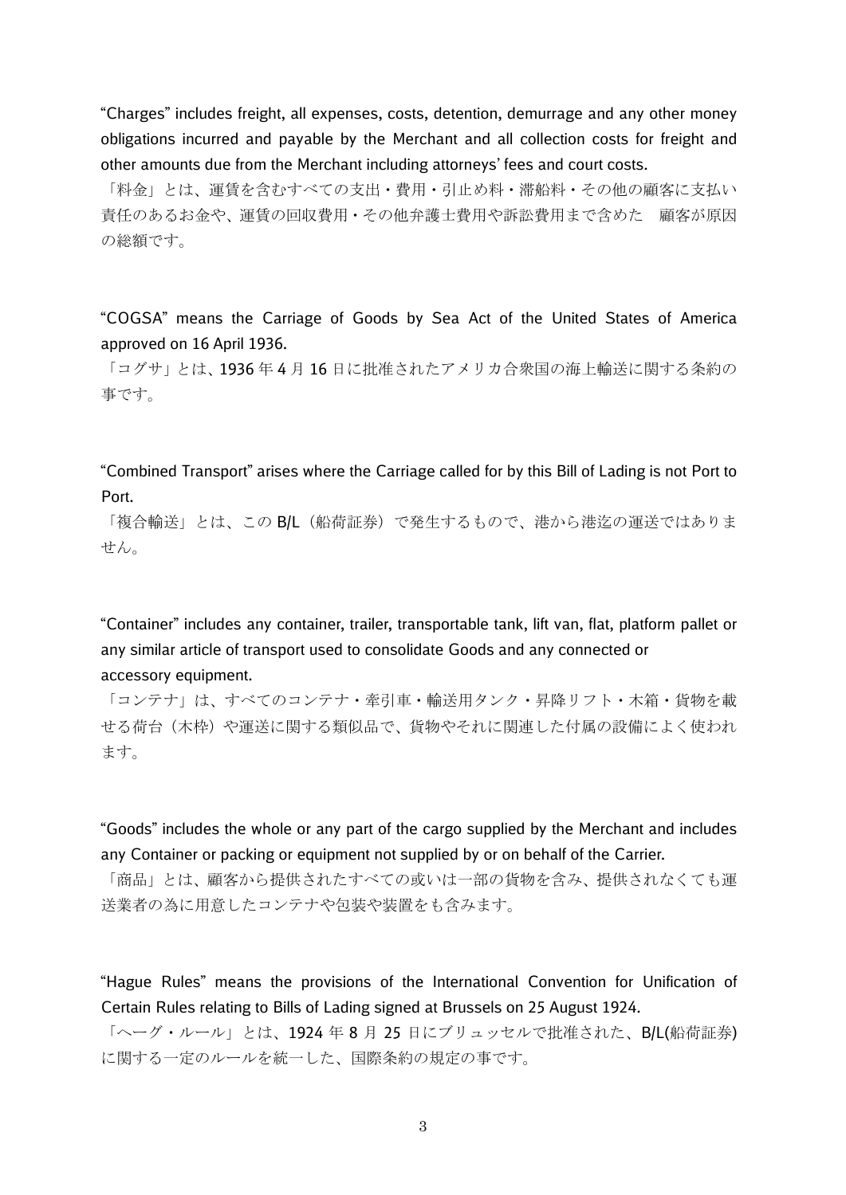"Charges" includes freight, all expenses, costs, detention, demurrage and any other money obligations incurred and payable by the Merchant and all collection costs for freight and other amounts due from the Merchant including attorneys' fees and court costs.

「料金」とは、運賃を含むすべての支出・費用・引止め料・滞船料・その他の顧客に支払い 責任のあるお金や、運賃の回収費用・その他弁護士費用や訴訟費用まで含めた 顧客が原因 の総額です。

"COGSA" means the Carriage of Goods by Sea Act of the United States of America approved on 16 April 1936.

「コグサ」とは、1936年4月16日に批准されたアメリカ合衆国の海上輸送に関する条約の 事です。

"Combined Transport" arises where the Carriage called for by this Bill of Lading is not Port to Port.

「複合輸送」とは、この B/L (船荷証券) で発生するもので、港から港迄の運送ではありま せん。

"Container" includes any container, trailer, transportable tank, lift van, flat, platform pallet or any similar article of transport used to consolidate Goods and any connected or accessory equipment.

「コンテナ」は、すべてのコンテナ・牽引車・輸送用タンク・昇降リフト・木箱・貨物を載 せる荷台(木枠)や運送に関する類似品で、貨物やそれに関連した付属の設備によく使われ ます。

"Goods" includes the whole or any part of the cargo supplied by the Merchant and includes any Container or packing or equipment not supplied by or on behalf of the Carrier.

「商品」とは、顧客から提供されたすべての或いは一部の貨物を含み、提供されなくても運 送業者の為に用意したコンテナや包装や装置をも含みます。

"Hague Rules" means the provisions of the International Convention for Unification of Certain Rules relating to Bills of Lading signed at Brussels on 25 August 1924.

「ヘーグ・ルール」とは、1924年8月25日にブリュッセルで批准された、B/L(船荷証券) に関する一定のルールを統一した、国際条約の規定の事です。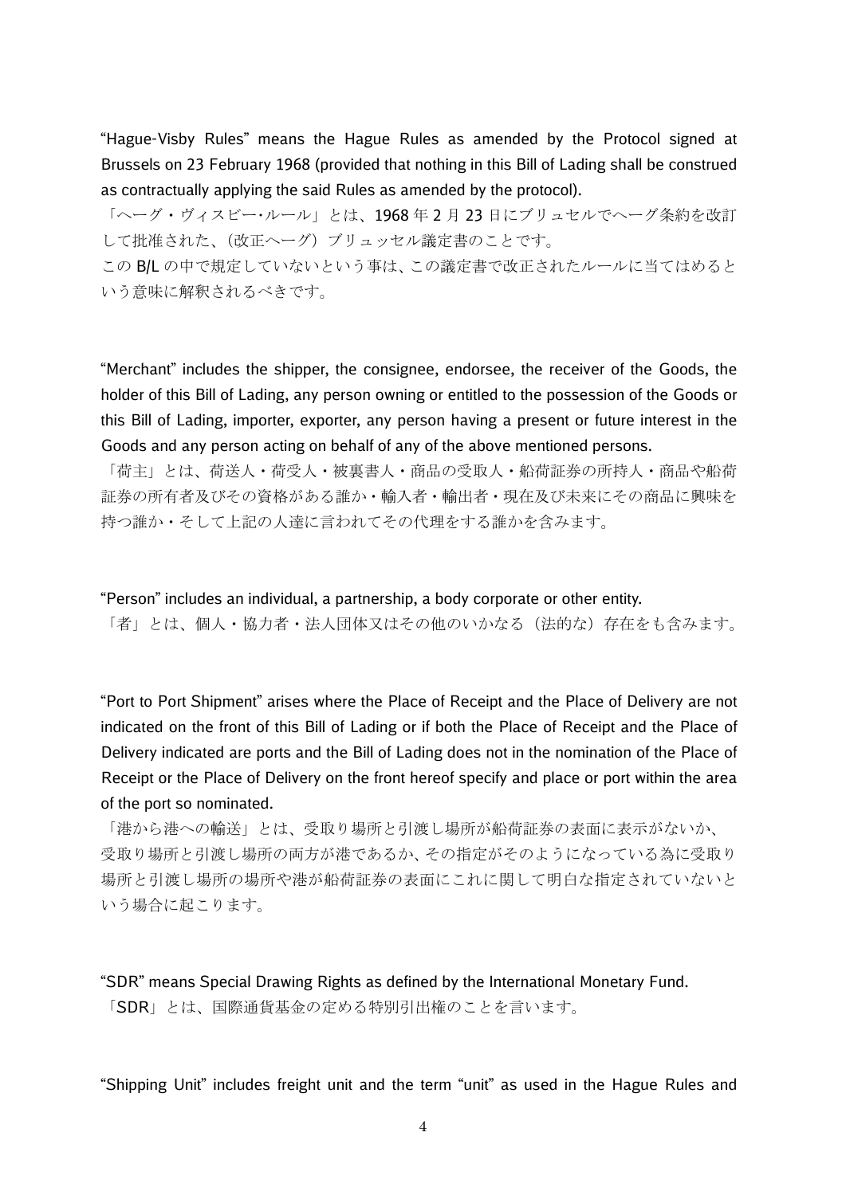"Hague-Visby Rules" means the Hague Rules as amended by the Protocol signed at Brussels on 23 February 1968 (provided that nothing in this Bill of Lading shall be construed as contractually applying the said Rules as amended by the protocol).

「ヘーグ・ヴィスビー・ルール」とは、1968 年 2 月 23 日にブリュセルでヘーグ条約を改訂 して批准された、(改正ヘーグ)ブリュッセル議定書のことです。

この B/L の中で規定していないという事は、この議定書で改正されたルールに当てはめると いう意味に解釈されるべきです。

"Merchant" includes the shipper, the consignee, endorsee, the receiver of the Goods, the holder of this Bill of Lading, any person owning or entitled to the possession of the Goods or this Bill of Lading, importer, exporter, any person having a present or future interest in the Goods and any person acting on behalf of any of the above mentioned persons.

「荷主」とは、荷送人・荷受人・被裏書人・商品の受取人・船荷証券の所持人・商品や船荷 証券の所有者及びその資格がある誰か・輸入者・輸出者・現在及び未来にその商品に興味を 持つ誰か・そして上記の人達に言われてその代理をする誰かを含みます。

"Person" includes an individual, a partnership, a body corporate or other entity. 「者」とは、個人・協力者・法人団体又はその他のいかなる(法的な)存在をも含みます。

"Port to Port Shipment" arises where the Place of Receipt and the Place of Delivery are not indicated on the front of this Bill of Lading or if both the Place of Receipt and the Place of Delivery indicated are ports and the Bill of Lading does not in the nomination of the Place of Receipt or the Place of Delivery on the front hereof specify and place or port within the area of the port so nominated.

「港から港への輸送」とは、受取り場所と引渡し場所が船荷証券の表面に表示がないか、 受取り場所と引渡し場所の両方が港であるか、その指定がそのようになっている為に受取り 場所と引渡し場所の場所や港が船荷証券の表面にこれに関して明白な指定されていないと いう場合に起こります。

"SDR" means Special Drawing Rights as defined by the International Monetary Fund. 「SDR」とは、国際通貨基金の定める特別引出権のことを言います。

"Shipping Unit" includes freight unit and the term "unit" as used in the Hague Rules and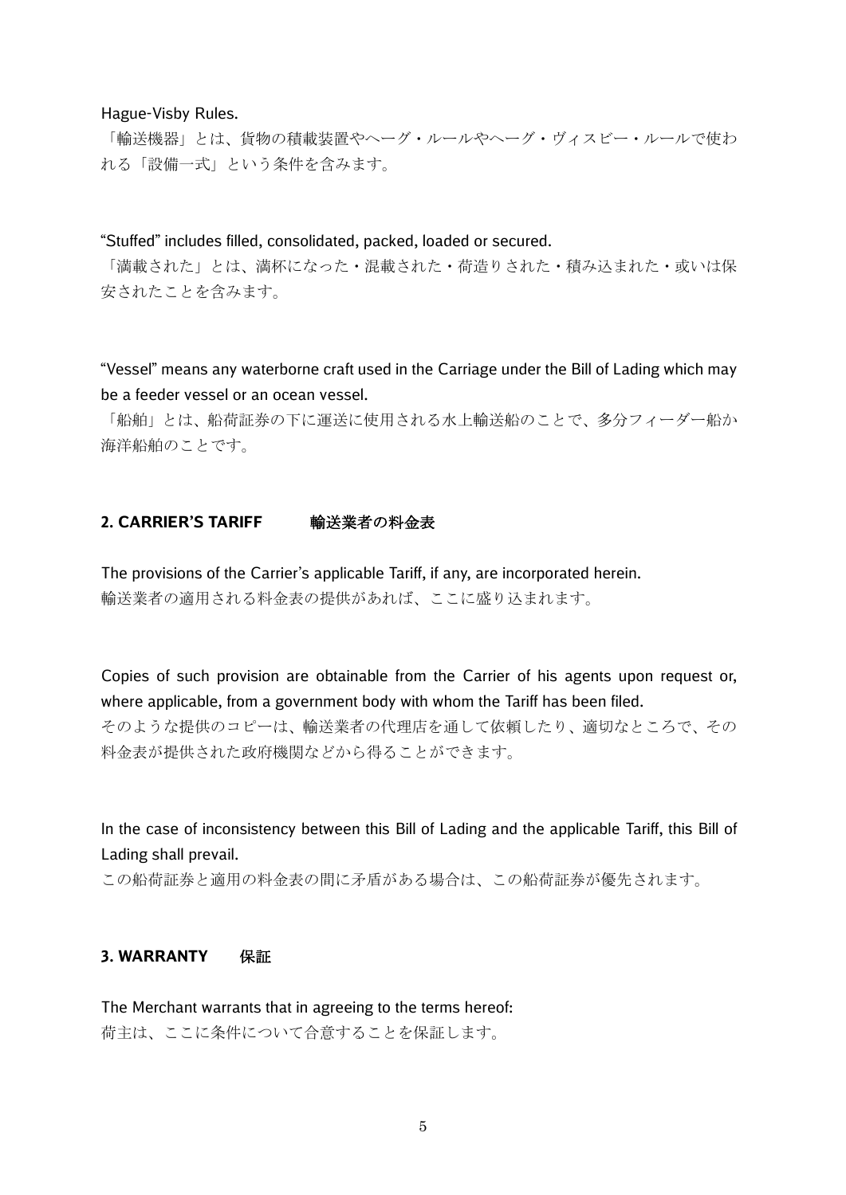#### Hague-Visby Rules.

「輸送機器」とは、貨物の積載装置やヘーグ・ルールやヘーグ・ヴィスビー・ルールで使わ れる「設備一式」という条件を含みます。

"Stuffed" includes filled, consolidated, packed, loaded or secured.

「満載された」とは、満杯になった・混載された・荷造りされた・積み込まれた・或いは保 安されたことを含みます。

"Vessel" means any waterborne craft used in the Carriage under the Bill of Lading which may be a feeder vessel or an ocean vessel.

「船舶」とは、船荷証券の下に運送に使用される水上輸送船のことで、多分フィーダー船か 海洋船舶のことです。

## **2. CARRIER'S TARIFF** 輸送業者の料金表

The provisions of the Carrier's applicable Tariff, if any, are incorporated herein. 輸送業者の適用される料金表の提供があれば、ここに盛り込まれます。

Copies of such provision are obtainable from the Carrier of his agents upon request or, where applicable, from a government body with whom the Tariff has been filed. そのような提供のコピーは、輸送業者の代理店を通して依頼したり、適切なところで、その 料金表が提供された政府機関などから得ることができます。

In the case of inconsistency between this Bill of Lading and the applicable Tariff, this Bill of Lading shall prevail.

この船荷証券と適用の料金表の間に矛盾がある場合は、この船荷証券が優先されます。

## **3. WARRANTY** 保証

The Merchant warrants that in agreeing to the terms hereof: 荷主は、ここに条件について合意することを保証します。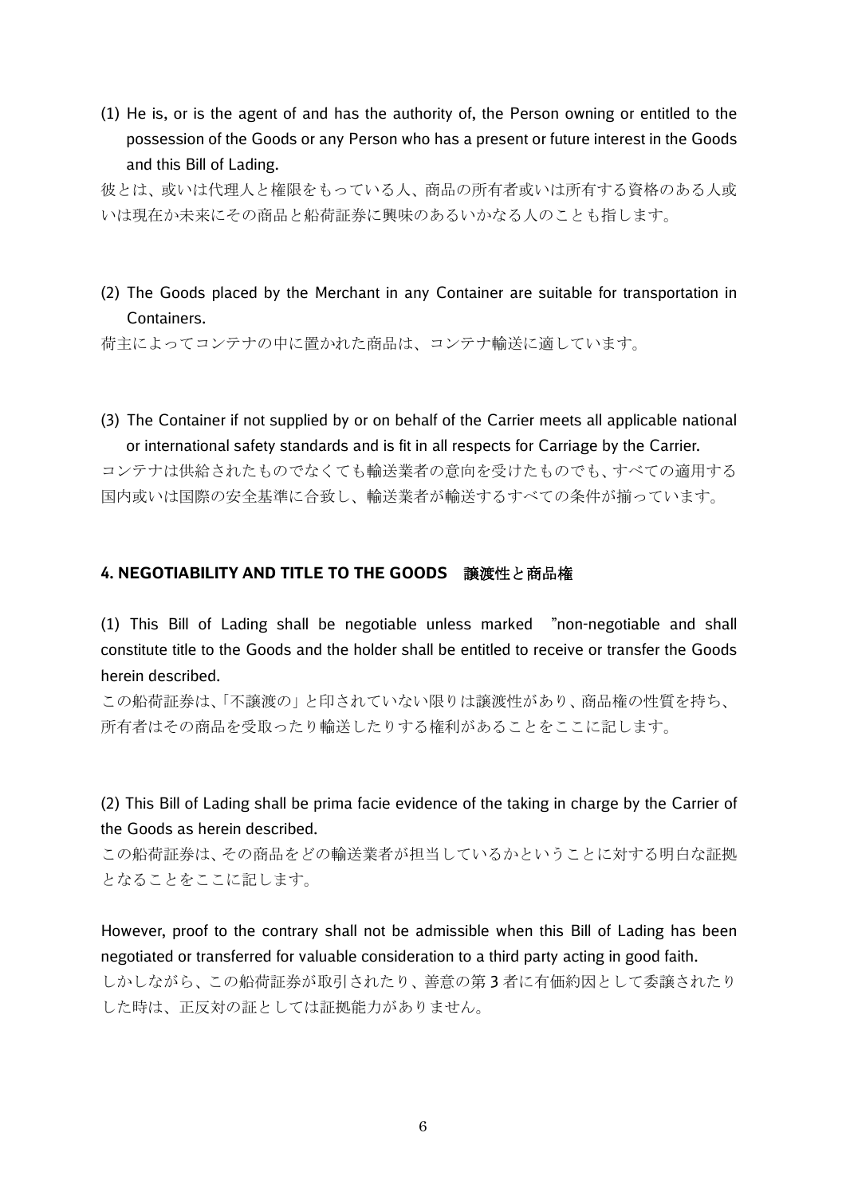(1) He is, or is the agent of and has the authority of, the Person owning or entitled to the possession of the Goods or any Person who has a present or future interest in the Goods and this Bill of Lading.

彼とは、或いは代理人と権限をもっている人、商品の所有者或いは所有する資格のある人或 いは現在か未来にその商品と船荷証券に興味のあるいかなる人のことも指します。

(2) The Goods placed by the Merchant in any Container are suitable for transportation in Containers.

荷主によってコンテナの中に置かれた商品は、コンテナ輸送に適しています。

(3) The Container if not supplied by or on behalf of the Carrier meets all applicable national or international safety standards and is fit in all respects for Carriage by the Carrier.

コンテナは供給されたものでなくても輸送業者の意向を受けたものでも、すべての適用する 国内或いは国際の安全基準に合致し、輸送業者が輸送するすべての条件が揃っています。

#### **4. NEGOTIABILITY AND TITLE TO THE GOODS** 譲渡性と商品権

(1) This Bill of Lading shall be negotiable unless marked "non-negotiable and shall constitute title to the Goods and the holder shall be entitled to receive or transfer the Goods herein described.

この船荷証券は、「不譲渡の」と印されていない限りは譲渡性があり、商品権の性質を持ち、 所有者はその商品を受取ったり輸送したりする権利があることをここに記します。

(2) This Bill of Lading shall be prima facie evidence of the taking in charge by the Carrier of the Goods as herein described.

この船荷証券は、その商品をどの輸送業者が担当しているかということに対する明白な証拠 となることをここに記します。

However, proof to the contrary shall not be admissible when this Bill of Lading has been negotiated or transferred for valuable consideration to a third party acting in good faith. しかしながら、この船荷証券が取引されたり、善意の第 3 者に有価約因として委譲されたり

した時は、正反対の証としては証拠能力がありません。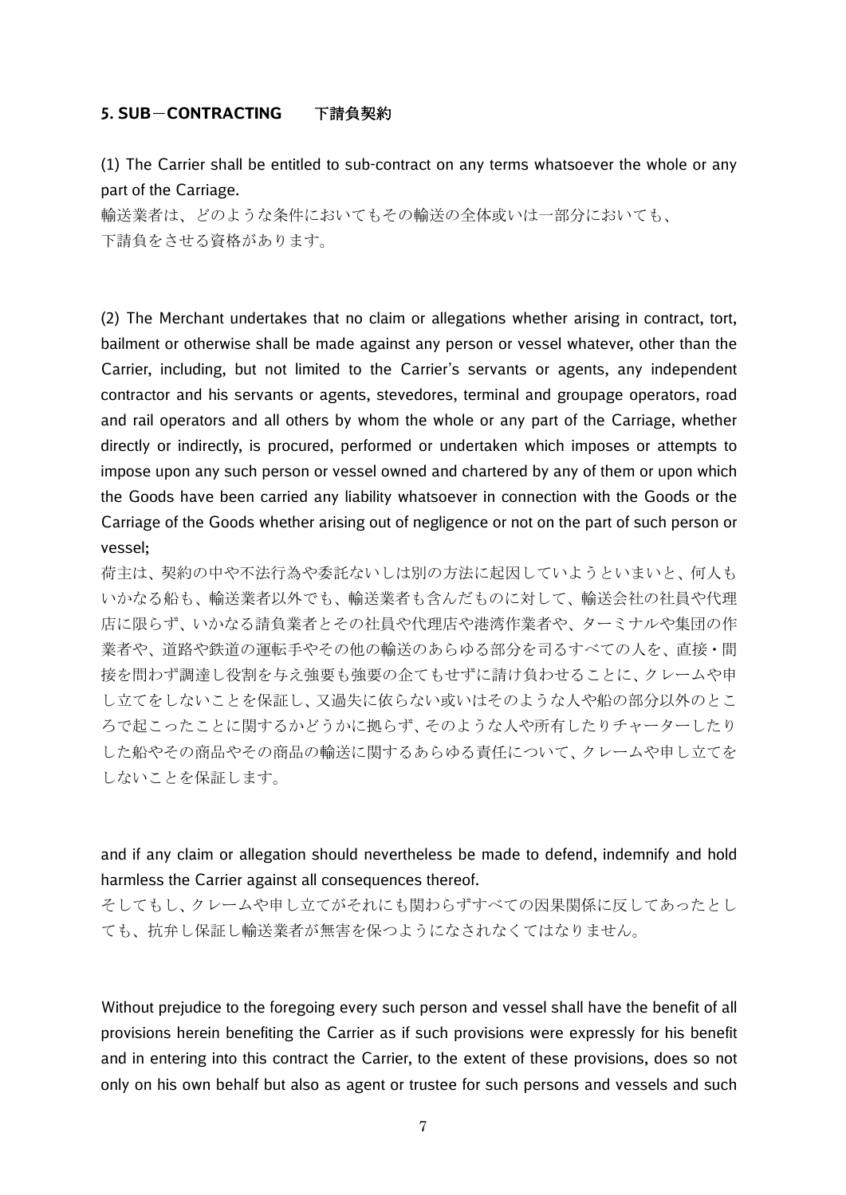#### **5. SUB**-**CONTRACTING** 下請負契約

(1) The Carrier shall be entitled to sub-contract on any terms whatsoever the whole or any part of the Carriage.

輸送業者は、どのような条件においてもその輸送の全体或いは一部分においても、 下請負をさせる資格があります。

(2) The Merchant undertakes that no claim or allegations whether arising in contract, tort, bailment or otherwise shall be made against any person or vessel whatever, other than the Carrier, including, but not limited to the Carrier's servants or agents, any independent contractor and his servants or agents, stevedores, terminal and groupage operators, road and rail operators and all others by whom the whole or any part of the Carriage, whether directly or indirectly, is procured, performed or undertaken which imposes or attempts to impose upon any such person or vessel owned and chartered by any of them or upon which the Goods have been carried any liability whatsoever in connection with the Goods or the Carriage of the Goods whether arising out of negligence or not on the part of such person or vessel;

荷主は、契約の中や不法行為や委託ないしは別の方法に起因していようといまいと、何人も いかなる船も、輸送業者以外でも、輸送業者も含んだものに対して、輸送会社の社員や代理 店に限らず、いかなる請負業者とその社員や代理店や港湾作業者や、ターミナルや集団の作 業者や、道路や鉄道の運転手やその他の輸送のあらゆる部分を司るすべての人を、直接・間 接を問わず調達し役割を与え強要も強要の企てもせずに請け負わせることに、クレームや申 し立てをしないことを保証し、又過失に依らない或いはそのような人や船の部分以外のとこ ろで起こったことに関するかどうかに拠らず、そのような人や所有したりチャーターしたり した船やその商品やその商品の輸送に関するあらゆる責任について、クレームや申し立てを しないことを保証します。

# and if any claim or allegation should nevertheless be made to defend, indemnify and hold harmless the Carrier against all consequences thereof.

そしてもし、クレームや申し立てがそれにも関わらずすべての因果関係に反してあったとし ても、抗弁し保証し輸送業者が無害を保つようになされなくてはなりません。

Without prejudice to the foregoing every such person and vessel shall have the benefit of all provisions herein benefiting the Carrier as if such provisions were expressly for his benefit and in entering into this contract the Carrier, to the extent of these provisions, does so not only on his own behalf but also as agent or trustee for such persons and vessels and such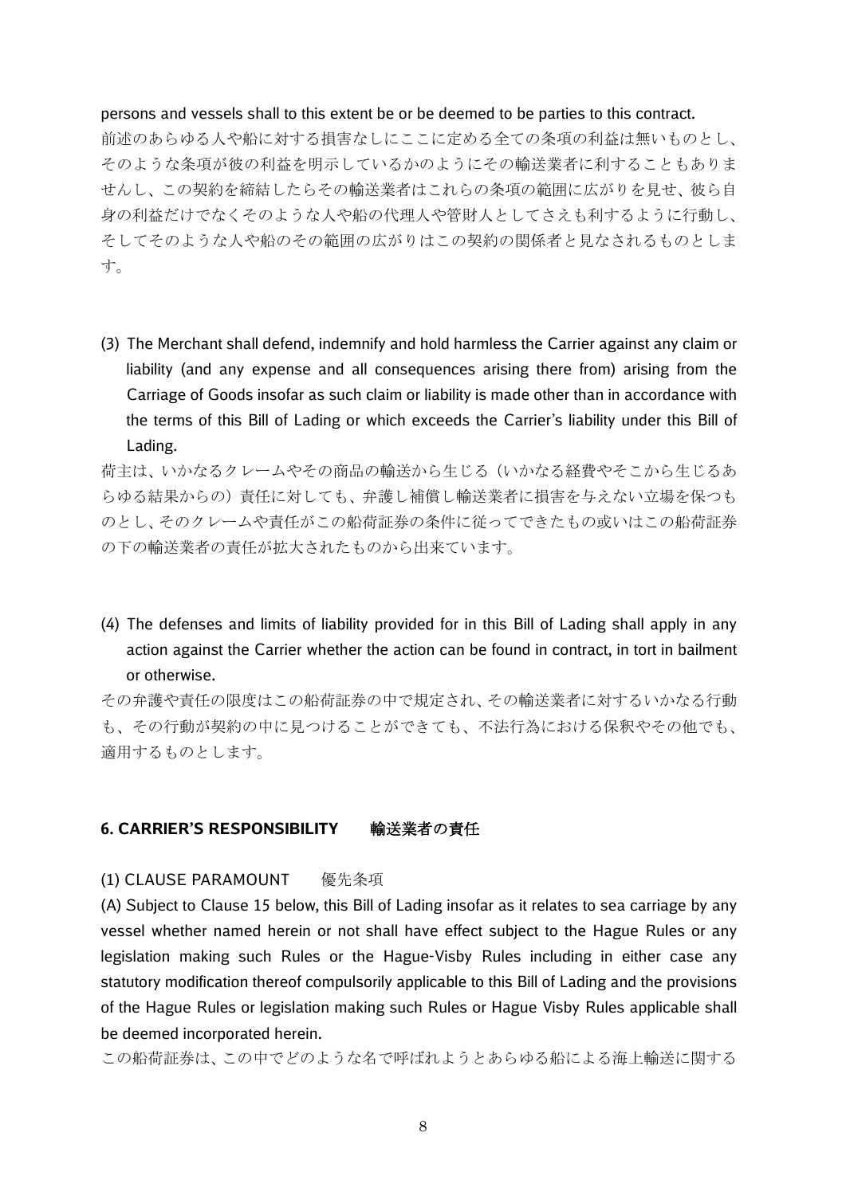#### persons and vessels shall to this extent be or be deemed to be parties to this contract.

前述のあらゆる人や船に対する損害なしにここに定める全ての条項の利益は無いものとし、 そのような条項が彼の利益を明示しているかのようにその輸送業者に利することもありま せんし、この契約を締結したらその輸送業者はこれらの条項の範囲に広がりを見せ、彼ら自 身の利益だけでなくそのような人や船の代理人や管財人としてさえも利するように行動し、 そしてそのような人や船のその範囲の広がりはこの契約の関係者と見なされるものとしま す。

(3) The Merchant shall defend, indemnify and hold harmless the Carrier against any claim or liability (and any expense and all consequences arising there from) arising from the Carriage of Goods insofar as such claim or liability is made other than in accordance with the terms of this Bill of Lading or which exceeds the Carrier's liability under this Bill of Lading.

荷主は、いかなるクレームやその商品の輸送から生じる(いかなる経費やそこから生じるあ らゆる結果からの)責任に対しても、弁護し補償し輸送業者に損害を与えない立場を保つも のとし、そのクレームや責任がこの船荷証券の条件に従ってできたもの或いはこの船荷証券 の下の輸送業者の責任が拡大されたものから出来ています。

(4) The defenses and limits of liability provided for in this Bill of Lading shall apply in any action against the Carrier whether the action can be found in contract, in tort in bailment or otherwise.

その弁護や責任の限度はこの船荷証券の中で規定され、その輸送業者に対するいかなる行動 も、その行動が契約の中に見つけることができても、不法行為における保釈やその他でも、 適用するものとします。

## **6. CARRIER'S RESPONSIBILITY** 輸送業者の責任

## (1) CLAUSE PARAMOUNT 優先条項

(A) Subject to Clause 15 below, this Bill of Lading insofar as it relates to sea carriage by any vessel whether named herein or not shall have effect subject to the Hague Rules or any legislation making such Rules or the Hague-Visby Rules including in either case any statutory modification thereof compulsorily applicable to this Bill of Lading and the provisions of the Hague Rules or legislation making such Rules or Hague Visby Rules applicable shall be deemed incorporated herein.

この船荷証券は、この中でどのような名で呼ばれようとあらゆる船による海上輸送に関する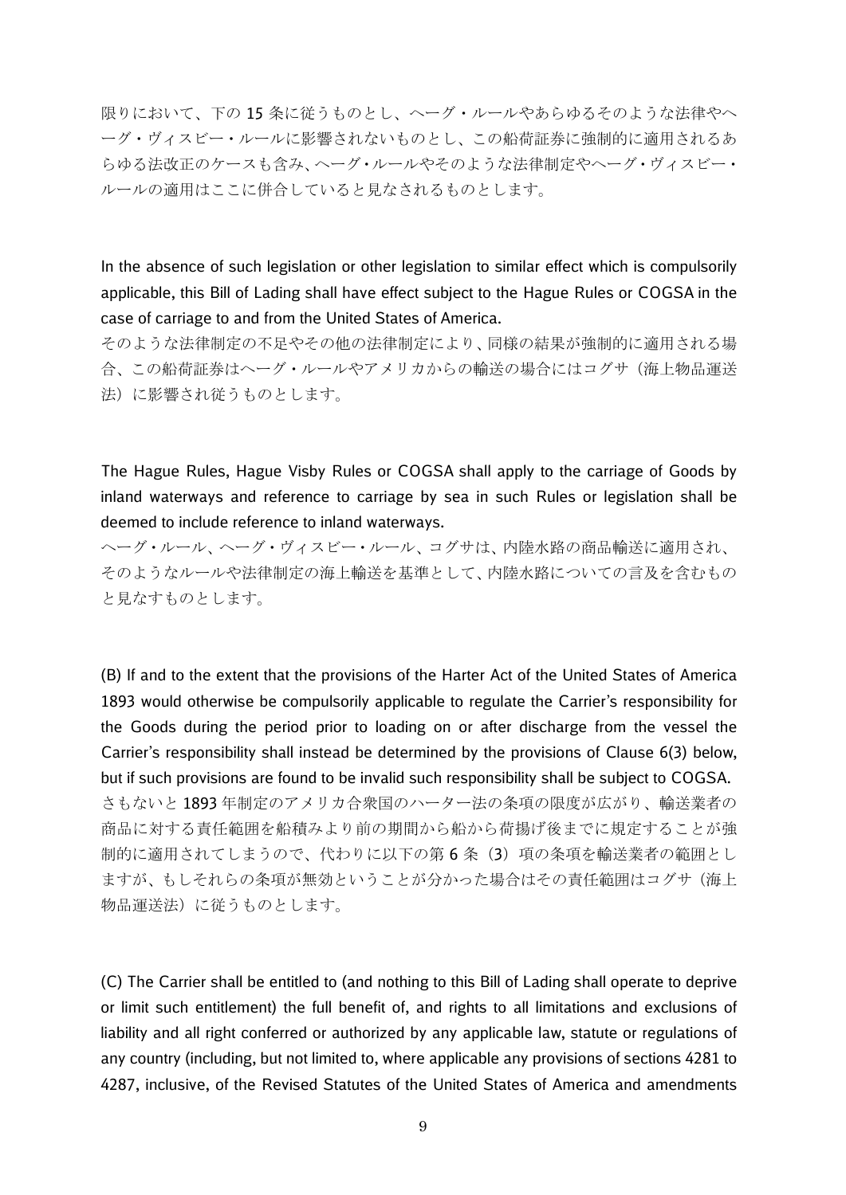限りにおいて、下の 15 条に従うものとし、ヘーグ・ルールやあらゆるそのような法律やヘ ーグ・ヴィスビー・ルールに影響されないものとし、この船荷証券に強制的に適用されるあ らゆる法改正のケースも含み、ヘーグ・ルールやそのような法律制定やヘーグ・ヴィスビー・ ルールの適用はここに併合していると見なされるものとします。

In the absence of such legislation or other legislation to similar effect which is compulsorily applicable, this Bill of Lading shall have effect subject to the Hague Rules or COGSA in the case of carriage to and from the United States of America.

そのような法律制定の不足やその他の法律制定により、同様の結果が強制的に適用される場 合、この船荷証券はヘーグ・ルールやアメリカからの輸送の場合にはコグサ(海上物品運送 法)に影響され従うものとします。

The Hague Rules, Hague Visby Rules or COGSA shall apply to the carriage of Goods by inland waterways and reference to carriage by sea in such Rules or legislation shall be deemed to include reference to inland waterways.

ヘーグ・ルール、ヘーグ・ヴィスビー・ルール、コグサは、内陸水路の商品輸送に適用され、 そのようなルールや法律制定の海上輸送を基準として、内陸水路についての言及を含むもの と見なすものとします。

(B) If and to the extent that the provisions of the Harter Act of the United States of America 1893 would otherwise be compulsorily applicable to regulate the Carrier's responsibility for the Goods during the period prior to loading on or after discharge from the vessel the Carrier's responsibility shall instead be determined by the provisions of Clause 6(3) below, but if such provisions are found to be invalid such responsibility shall be subject to COGSA. さもないと 1893 年制定のアメリカ合衆国のハーター法の条項の限度が広がり、輸送業者の 商品に対する責任範囲を船積みより前の期間から船から荷揚げ後までに規定することが強 制的に適用されてしまうので、代わりに以下の第6条(3)項の条項を輸送業者の範囲とし ますが、もしそれらの条項が無効ということが分かった場合はその責任範囲はコグサ(海上 物品運送法)に従うものとします。

(C) The Carrier shall be entitled to (and nothing to this Bill of Lading shall operate to deprive or limit such entitlement) the full benefit of, and rights to all limitations and exclusions of liability and all right conferred or authorized by any applicable law, statute or regulations of any country (including, but not limited to, where applicable any provisions of sections 4281 to 4287, inclusive, of the Revised Statutes of the United States of America and amendments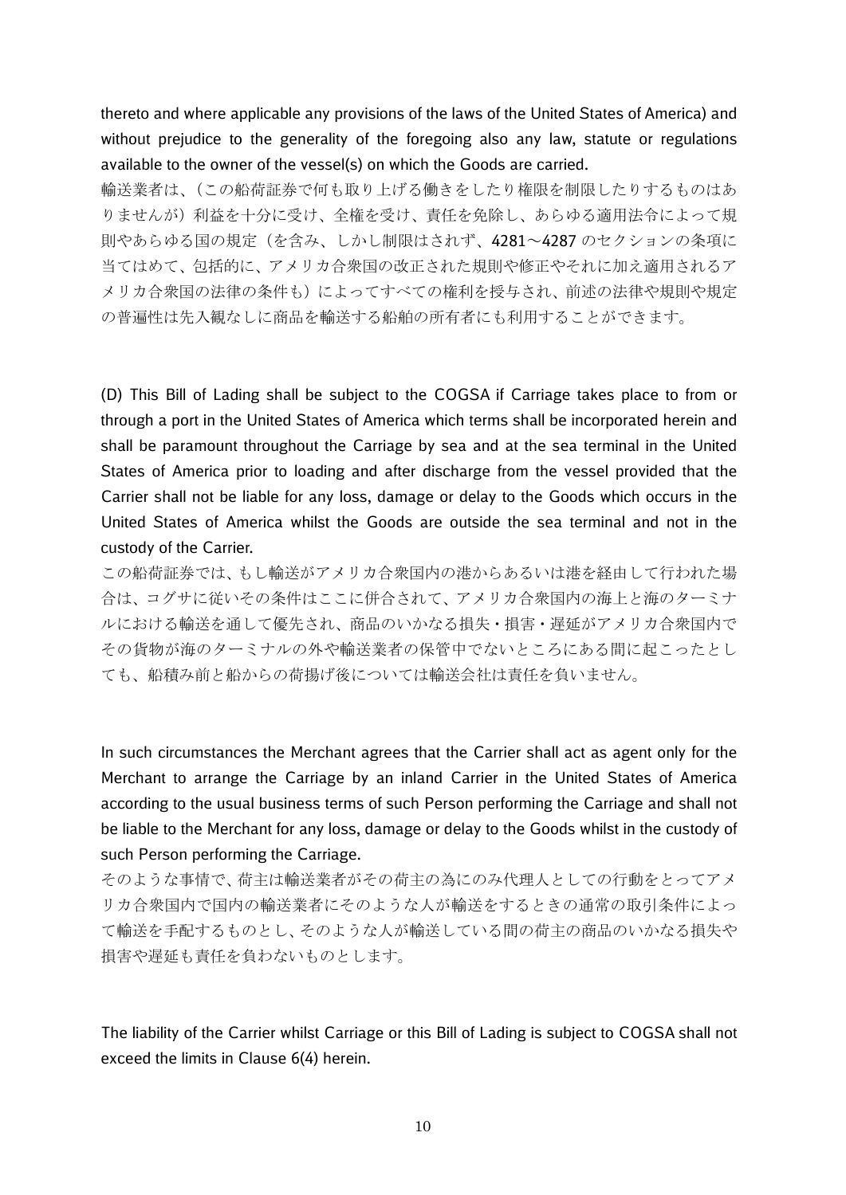thereto and where applicable any provisions of the laws of the United States of America) and without prejudice to the generality of the foregoing also any law, statute or regulations available to the owner of the vessel(s) on which the Goods are carried.

輸送業者は、(この船荷証券で何も取り上げる働きをしたり権限を制限したりするものはあ りませんが)利益を十分に受け、全権を受け、責任を免除し、あらゆる適用法令によって規 則やあらゆる国の規定(を含み、しかし制限はされず、4281~4287 のセクションの条項に 当てはめて、包括的に、アメリカ合衆国の改正された規則や修正やそれに加え適用されるア メリカ合衆国の法律の条件も)によってすべての権利を授与され、前述の法律や規則や規定 の普遍性は先入観なしに商品を輸送する船舶の所有者にも利用することができます。

(D) This Bill of Lading shall be subject to the COGSA if Carriage takes place to from or through a port in the United States of America which terms shall be incorporated herein and shall be paramount throughout the Carriage by sea and at the sea terminal in the United States of America prior to loading and after discharge from the vessel provided that the Carrier shall not be liable for any loss, damage or delay to the Goods which occurs in the United States of America whilst the Goods are outside the sea terminal and not in the custody of the Carrier.

この船荷証券では、もし輸送がアメリカ合衆国内の港からあるいは港を経由して行われた場 合は、コグサに従いその条件はここに併合されて、アメリカ合衆国内の海上と海のターミナ ルにおける輸送を通して優先され、商品のいかなる損失・損害・遅延がアメリカ合衆国内で その貨物が海のターミナルの外や輸送業者の保管中でないところにある間に起こったとし ても、船積み前と船からの荷揚げ後については輸送会社は責任を負いません。

In such circumstances the Merchant agrees that the Carrier shall act as agent only for the Merchant to arrange the Carriage by an inland Carrier in the United States of America according to the usual business terms of such Person performing the Carriage and shall not be liable to the Merchant for any loss, damage or delay to the Goods whilst in the custody of such Person performing the Carriage.

そのような事情で、荷主は輸送業者がその荷主の為にのみ代理人としての行動をとってアメ リカ合衆国内で国内の輸送業者にそのような人が輸送をするときの通常の取引条件によっ て輸送を手配するものとし、そのような人が輸送している間の荷主の商品のいかなる損失や 損害や遅延も責任を負わないものとします。

The liability of the Carrier whilst Carriage or this Bill of Lading is subject to COGSA shall not exceed the limits in Clause 6(4) herein.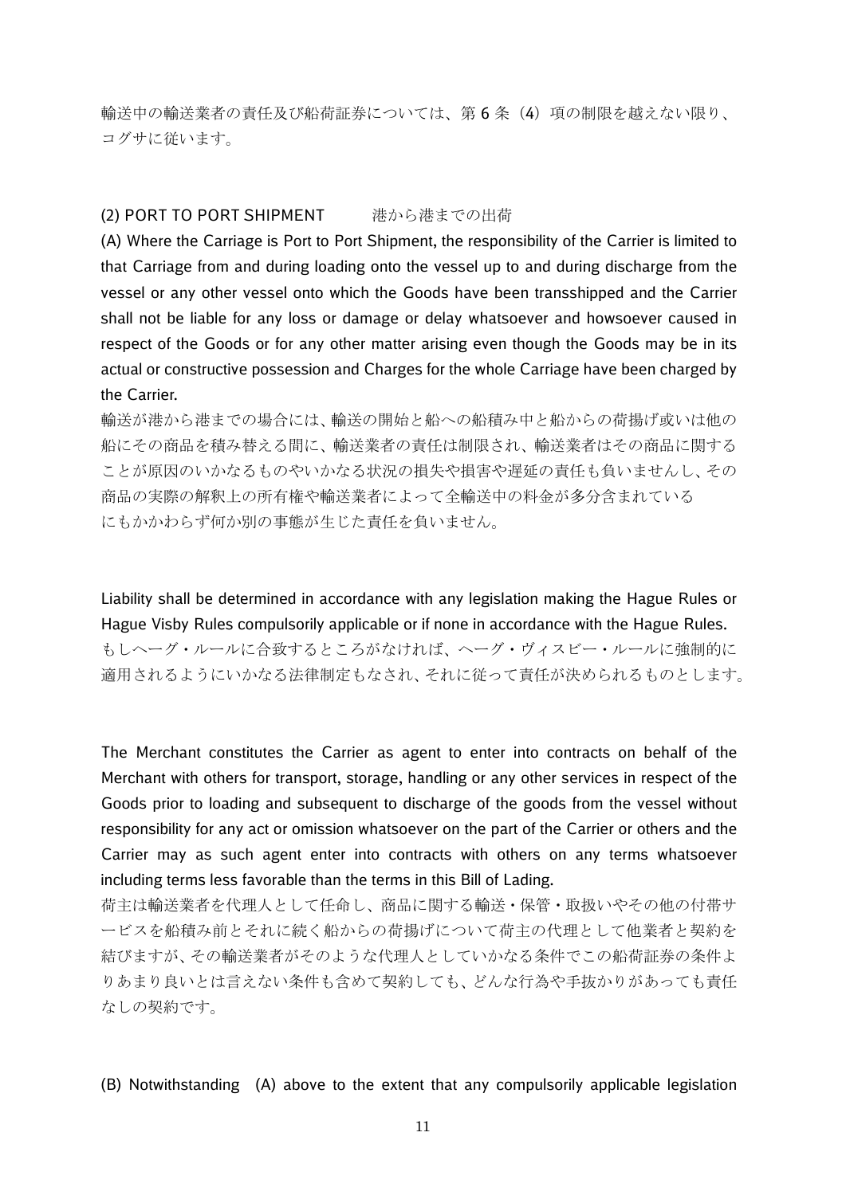輸送中の輸送業者の責任及び船荷証券については、第 6 条(4)項の制限を越えない限り、 コグサに従います。

#### (2) PORT TO PORT SHIPMENT 港から港までの出荷

(A) Where the Carriage is Port to Port Shipment, the responsibility of the Carrier is limited to that Carriage from and during loading onto the vessel up to and during discharge from the vessel or any other vessel onto which the Goods have been transshipped and the Carrier shall not be liable for any loss or damage or delay whatsoever and howsoever caused in respect of the Goods or for any other matter arising even though the Goods may be in its actual or constructive possession and Charges for the whole Carriage have been charged by the Carrier.

輸送が港から港までの場合には、輸送の開始と船への船積み中と船からの荷揚げ或いは他の 船にその商品を積み替える間に、輸送業者の責任は制限され、輸送業者はその商品に関する ことが原因のいかなるものやいかなる状況の損失や損害や遅延の責任も負いませんし、その 商品の実際の解釈上の所有権や輸送業者によって全輸送中の料金が多分含まれている にもかかわらず何か別の事態が生じた責任を負いません。

Liability shall be determined in accordance with any legislation making the Hague Rules or Hague Visby Rules compulsorily applicable or if none in accordance with the Hague Rules. もしヘーグ・ルールに合致するところがなければ、ヘーグ・ヴィスビー・ルールに強制的に 適用されるようにいかなる法律制定もなされ、それに従って責任が決められるものとします。

The Merchant constitutes the Carrier as agent to enter into contracts on behalf of the Merchant with others for transport, storage, handling or any other services in respect of the Goods prior to loading and subsequent to discharge of the goods from the vessel without responsibility for any act or omission whatsoever on the part of the Carrier or others and the Carrier may as such agent enter into contracts with others on any terms whatsoever including terms less favorable than the terms in this Bill of Lading.

荷主は輸送業者を代理人として任命し、商品に関する輸送・保管・取扱いやその他の付帯サ ービスを船積み前とそれに続く船からの荷揚げについて荷主の代理として他業者と契約を 結びますが、その輸送業者がそのような代理人としていかなる条件でこの船荷証券の条件よ りあまり良いとは言えない条件も含めて契約しても、どんな行為や手抜かりがあっても責任 なしの契約です。

(B) Notwithstanding (A) above to the extent that any compulsorily applicable legislation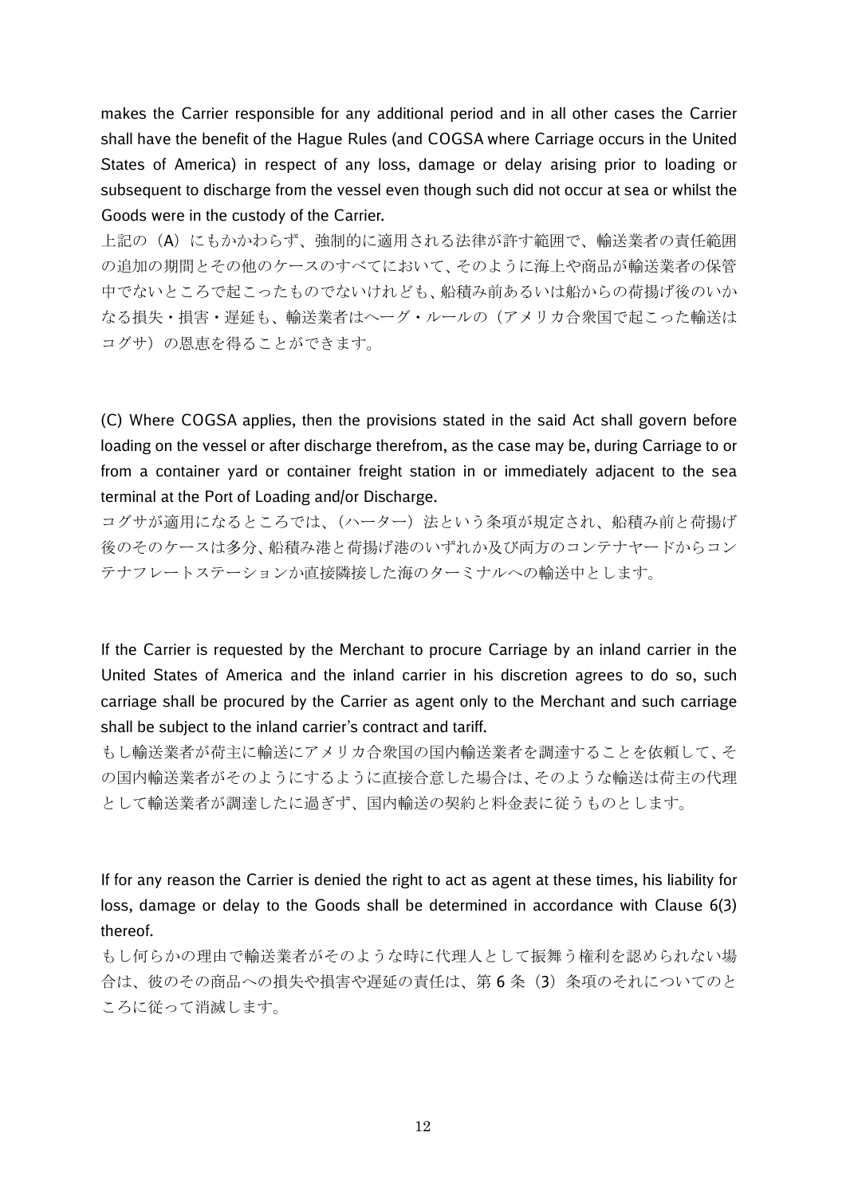makes the Carrier responsible for any additional period and in all other cases the Carrier shall have the benefit of the Hague Rules (and COGSA where Carriage occurs in the United States of America) in respect of any loss, damage or delay arising prior to loading or subsequent to discharge from the vessel even though such did not occur at sea or whilst the Goods were in the custody of the Carrier.

上記の(A)にもかかわらず、強制的に適用される法律が許す範囲で、輸送業者の責任範囲 の追加の期間とその他のケースのすべてにおいて、そのように海上や商品が輸送業者の保管 中でないところで起こったものでないけれども、船積み前あるいは船からの荷揚げ後のいか なる損失・損害・遅延も、輸送業者はヘーグ・ルールの(アメリカ合衆国で起こった輸送は コグサ)の恩恵を得ることができます。

(C) Where COGSA applies, then the provisions stated in the said Act shall govern before loading on the vessel or after discharge therefrom, as the case may be, during Carriage to or from a container yard or container freight station in or immediately adjacent to the sea terminal at the Port of Loading and/or Discharge.

コグサが適用になるところでは、(ハーター)法という条項が規定され、船積み前と荷揚げ 後のそのケースは多分、船積み港と荷揚げ港のいずれか及び両方のコンテナヤードからコン テナフレートステーションか直接隣接した海のターミナルへの輸送中とします。

If the Carrier is requested by the Merchant to procure Carriage by an inland carrier in the United States of America and the inland carrier in his discretion agrees to do so, such carriage shall be procured by the Carrier as agent only to the Merchant and such carriage shall be subject to the inland carrier's contract and tariff.

もし輸送業者が荷主に輸送にアメリカ合衆国の国内輸送業者を調達することを依頼して、そ の国内輸送業者がそのようにするように直接合意した場合は、そのような輸送は荷主の代理 として輸送業者が調達したに過ぎず、国内輸送の契約と料金表に従うものとします。

If for any reason the Carrier is denied the right to act as agent at these times, his liability for loss, damage or delay to the Goods shall be determined in accordance with Clause 6(3) thereof.

もし何らかの理由で輸送業者がそのような時に代理人として振舞う権利を認められない場 合は、彼のその商品への損失や損害や遅延の責任は、第 6 条(3)条項のそれについてのと ころに従って消滅します。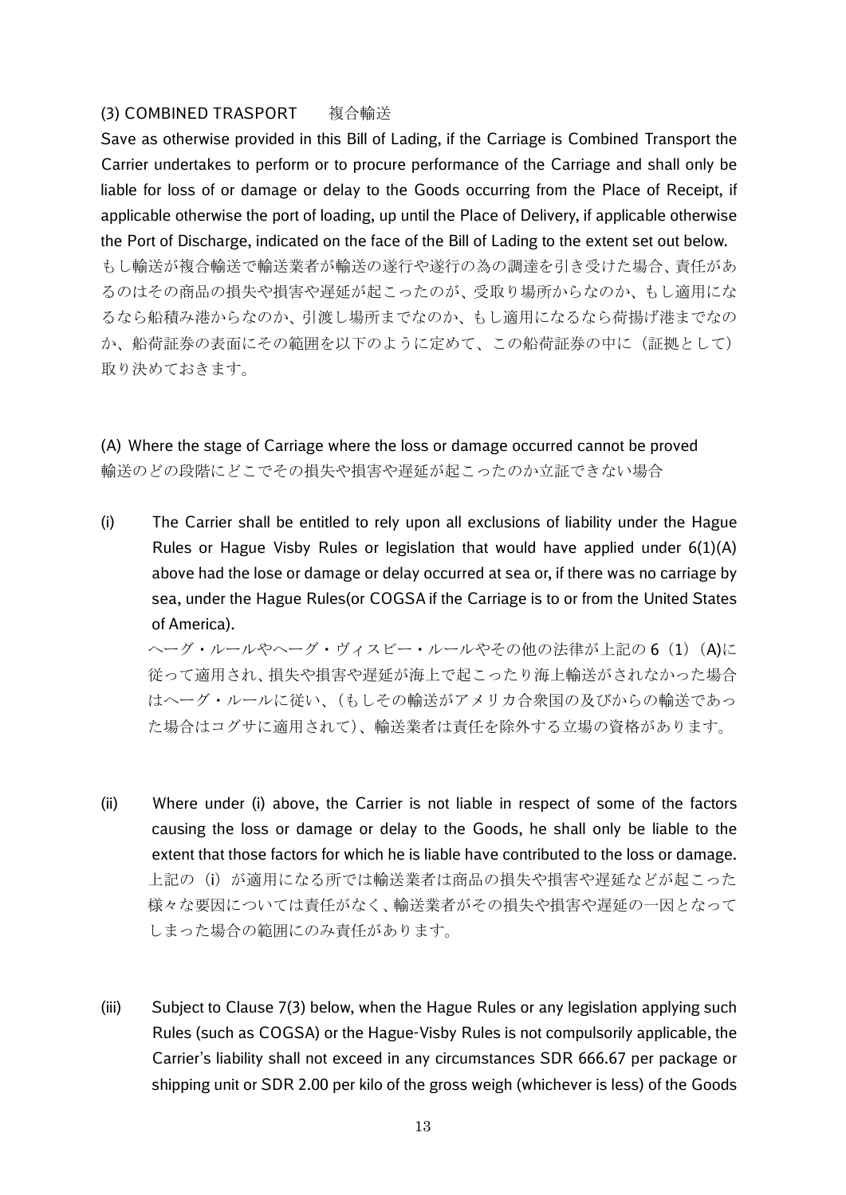## (3) COMBINED TRASPORT 複合輸送

Save as otherwise provided in this Bill of Lading, if the Carriage is Combined Transport the Carrier undertakes to perform or to procure performance of the Carriage and shall only be liable for loss of or damage or delay to the Goods occurring from the Place of Receipt, if applicable otherwise the port of loading, up until the Place of Delivery, if applicable otherwise the Port of Discharge, indicated on the face of the Bill of Lading to the extent set out below. もし輸送が複合輸送で輸送業者が輸送の遂行や遂行の為の調達を引き受けた場合、責任があ るのはその商品の損失や損害や遅延が起こったのが、受取り場所からなのか、もし適用にな るなら船積み港からなのか、引渡し場所までなのか、もし適用になるなら荷揚げ港までなの か、船荷証券の表面にその範囲を以下のように定めて、この船荷証券の中に(証拠として) 取り決めておきます。

(A) Where the stage of Carriage where the loss or damage occurred cannot be proved 輸送のどの段階にどこでその損失や損害や遅延が起こったのか立証できない場合

(i) The Carrier shall be entitled to rely upon all exclusions of liability under the Hague Rules or Hague Visby Rules or legislation that would have applied under 6(1)(A) above had the lose or damage or delay occurred at sea or, if there was no carriage by sea, under the Hague Rules(or COGSA if the Carriage is to or from the United States of America).

ヘーグ・ルールやヘーグ・ヴィスビー・ルールやその他の法律が上記の 6 (1) (A)に 従って適用され、損失や損害や遅延が海上で起こったり海上輸送がされなかった場合 はヘーグ・ルールに従い、(もしその輸送がアメリカ合衆国の及びからの輸送であっ た場合はコグサに適用されて)、輸送業者は責任を除外する立場の資格があります。

- (ii) Where under (i) above, the Carrier is not liable in respect of some of the factors causing the loss or damage or delay to the Goods, he shall only be liable to the extent that those factors for which he is liable have contributed to the loss or damage. 上記の(i)が適用になる所では輸送業者は商品の損失や損害や遅延などが起こった 様々な要因については責任がなく、輸送業者がその損失や損害や遅延の一因となって しまった場合の範囲にのみ責任があります。
- (iii) Subject to Clause 7(3) below, when the Hague Rules or any legislation applying such Rules (such as COGSA) or the Hague-Visby Rules is not compulsorily applicable, the Carrier's liability shall not exceed in any circumstances SDR 666.67 per package or shipping unit or SDR 2.00 per kilo of the gross weigh (whichever is less) of the Goods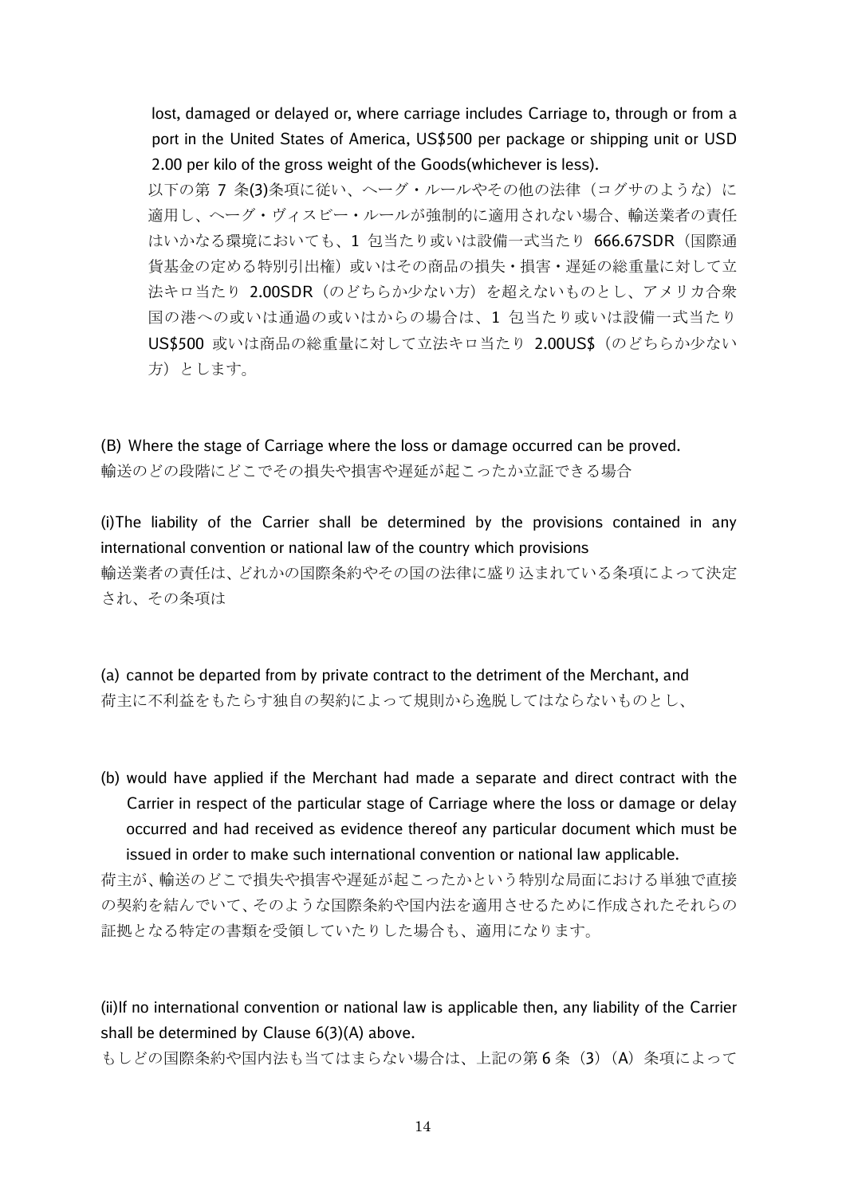lost, damaged or delayed or, where carriage includes Carriage to, through or from a port in the United States of America, US\$500 per package or shipping unit or USD 2.00 per kilo of the gross weight of the Goods(whichever is less).

以下の第 7 条(3)条項に従い、ヘーグ・ルールやその他の法律(コグサのような)に 適用し、ヘーグ・ヴィスビー・ルールが強制的に適用されない場合、輸送業者の責任 はいかなる環境においても、1 包当たり或いは設備一式当たり 666.67SDR(国際通 貨基金の定める特別引出権)或いはその商品の損失・損害・遅延の総重量に対して立 法キロ当たり 2.00SDR (のどちらか少ない方) を超えないものとし、アメリカ合衆 国の港への或いは通過の或いはからの場合は、1 包当たり或いは設備一式当たり US\$500 或いは商品の総重量に対して立法キロ当たり 2.00US\$(のどちらか少ない 方)とします。

(B) Where the stage of Carriage where the loss or damage occurred can be proved. 輸送のどの段階にどこでその損失や損害や遅延が起こったか立証できる場合

(i)The liability of the Carrier shall be determined by the provisions contained in any international convention or national law of the country which provisions 輸送業者の責任は、どれかの国際条約やその国の法律に盛り込まれている条項によって決定 され、その条項は

(a) cannot be departed from by private contract to the detriment of the Merchant, and 荷主に不利益をもたらす独自の契約によって規則から逸脱してはならないものとし、

(b) would have applied if the Merchant had made a separate and direct contract with the Carrier in respect of the particular stage of Carriage where the loss or damage or delay occurred and had received as evidence thereof any particular document which must be issued in order to make such international convention or national law applicable.

荷主が、輸送のどこで損失や損害や遅延が起こったかという特別な局面における単独で直接 の契約を結んでいて、そのような国際条約や国内法を適用させるために作成されたそれらの 証拠となる特定の書類を受領していたりした場合も、適用になります。

(ii)If no international convention or national law is applicable then, any liability of the Carrier shall be determined by Clause 6(3)(A) above.

もしどの国際条約や国内法も当てはまらない場合は、上記の第6条 (3) (A) 条項によって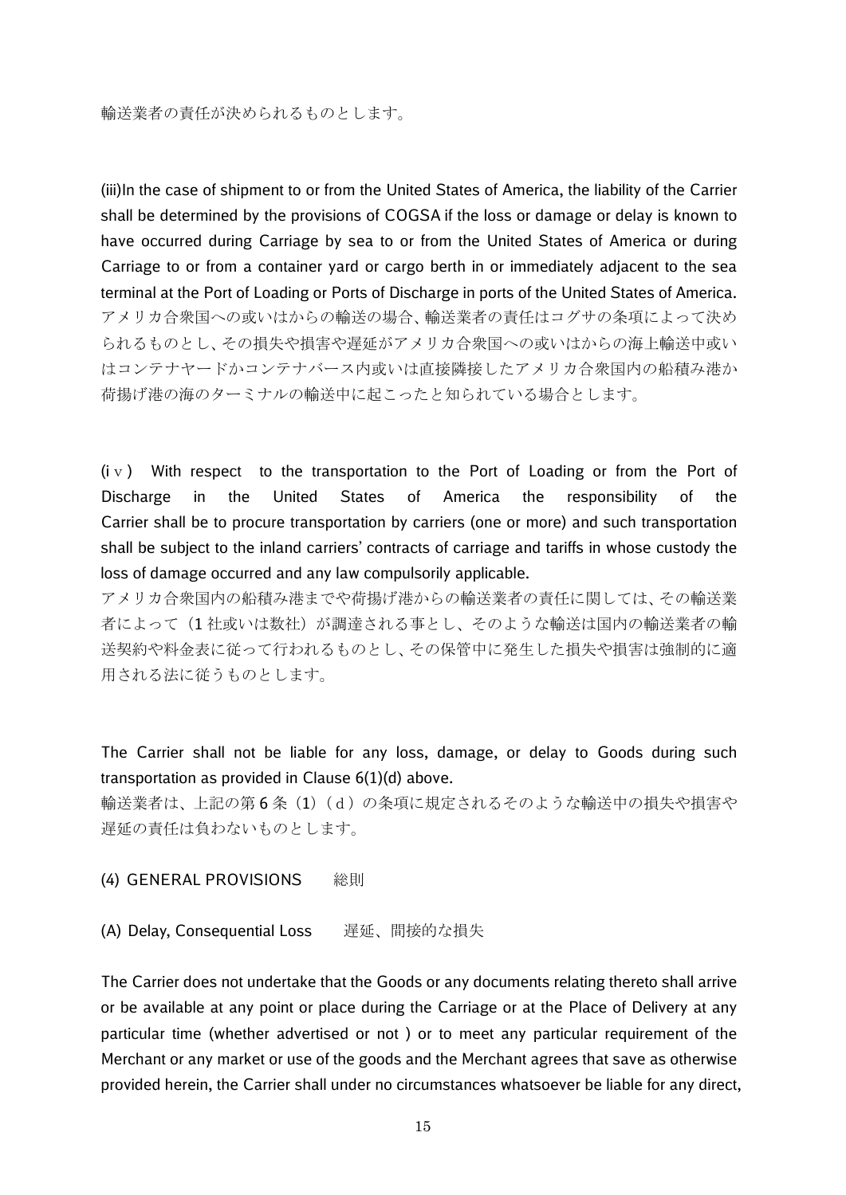(iii)In the case of shipment to or from the United States of America, the liability of the Carrier shall be determined by the provisions of COGSA if the loss or damage or delay is known to have occurred during Carriage by sea to or from the United States of America or during Carriage to or from a container yard or cargo berth in or immediately adjacent to the sea terminal at the Port of Loading or Ports of Discharge in ports of the United States of America. アメリカ合衆国への或いはからの輸送の場合、輸送業者の責任はコグサの条項によって決め られるものとし、その損失や損害や遅延がアメリカ合衆国への或いはからの海上輸送中或い はコンテナヤードかコンテナバース内或いは直接隣接したアメリカ合衆国内の船積み港か 荷揚げ港の海のターミナルの輸送中に起こったと知られている場合とします。

 $(iv)$  With respect to the transportation to the Port of Loading or from the Port of Discharge in the United States of America the responsibility of the Carrier shall be to procure transportation by carriers (one or more) and such transportation shall be subject to the inland carriers' contracts of carriage and tariffs in whose custody the loss of damage occurred and any law compulsorily applicable.

アメリカ合衆国内の船積み港までや荷揚げ港からの輸送業者の責任に関しては、その輸送業 者によって(1 社或いは数社)が調達される事とし、そのような輸送は国内の輸送業者の輸 送契約や料金表に従って行われるものとし、その保管中に発生した損失や損害は強制的に適 用される法に従うものとします。

The Carrier shall not be liable for any loss, damage, or delay to Goods during such transportation as provided in Clause 6(1)(d) above.

輸送業者は、上記の第 6 条(1)(d)の条項に規定されるそのような輸送中の損失や損害や 遅延の責任は負わないものとします。

(4) GENERAL PROVISIONS 総則

(A) Delay, Consequential Loss 遅延、間接的な損失

The Carrier does not undertake that the Goods or any documents relating thereto shall arrive or be available at any point or place during the Carriage or at the Place of Delivery at any particular time (whether advertised or not ) or to meet any particular requirement of the Merchant or any market or use of the goods and the Merchant agrees that save as otherwise provided herein, the Carrier shall under no circumstances whatsoever be liable for any direct,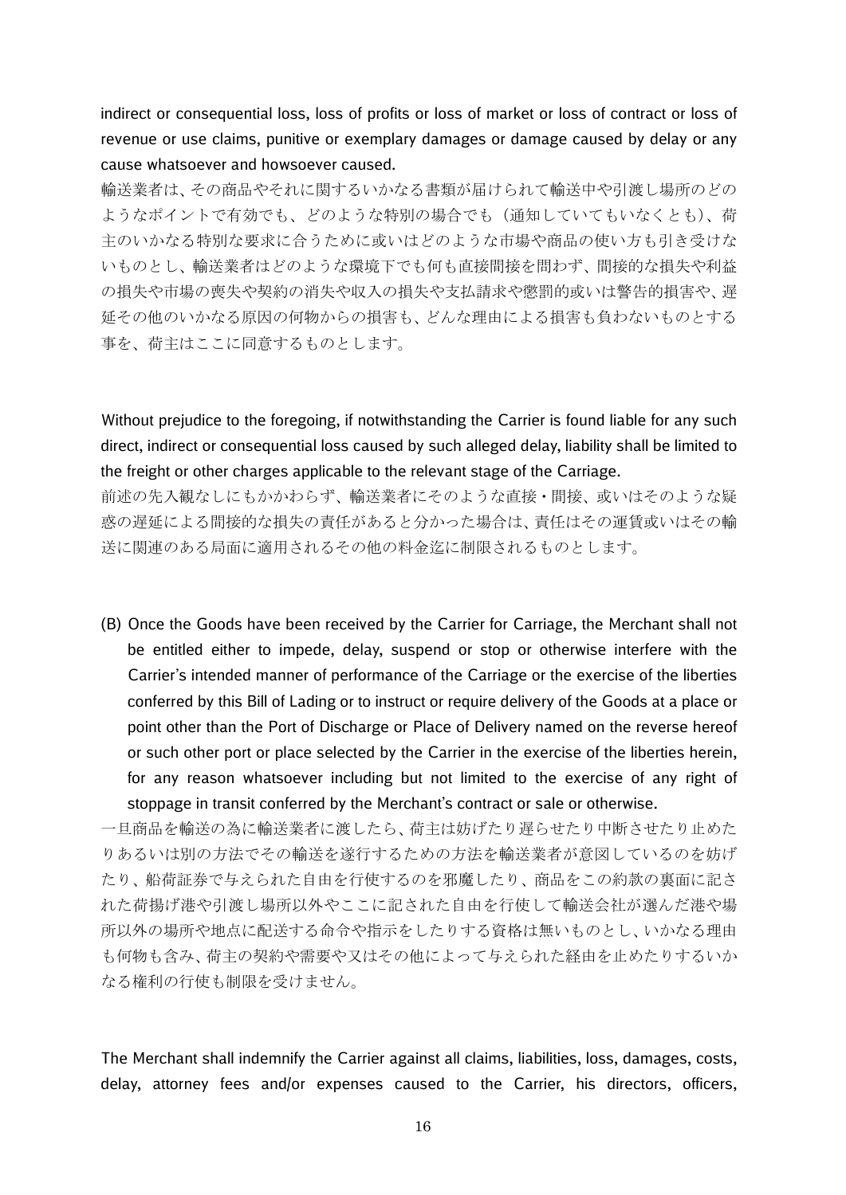indirect or consequential loss, loss of profits or loss of market or loss of contract or loss of revenue or use claims, punitive or exemplary damages or damage caused by delay or any cause whatsoever and howsoever caused.

輸送業者は、その商品やそれに関するいかなる書類が届けられて輸送中や引渡し場所のどの ようなポイントで有効でも、どのような特別の場合でも(通知していてもいなくとも)、荷 主のいかなる特別な要求に合うために或いはどのような市場や商品の使い方も引き受けな いものとし、輸送業者はどのような環境下でも何も直接間接を問わず、間接的な損失や利益 の損失や市場の喪失や契約の消失や収入の損失や支払請求や懲罰的或いは警告的損害や、遅 延その他のいかなる原因の何物からの損害も、どんな理由による損害も負わないものとする 事を、荷主はここに同意するものとします。

Without prejudice to the foregoing, if notwithstanding the Carrier is found liable for any such direct, indirect or consequential loss caused by such alleged delay, liability shall be limited to the freight or other charges applicable to the relevant stage of the Carriage.

前述の先入観なしにもかかわらず、輸送業者にそのような直接・間接、或いはそのような疑 惑の遅延による間接的な損失の責任があると分かった場合は、責任はその運賃或いはその輸 送に関連のある局面に適用されるその他の料金迄に制限されるものとします。

(B) Once the Goods have been received by the Carrier for Carriage, the Merchant shall not be entitled either to impede, delay, suspend or stop or otherwise interfere with the Carrier's intended manner of performance of the Carriage or the exercise of the liberties conferred by this Bill of Lading or to instruct or require delivery of the Goods at a place or point other than the Port of Discharge or Place of Delivery named on the reverse hereof or such other port or place selected by the Carrier in the exercise of the liberties herein, for any reason whatsoever including but not limited to the exercise of any right of stoppage in transit conferred by the Merchant's contract or sale or otherwise.

一旦商品を輸送の為に輸送業者に渡したら、荷主は妨げたり遅らせたり中断させたり止めた りあるいは別の方法でその輸送を遂行するための方法を輸送業者が意図しているのを妨げ たり、船荷証券で与えられた自由を行使するのを邪魔したり、商品をこの約款の裏面に記さ れた荷揚げ港や引渡し場所以外やここに記された自由を行使して輸送会社が選んだ港や場 所以外の場所や地点に配送する命令や指示をしたりする資格は無いものとし、いかなる理由 も何物も含み、荷主の契約や需要や又はその他によって与えられた経由を止めたりするいか なる権利の行使も制限を受けません。

The Merchant shall indemnify the Carrier against all claims, liabilities, loss, damages, costs, delay, attorney fees and/or expenses caused to the Carrier, his directors, officers,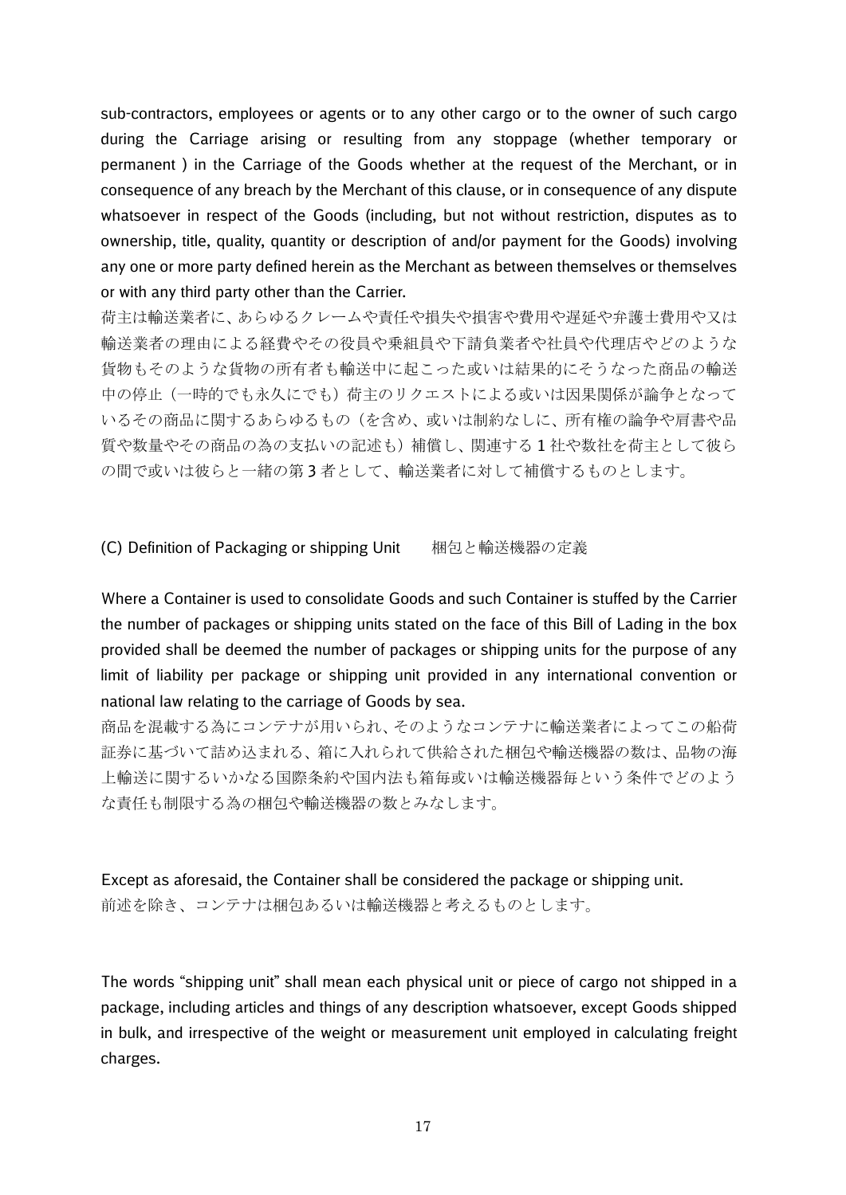sub-contractors, employees or agents or to any other cargo or to the owner of such cargo during the Carriage arising or resulting from any stoppage (whether temporary or permanent ) in the Carriage of the Goods whether at the request of the Merchant, or in consequence of any breach by the Merchant of this clause, or in consequence of any dispute whatsoever in respect of the Goods (including, but not without restriction, disputes as to ownership, title, quality, quantity or description of and/or payment for the Goods) involving any one or more party defined herein as the Merchant as between themselves or themselves or with any third party other than the Carrier.

荷主は輸送業者に、あらゆるクレームや責任や損失や損害や費用や遅延や弁護士費用や又は 輸送業者の理由による経費やその役員や乗組員や下請負業者や社員や代理店やどのような 貨物もそのような貨物の所有者も輸送中に起こった或いは結果的にそうなった商品の輸送 中の停止(一時的でも永久にでも)荷主のリクエストによる或いは因果関係が論争となって いるその商品に関するあらゆるもの(を含め、或いは制約なしに、所有権の論争や肩書や品 質や数量やその商品の為の支払いの記述も)補償し、関連する 1 社や数社を荷主として彼ら の間で或いは彼らと一緒の第3者として、輸送業者に対して補償するものとします。

(C) Definition of Packaging or shipping Unit 梱包と輸送機器の定義

Where a Container is used to consolidate Goods and such Container is stuffed by the Carrier the number of packages or shipping units stated on the face of this Bill of Lading in the box provided shall be deemed the number of packages or shipping units for the purpose of any limit of liability per package or shipping unit provided in any international convention or national law relating to the carriage of Goods by sea.

商品を混載する為にコンテナが用いられ、そのようなコンテナに輸送業者によってこの船荷 証券に基づいて詰め込まれる、箱に入れられて供給された梱包や輸送機器の数は、品物の海 上輸送に関するいかなる国際条約や国内法も箱毎或いは輸送機器毎という条件でどのよう な責任も制限する為の梱包や輸送機器の数とみなします。

Except as aforesaid, the Container shall be considered the package or shipping unit. 前述を除き、コンテナは梱包あるいは輸送機器と考えるものとします。

The words "shipping unit" shall mean each physical unit or piece of cargo not shipped in a package, including articles and things of any description whatsoever, except Goods shipped in bulk, and irrespective of the weight or measurement unit employed in calculating freight charges.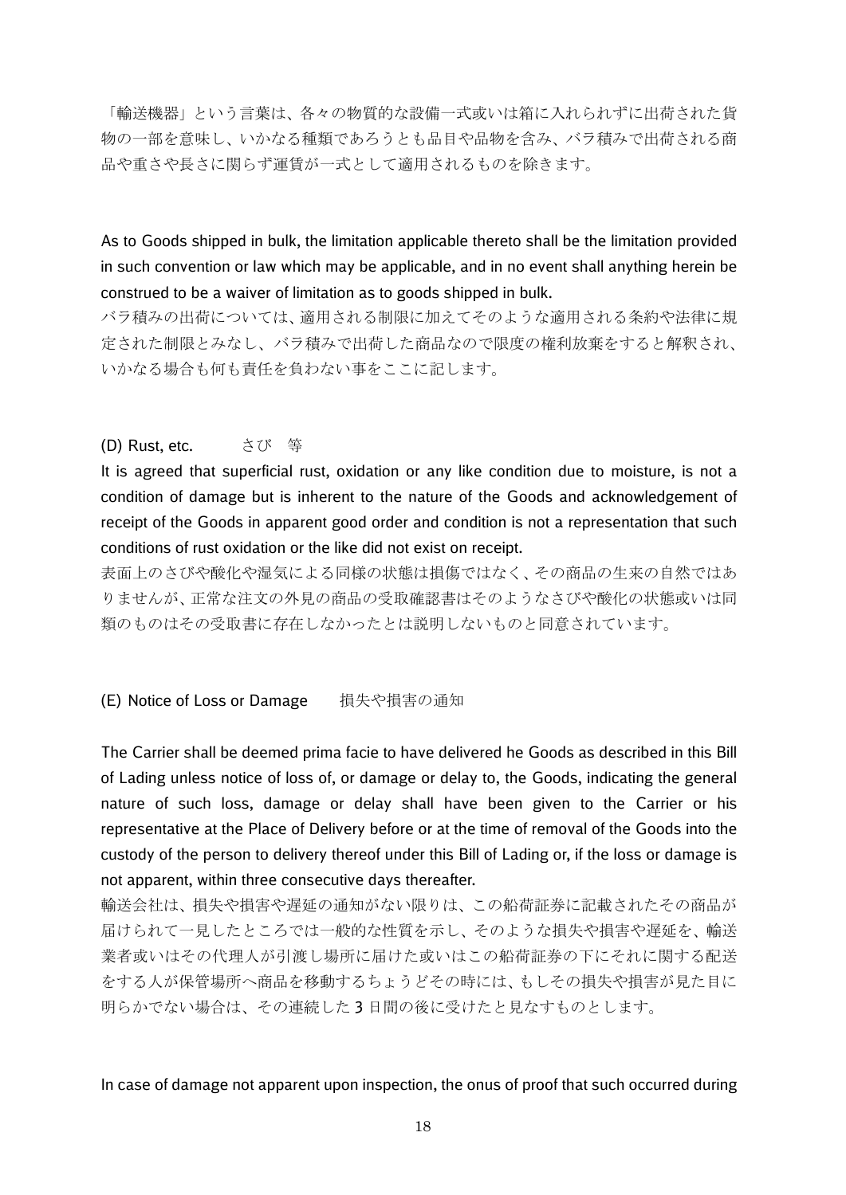「輸送機器」という言葉は、各々の物質的な設備一式或いは箱に入れられずに出荷された貨 物の一部を意味し、いかなる種類であろうとも品目や品物を含み、バラ積みで出荷される商 品や重さや長さに関らず運賃が一式として適用されるものを除きます。

As to Goods shipped in bulk, the limitation applicable thereto shall be the limitation provided in such convention or law which may be applicable, and in no event shall anything herein be construed to be a waiver of limitation as to goods shipped in bulk.

バラ積みの出荷については、適用される制限に加えてそのような適用される条約や法律に規 定された制限とみなし、バラ積みで出荷した商品なので限度の権利放棄をすると解釈され、 いかなる場合も何も責任を負わない事をここに記します。

#### (D) Rust, etc. さび 等

It is agreed that superficial rust, oxidation or any like condition due to moisture, is not a condition of damage but is inherent to the nature of the Goods and acknowledgement of receipt of the Goods in apparent good order and condition is not a representation that such conditions of rust oxidation or the like did not exist on receipt.

表面上のさびや酸化や湿気による同様の状態は損傷ではなく、その商品の生来の自然ではあ りませんが、正常な注文の外見の商品の受取確認書はそのようなさびや酸化の状態或いは同 類のものはその受取書に存在しなかったとは説明しないものと同意されています。

#### (E) Notice of Loss or Damage 損失や損害の通知

The Carrier shall be deemed prima facie to have delivered he Goods as described in this Bill of Lading unless notice of loss of, or damage or delay to, the Goods, indicating the general nature of such loss, damage or delay shall have been given to the Carrier or his representative at the Place of Delivery before or at the time of removal of the Goods into the custody of the person to delivery thereof under this Bill of Lading or, if the loss or damage is not apparent, within three consecutive days thereafter.

輸送会社は、損失や損害や遅延の通知がない限りは、この船荷証券に記載されたその商品が 届けられて一見したところでは一般的な性質を示し、そのような損失や損害や遅延を、輸送 業者或いはその代理人が引渡し場所に届けた或いはこの船荷証券の下にそれに関する配送 をする人が保管場所へ商品を移動するちょうどその時には、もしその損失や損害が見た目に 明らかでない場合は、その連続した 3 日間の後に受けたと見なすものとします。

### In case of damage not apparent upon inspection, the onus of proof that such occurred during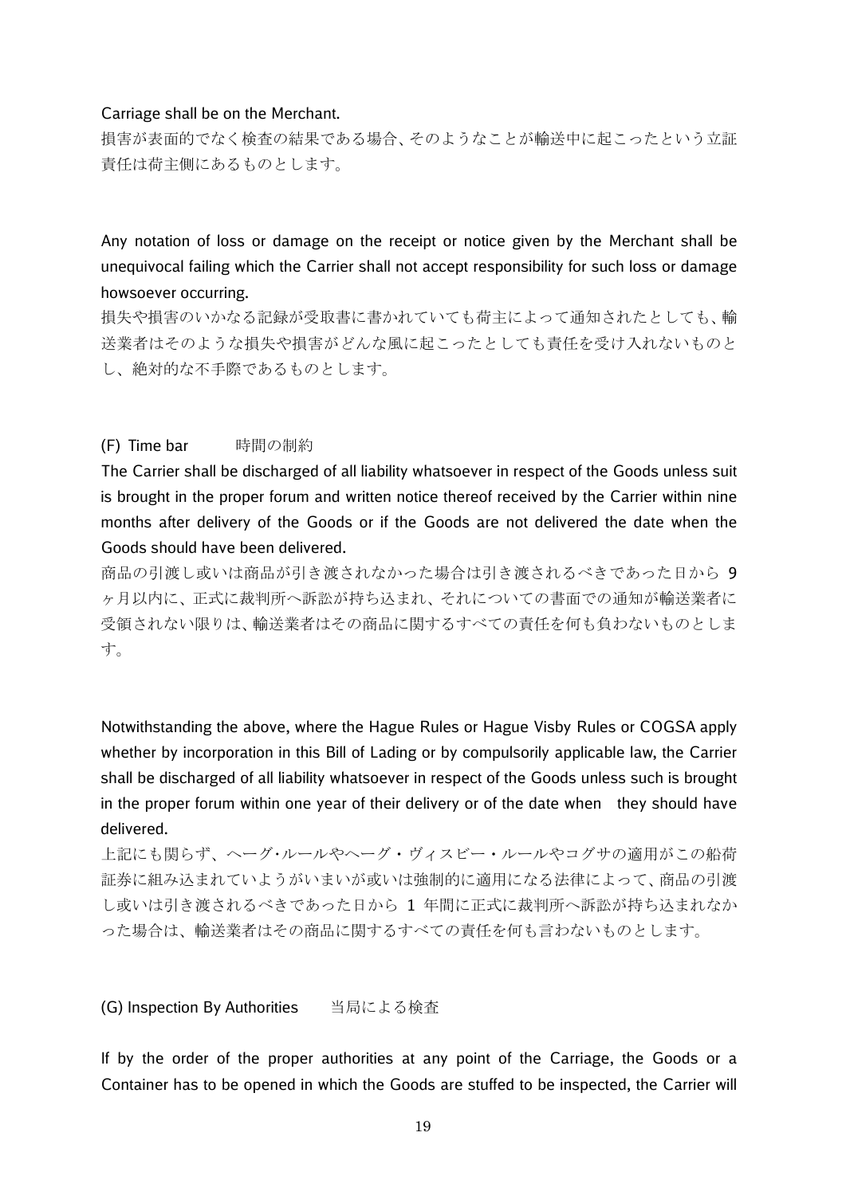#### Carriage shall be on the Merchant.

損害が表面的でなく検査の結果である場合、そのようなことが輸送中に起こったという立証 責任は荷主側にあるものとします。

Any notation of loss or damage on the receipt or notice given by the Merchant shall be unequivocal failing which the Carrier shall not accept responsibility for such loss or damage howsoever occurring.

損失や損害のいかなる記録が受取書に書かれていても荷主によって通知されたとしても、輸 送業者はそのような損失や損害がどんな風に起こったとしても責任を受け入れないものと し、絶対的な不手際であるものとします。

#### (F) Time bar 時間の制約

The Carrier shall be discharged of all liability whatsoever in respect of the Goods unless suit is brought in the proper forum and written notice thereof received by the Carrier within nine months after delivery of the Goods or if the Goods are not delivered the date when the Goods should have been delivered.

商品の引渡し或いは商品が引き渡されなかった場合は引き渡されるべきであった日から 9 ヶ月以内に、正式に裁判所へ訴訟が持ち込まれ、それについての書面での通知が輸送業者に 受領されない限りは、輸送業者はその商品に関するすべての責任を何も負わないものとしま す。

Notwithstanding the above, where the Hague Rules or Hague Visby Rules or COGSA apply whether by incorporation in this Bill of Lading or by compulsorily applicable law, the Carrier shall be discharged of all liability whatsoever in respect of the Goods unless such is brought in the proper forum within one year of their delivery or of the date when they should have delivered.

上記にも関らず、ヘーグ・ルールやヘーグ・ヴィスビー・ルールやコグサの適用がこの船荷 証券に組み込まれていようがいまいが或いは強制的に適用になる法律によって、商品の引渡 し或いは引き渡されるべきであった日から 1 年間に正式に裁判所へ訴訟が持ち込まれなか った場合は、輸送業者はその商品に関するすべての責任を何も言わないものとします。

(G) Inspection By Authorities 当局による検査

If by the order of the proper authorities at any point of the Carriage, the Goods or a Container has to be opened in which the Goods are stuffed to be inspected, the Carrier will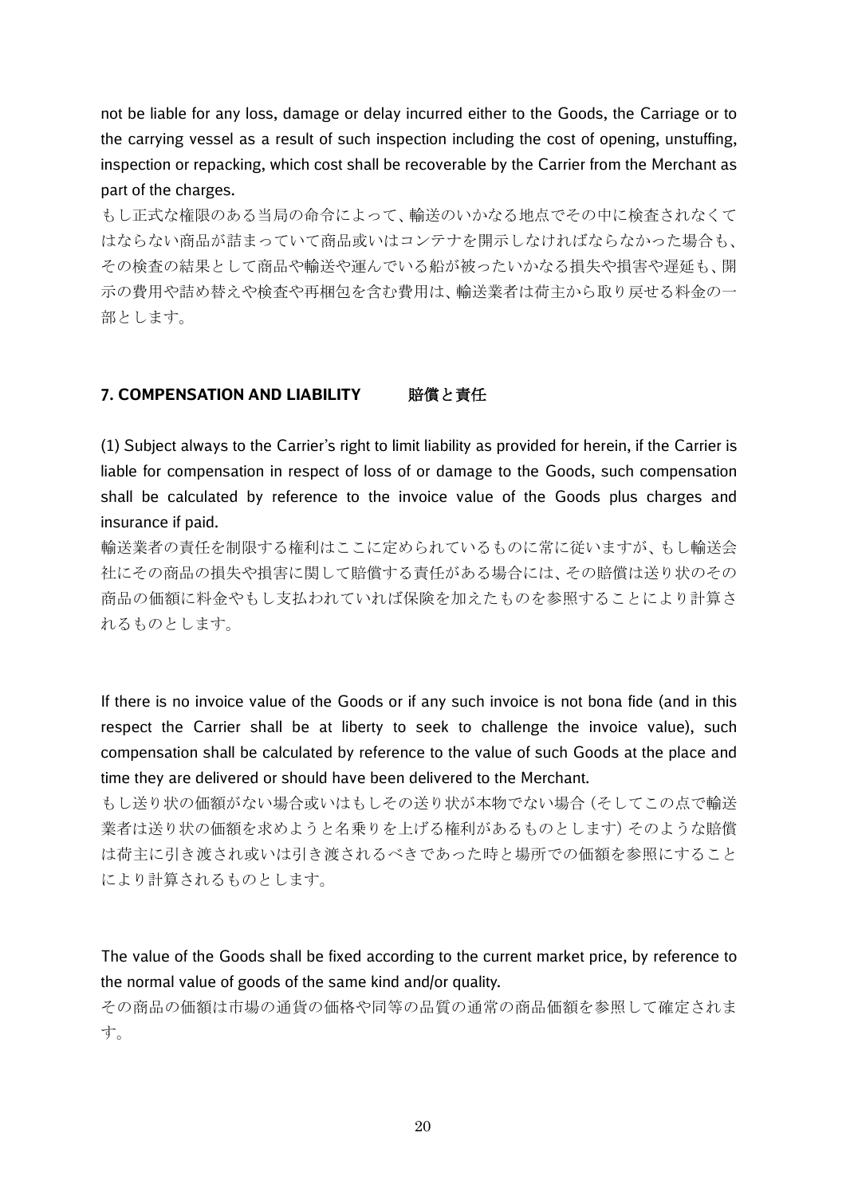not be liable for any loss, damage or delay incurred either to the Goods, the Carriage or to the carrying vessel as a result of such inspection including the cost of opening, unstuffing, inspection or repacking, which cost shall be recoverable by the Carrier from the Merchant as part of the charges.

もし正式な権限のある当局の命令によって、輸送のいかなる地点でその中に検査されなくて はならない商品が詰まっていて商品或いはコンテナを開示しなければならなかった場合も、 その検査の結果として商品や輸送や運んでいる船が被ったいかなる損失や損害や遅延も、開 示の費用や詰め替えや検査や再梱包を含む費用は、輸送業者は荷主から取り戻せる料金の一 部とします。

## 7. COMPENSATION AND LIABILITY 暗償と責任

(1) Subject always to the Carrier's right to limit liability as provided for herein, if the Carrier is liable for compensation in respect of loss of or damage to the Goods, such compensation shall be calculated by reference to the invoice value of the Goods plus charges and insurance if paid.

輸送業者の責任を制限する権利はここに定められているものに常に従いますが、もし輸送会 社にその商品の損失や損害に関して賠償する責任がある場合には、その賠償は送り状のその 商品の価額に料金やもし支払われていれば保険を加えたものを参照することにより計算さ れるものとします。

If there is no invoice value of the Goods or if any such invoice is not bona fide (and in this respect the Carrier shall be at liberty to seek to challenge the invoice value), such compensation shall be calculated by reference to the value of such Goods at the place and time they are delivered or should have been delivered to the Merchant.

もし送り状の価額がない場合或いはもしその送り状が本物でない場合(そしてこの点で輸送 業者は送り状の価額を求めようと名乗りを上げる権利があるものとします)そのような賠償 は荷主に引き渡され或いは引き渡されるべきであった時と場所での価額を参照にすること により計算されるものとします。

The value of the Goods shall be fixed according to the current market price, by reference to the normal value of goods of the same kind and/or quality.

その商品の価額は市場の通貨の価格や同等の品質の通常の商品価額を参照して確定されま す。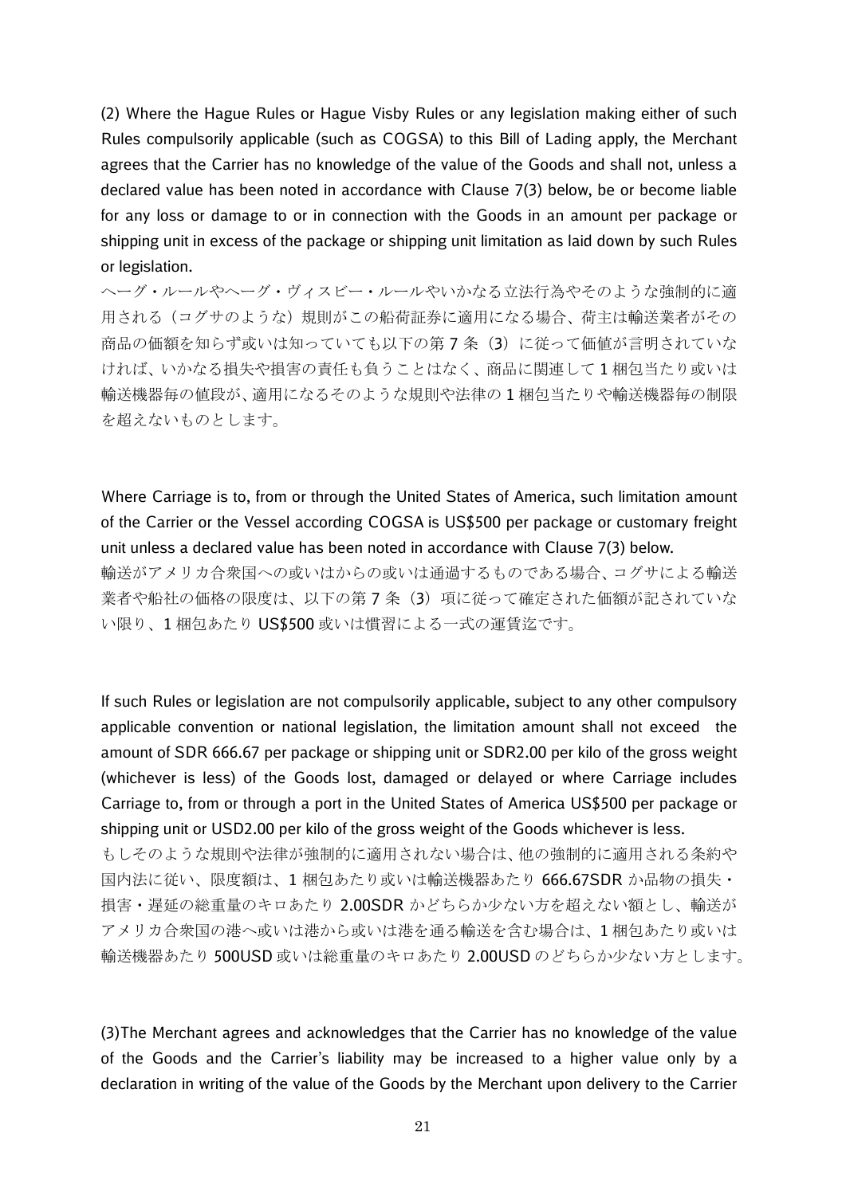(2) Where the Hague Rules or Hague Visby Rules or any legislation making either of such Rules compulsorily applicable (such as COGSA) to this Bill of Lading apply, the Merchant agrees that the Carrier has no knowledge of the value of the Goods and shall not, unless a declared value has been noted in accordance with Clause 7(3) below, be or become liable for any loss or damage to or in connection with the Goods in an amount per package or shipping unit in excess of the package or shipping unit limitation as laid down by such Rules or legislation.

ヘーグ・ルールやヘーグ・ヴィスビー・ルールやいかなる立法行為やそのような強制的に適 用される(コグサのような)規則がこの船荷証券に適用になる場合、荷主は輸送業者がその 商品の価額を知らず或いは知っていても以下の第7条(3)に従って価値が言明されていな ければ、いかなる損失や損害の責任も負うことはなく、商品に関連して 1 梱包当たり或いは 輸送機器毎の値段が、適用になるそのような規則や法律の 1 梱包当たりや輸送機器毎の制限 を超えないものとします。

Where Carriage is to, from or through the United States of America, such limitation amount of the Carrier or the Vessel according COGSA is US\$500 per package or customary freight unit unless a declared value has been noted in accordance with Clause 7(3) below. 輸送がアメリカ合衆国への或いはからの或いは通過するものである場合、コグサによる輸送 業者や船社の価格の限度は、以下の第7条(3)項に従って確定された価額が記されていな い限り、1 梱包あたり US\$500 或いは慣習による一式の運賃迄です。

If such Rules or legislation are not compulsorily applicable, subject to any other compulsory applicable convention or national legislation, the limitation amount shall not exceed the amount of SDR 666.67 per package or shipping unit or SDR2.00 per kilo of the gross weight (whichever is less) of the Goods lost, damaged or delayed or where Carriage includes Carriage to, from or through a port in the United States of America US\$500 per package or shipping unit or USD2.00 per kilo of the gross weight of the Goods whichever is less. もしそのような規則や法律が強制的に適用されない場合は、他の強制的に適用される条約や 国内法に従い、限度額は、1 梱包あたり或いは輸送機器あたり 666.67SDR か品物の損失・ 損害・遅延の総重量のキロあたり 2.00SDR かどちらか少ない方を超えない額とし、輸送が アメリカ合衆国の港へ或いは港から或いは港を通る輸送を含む場合は、1 梱包あたり或いは

輸送機器あたり 500USD 或いは総重量のキロあたり 2.00USD のどちらか少ない方とします。

(3)The Merchant agrees and acknowledges that the Carrier has no knowledge of the value of the Goods and the Carrier's liability may be increased to a higher value only by a declaration in writing of the value of the Goods by the Merchant upon delivery to the Carrier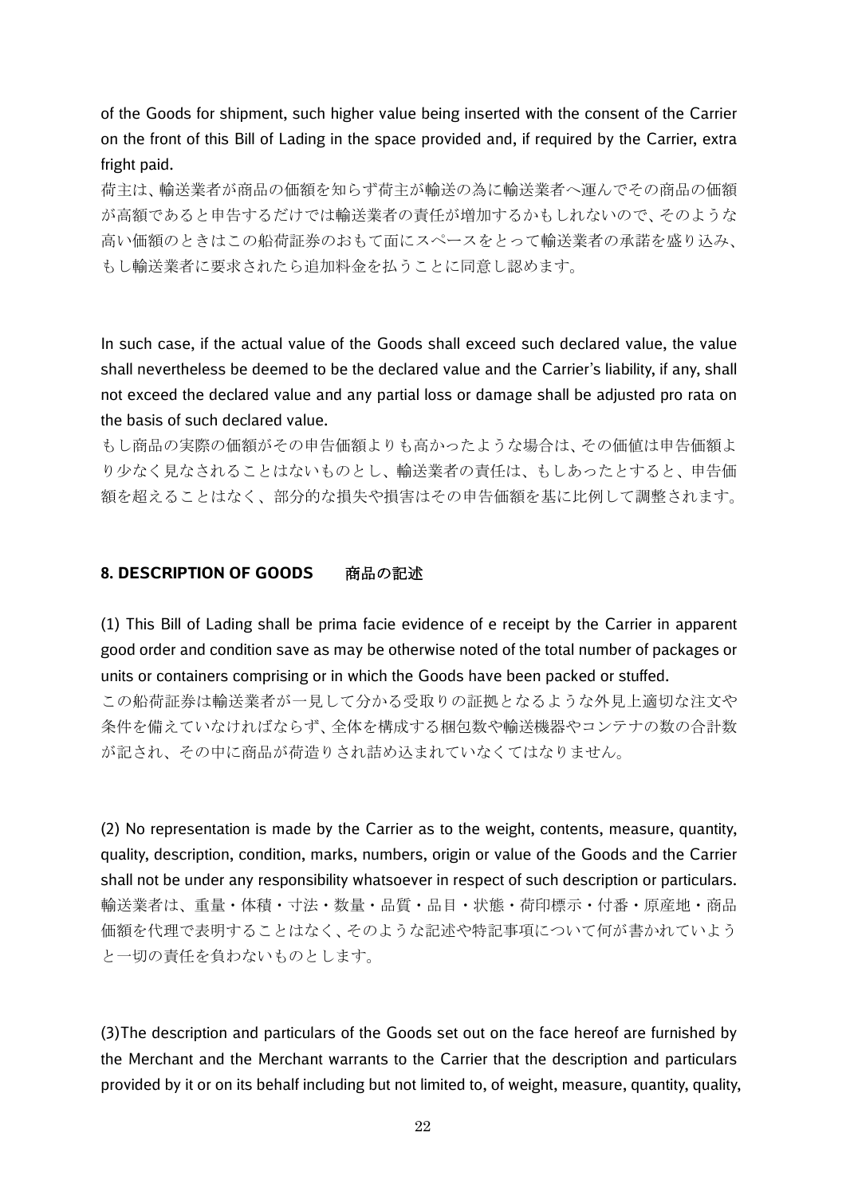of the Goods for shipment, such higher value being inserted with the consent of the Carrier on the front of this Bill of Lading in the space provided and, if required by the Carrier, extra fright paid.

荷主は、輸送業者が商品の価額を知らず荷主が輸送の為に輸送業者へ運んでその商品の価額 が高額であると申告するだけでは輸送業者の責任が増加するかもしれないので、そのような 高い価額のときはこの船荷証券のおもて面にスペースをとって輸送業者の承諾を盛り込み、 もし輸送業者に要求されたら追加料金を払うことに同意し認めます。

In such case, if the actual value of the Goods shall exceed such declared value, the value shall nevertheless be deemed to be the declared value and the Carrier's liability, if any, shall not exceed the declared value and any partial loss or damage shall be adjusted pro rata on the basis of such declared value.

もし商品の実際の価額がその申告価額よりも高かったような場合は、その価値は申告価額よ り少なく見なされることはないものとし、輸送業者の責任は、もしあったとすると、申告価 額を超えることはなく、部分的な損失や損害はその申告価額を基に比例して調整されます。

## **8. DESCRIPTION OF GOODS** 商品の記述

(1) This Bill of Lading shall be prima facie evidence of e receipt by the Carrier in apparent good order and condition save as may be otherwise noted of the total number of packages or units or containers comprising or in which the Goods have been packed or stuffed.

この船荷証券は輸送業者が一見して分かる受取りの証拠となるような外見上適切な注文や 条件を備えていなければならず、全体を構成する梱包数や輸送機器やコンテナの数の合計数 が記され、その中に商品が荷造りされ詰め込まれていなくてはなりません。

(2) No representation is made by the Carrier as to the weight, contents, measure, quantity, quality, description, condition, marks, numbers, origin or value of the Goods and the Carrier shall not be under any responsibility whatsoever in respect of such description or particulars. 輸送業者は、重量・体積・寸法・数量・品質・品目・状態・荷印標示・付番・原産地・商品 価額を代理で表明することはなく、そのような記述や特記事項について何が書かれていよう と一切の責任を負わないものとします。

(3)The description and particulars of the Goods set out on the face hereof are furnished by the Merchant and the Merchant warrants to the Carrier that the description and particulars provided by it or on its behalf including but not limited to, of weight, measure, quantity, quality,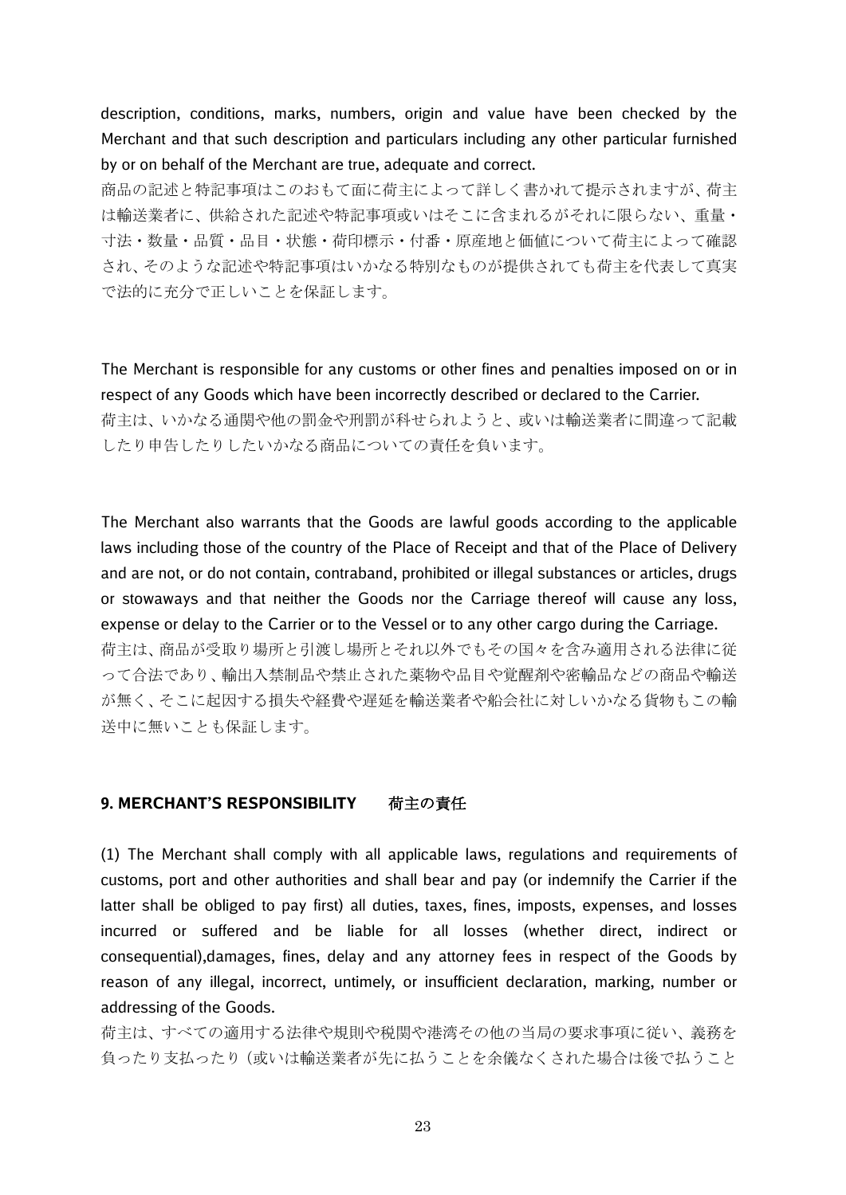description, conditions, marks, numbers, origin and value have been checked by the Merchant and that such description and particulars including any other particular furnished by or on behalf of the Merchant are true, adequate and correct.

商品の記述と特記事項はこのおもて面に荷主によって詳しく書かれて提示されますが、荷主 は輸送業者に、供給された記述や特記事項或いはそこに含まれるがそれに限らない、重量・ 寸法・数量・品質・品目・状態・荷印標示・付番・原産地と価値について荷主によって確認 され、そのような記述や特記事項はいかなる特別なものが提供されても荷主を代表して真実 で法的に充分で正しいことを保証します。

The Merchant is responsible for any customs or other fines and penalties imposed on or in respect of any Goods which have been incorrectly described or declared to the Carrier. 荷主は、いかなる通関や他の罰金や刑罰が科せられようと、或いは輸送業者に間違って記載 したり申告したりしたいかなる商品についての責任を負います。

The Merchant also warrants that the Goods are lawful goods according to the applicable laws including those of the country of the Place of Receipt and that of the Place of Delivery and are not, or do not contain, contraband, prohibited or illegal substances or articles, drugs or stowaways and that neither the Goods nor the Carriage thereof will cause any loss, expense or delay to the Carrier or to the Vessel or to any other cargo during the Carriage. 荷主は、商品が受取り場所と引渡し場所とそれ以外でもその国々を含み適用される法律に従 って合法であり、輸出入禁制品や禁止された薬物や品目や覚醒剤や密輸品などの商品や輸送 が無く、そこに起因する損失や経費や遅延を輸送業者や船会社に対しいかなる貨物もこの輸 送中に無いことも保証します。

## **9. MERCHANT'S RESPONSIBILITY** 荷主の責任

(1) The Merchant shall comply with all applicable laws, regulations and requirements of customs, port and other authorities and shall bear and pay (or indemnify the Carrier if the latter shall be obliged to pay first) all duties, taxes, fines, imposts, expenses, and losses incurred or suffered and be liable for all losses (whether direct, indirect or consequential),damages, fines, delay and any attorney fees in respect of the Goods by reason of any illegal, incorrect, untimely, or insufficient declaration, marking, number or addressing of the Goods.

荷主は、すべての適用する法律や規則や税関や港湾その他の当局の要求事項に従い、義務を 負ったり支払ったり(或いは輸送業者が先に払うことを余儀なくされた場合は後で払うこと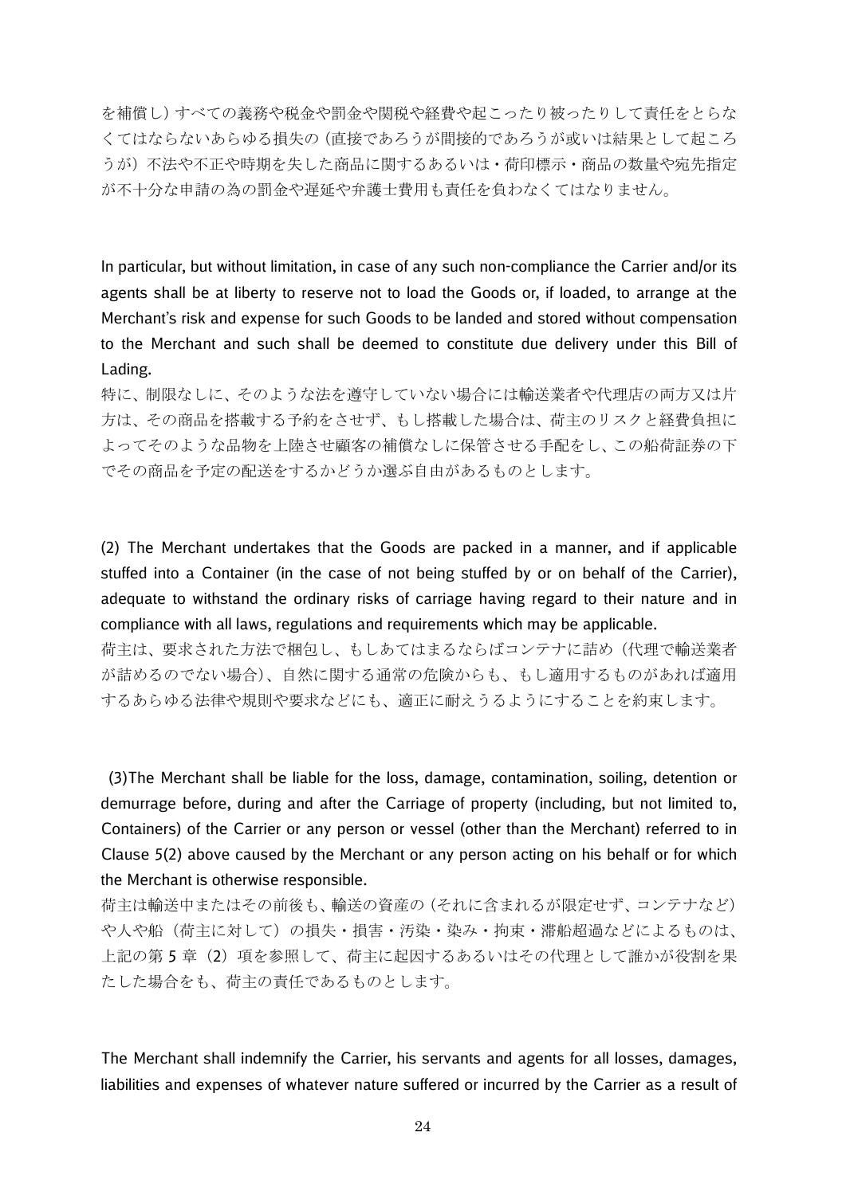を補償し)すべての義務や税金や罰金や関税や経費や起こったり被ったりして責任をとらな くてはならないあらゆる損失の(直接であろうが間接的であろうが或いは結果として起ころ うが)不法や不正や時期を失した商品に関するあるいは・荷印標示・商品の数量や宛先指定 が不十分な申請の為の罰金や遅延や弁護士費用も責任を負わなくてはなりません。

In particular, but without limitation, in case of any such non-compliance the Carrier and/or its agents shall be at liberty to reserve not to load the Goods or, if loaded, to arrange at the Merchant's risk and expense for such Goods to be landed and stored without compensation to the Merchant and such shall be deemed to constitute due delivery under this Bill of Lading.

特に、制限なしに、そのような法を遵守していない場合には輸送業者や代理店の両方又は片 方は、その商品を搭載する予約をさせず、もし搭載した場合は、荷主のリスクと経費負担に よってそのような品物を上陸させ顧客の補償なしに保管させる手配をし、この船荷証券の下 でその商品を予定の配送をするかどうか選ぶ自由があるものとします。

(2) The Merchant undertakes that the Goods are packed in a manner, and if applicable stuffed into a Container (in the case of not being stuffed by or on behalf of the Carrier), adequate to withstand the ordinary risks of carriage having regard to their nature and in compliance with all laws, regulations and requirements which may be applicable.

荷主は、要求された方法で梱包し、もしあてはまるならばコンテナに詰め(代理で輸送業者 が詰めるのでない場合)、自然に関する通常の危険からも、もし適用するものがあれば適用 するあらゆる法律や規則や要求などにも、適正に耐えうるようにすることを約束します。

(3)The Merchant shall be liable for the loss, damage, contamination, soiling, detention or demurrage before, during and after the Carriage of property (including, but not limited to, Containers) of the Carrier or any person or vessel (other than the Merchant) referred to in Clause 5(2) above caused by the Merchant or any person acting on his behalf or for which the Merchant is otherwise responsible.

荷主は輸送中またはその前後も、輸送の資産の(それに含まれるが限定せず、コンテナなど) や人や船(荷主に対して)の損失・損害・汚染・染み・拘束・滞船超過などによるものは、 上記の第5章(2)項を参照して、荷主に起因するあるいはその代理として誰かが役割を果 たした場合をも、荷主の責任であるものとします。

The Merchant shall indemnify the Carrier, his servants and agents for all losses, damages, liabilities and expenses of whatever nature suffered or incurred by the Carrier as a result of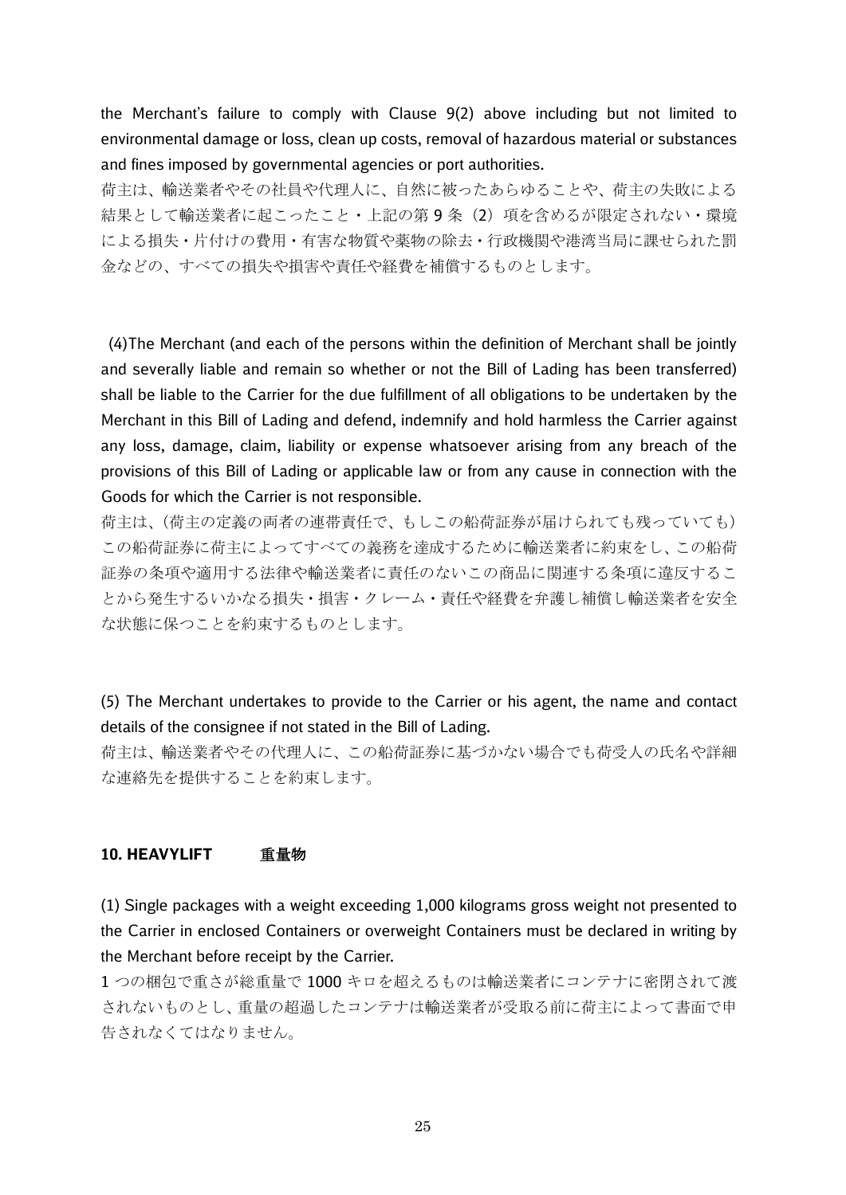the Merchant's failure to comply with Clause 9(2) above including but not limited to environmental damage or loss, clean up costs, removal of hazardous material or substances and fines imposed by governmental agencies or port authorities.

荷主は、輸送業者やその社員や代理人に、自然に被ったあらゆることや、荷主の失敗による 結果として輸送業者に起こったこと·上記の第9条(2)項を含めるが限定されない·環境 による損失・片付けの費用・有害な物質や薬物の除去・行政機関や港湾当局に課せられた罰 金などの、すべての損失や損害や責任や経費を補償するものとします。

(4)The Merchant (and each of the persons within the definition of Merchant shall be jointly and severally liable and remain so whether or not the Bill of Lading has been transferred) shall be liable to the Carrier for the due fulfillment of all obligations to be undertaken by the Merchant in this Bill of Lading and defend, indemnify and hold harmless the Carrier against any loss, damage, claim, liability or expense whatsoever arising from any breach of the provisions of this Bill of Lading or applicable law or from any cause in connection with the Goods for which the Carrier is not responsible.

荷主は、(荷主の定義の両者の連帯責任で、もしこの船荷証券が届けられても残っていても) この船荷証券に荷主によってすべての義務を達成するために輸送業者に約束をし、この船荷 証券の条項や適用する法律や輸送業者に責任のないこの商品に関連する条項に違反するこ とから発生するいかなる損失・損害・クレーム・責任や経費を弁護し補償し輸送業者を安全 な状態に保つことを約束するものとします。

(5) The Merchant undertakes to provide to the Carrier or his agent, the name and contact details of the consignee if not stated in the Bill of Lading.

荷主は、輸送業者やその代理人に、この船荷証券に基づかない場合でも荷受人の氏名や詳細 な連絡先を提供することを約束します。

#### **10. HEAVYLIFT** 重量物

(1) Single packages with a weight exceeding 1,000 kilograms gross weight not presented to the Carrier in enclosed Containers or overweight Containers must be declared in writing by the Merchant before receipt by the Carrier.

1 つの梱包で重さが総重量で 1000 キロを超えるものは輸送業者にコンテナに密閉されて渡 されないものとし、重量の超過したコンテナは輸送業者が受取る前に荷主によって書面で申 告されなくてはなりません。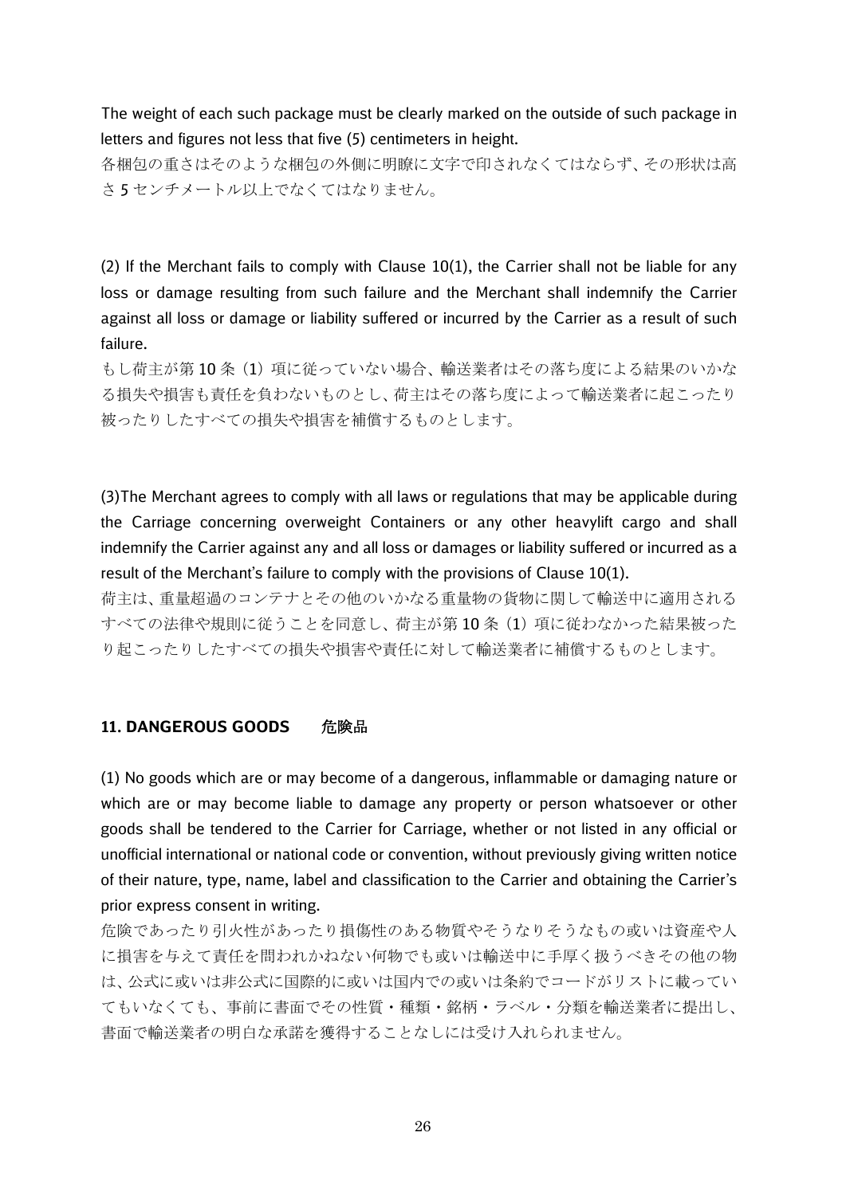The weight of each such package must be clearly marked on the outside of such package in letters and figures not less that five (5) centimeters in height.

各梱包の重さはそのような梱包の外側に明瞭に文字で印されなくてはならず、その形状は高 さ 5 センチメートル以上でなくてはなりません。

(2) If the Merchant fails to comply with Clause  $10(1)$ , the Carrier shall not be liable for any loss or damage resulting from such failure and the Merchant shall indemnify the Carrier against all loss or damage or liability suffered or incurred by the Carrier as a result of such failure.

もし荷主が第10条(1)項に従っていない場合、輸送業者はその落ち度による結果のいかな る損失や損害も責任を負わないものとし、荷主はその落ち度によって輸送業者に起こったり 被ったりしたすべての損失や損害を補償するものとします。

(3)The Merchant agrees to comply with all laws or regulations that may be applicable during the Carriage concerning overweight Containers or any other heavylift cargo and shall indemnify the Carrier against any and all loss or damages or liability suffered or incurred as a result of the Merchant's failure to comply with the provisions of Clause 10(1).

荷主は、重量超過のコンテナとその他のいかなる重量物の貨物に関して輸送中に適用される すべての法律や規則に従うことを同意し、荷主が第10条(1)項に従わなかった結果被った り起こったりしたすべての損失や損害や責任に対して輸送業者に補償するものとします。

## **11. DANGEROUS GOODS** 危険品

(1) No goods which are or may become of a dangerous, inflammable or damaging nature or which are or may become liable to damage any property or person whatsoever or other goods shall be tendered to the Carrier for Carriage, whether or not listed in any official or unofficial international or national code or convention, without previously giving written notice of their nature, type, name, label and classification to the Carrier and obtaining the Carrier's prior express consent in writing.

危険であったり引火性があったり損傷性のある物質やそうなりそうなもの或いは資産や人 に損害を与えて責任を問われかねない何物でも或いは輸送中に手厚く扱うべきその他の物 は、公式に或いは非公式に国際的に或いは国内での或いは条約でコードがリストに載ってい てもいなくても、事前に書面でその性質・種類・銘柄・ラベル・分類を輸送業者に提出し、 書面で輸送業者の明白な承諾を獲得することなしには受け入れられません。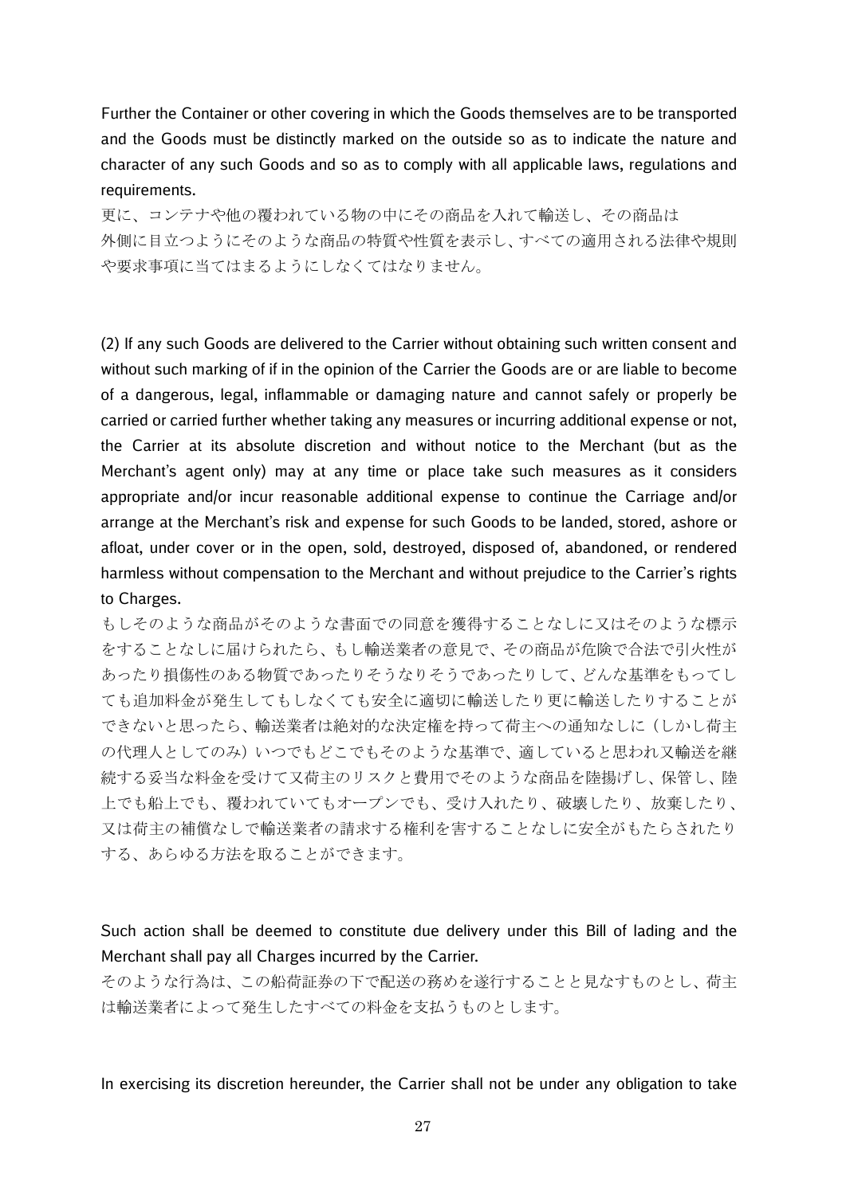Further the Container or other covering in which the Goods themselves are to be transported and the Goods must be distinctly marked on the outside so as to indicate the nature and character of any such Goods and so as to comply with all applicable laws, regulations and requirements.

更に、コンテナや他の覆われている物の中にその商品を入れて輸送し、その商品は 外側に目立つようにそのような商品の特質や性質を表示し、すべての適用される法律や規則 や要求事項に当てはまるようにしなくてはなりません。

(2) If any such Goods are delivered to the Carrier without obtaining such written consent and without such marking of if in the opinion of the Carrier the Goods are or are liable to become of a dangerous, legal, inflammable or damaging nature and cannot safely or properly be carried or carried further whether taking any measures or incurring additional expense or not, the Carrier at its absolute discretion and without notice to the Merchant (but as the Merchant's agent only) may at any time or place take such measures as it considers appropriate and/or incur reasonable additional expense to continue the Carriage and/or arrange at the Merchant's risk and expense for such Goods to be landed, stored, ashore or afloat, under cover or in the open, sold, destroyed, disposed of, abandoned, or rendered harmless without compensation to the Merchant and without prejudice to the Carrier's rights to Charges.

もしそのような商品がそのような書面での同意を獲得することなしに又はそのような標示 をすることなしに届けられたら、もし輸送業者の意見で、その商品が危険で合法で引火性が あったり損傷性のある物質であったりそうなりそうであったりして、どんな基準をもってし ても追加料金が発生してもしなくても安全に適切に輸送したり更に輸送したりすることが できないと思ったら、輸送業者は絶対的な決定権を持って荷主への通知なしに(しかし荷主 の代理人としてのみ)いつでもどこでもそのような基準で、適していると思われ又輸送を継 続する妥当な料金を受けて又荷主のリスクと費用でそのような商品を陸揚げし、保管し、陸 上でも船上でも、覆われていてもオープンでも、受け入れたり、破壊したり、放棄したり、 又は荷主の補償なしで輸送業者の請求する権利を害することなしに安全がもたらされたり する、あらゆる方法を取ることができます。

Such action shall be deemed to constitute due delivery under this Bill of lading and the Merchant shall pay all Charges incurred by the Carrier.

そのような行為は、この船荷証券の下で配送の務めを遂行することと見なすものとし、荷主 は輸送業者によって発生したすべての料金を支払うものとします。

In exercising its discretion hereunder, the Carrier shall not be under any obligation to take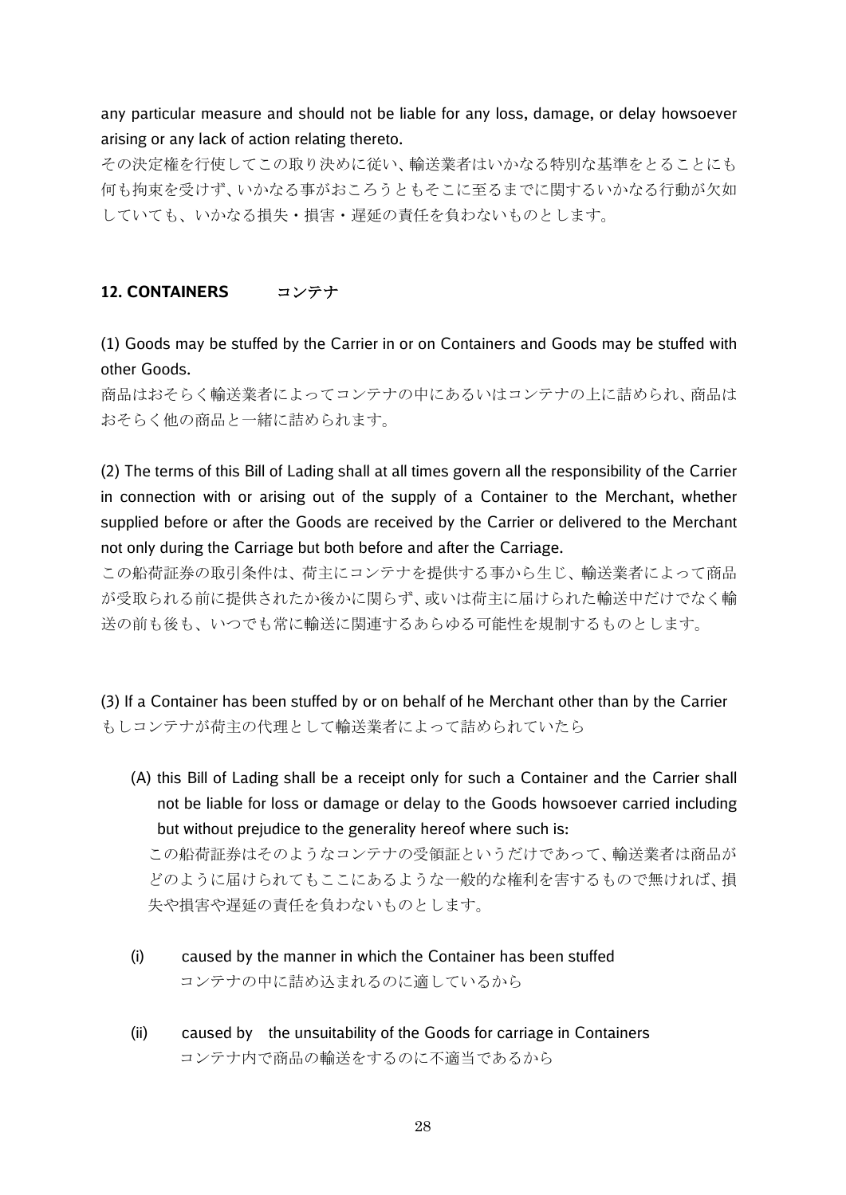any particular measure and should not be liable for any loss, damage, or delay howsoever arising or any lack of action relating thereto.

その決定権を行使してこの取り決めに従い、輸送業者はいかなる特別な基準をとることにも 何も拘束を受けず、いかなる事がおころうともそこに至るまでに関するいかなる行動が欠如 していても、いかなる損失・損害・遅延の責任を負わないものとします。

## **12. CONTAINERS** コンテナ

(1) Goods may be stuffed by the Carrier in or on Containers and Goods may be stuffed with other Goods.

商品はおそらく輸送業者によってコンテナの中にあるいはコンテナの上に詰められ、商品は おそらく他の商品と一緒に詰められます。

(2) The terms of this Bill of Lading shall at all times govern all the responsibility of the Carrier in connection with or arising out of the supply of a Container to the Merchant, whether supplied before or after the Goods are received by the Carrier or delivered to the Merchant not only during the Carriage but both before and after the Carriage.

この船荷証券の取引条件は、荷主にコンテナを提供する事から生じ、輸送業者によって商品 が受取られる前に提供されたか後かに関らず、或いは荷主に届けられた輸送中だけでなく輸 送の前も後も、いつでも常に輸送に関連するあらゆる可能性を規制するものとします。

(3) If a Container has been stuffed by or on behalf of he Merchant other than by the Carrier もしコンテナが荷主の代理として輸送業者によって詰められていたら

(A) this Bill of Lading shall be a receipt only for such a Container and the Carrier shall not be liable for loss or damage or delay to the Goods howsoever carried including but without prejudice to the generality hereof where such is:

 この船荷証券はそのようなコンテナの受領証というだけであって、輸送業者は商品が どのように届けられてもここにあるような一般的な権利を害するもので無ければ、損 失や損害や遅延の責任を負わないものとします。

- (i) caused by the manner in which the Container has been stuffed コンテナの中に詰め込まれるのに適しているから
- (ii) caused by the unsuitability of the Goods for carriage in Containers コンテナ内で商品の輸送をするのに不適当であるから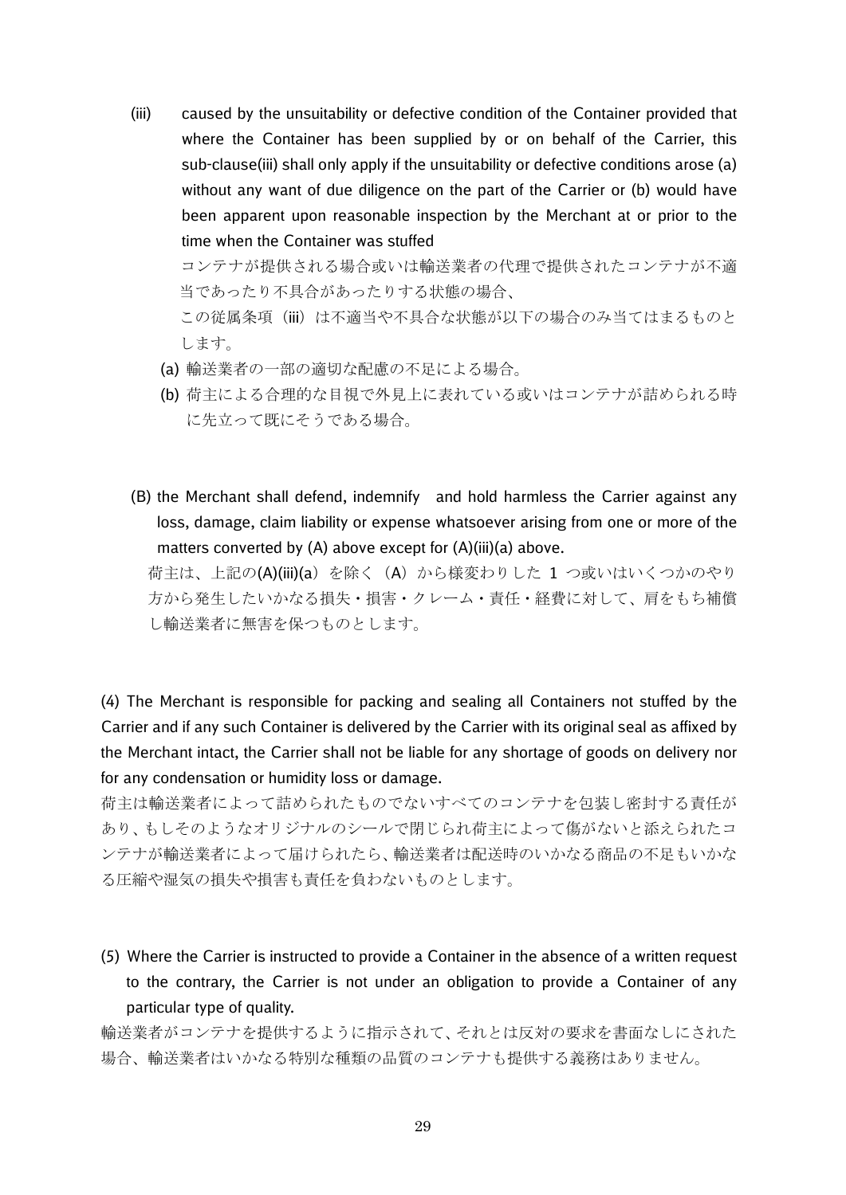(iii) caused by the unsuitability or defective condition of the Container provided that where the Container has been supplied by or on behalf of the Carrier, this sub-clause(iii) shall only apply if the unsuitability or defective conditions arose (a) without any want of due diligence on the part of the Carrier or (b) would have been apparent upon reasonable inspection by the Merchant at or prior to the time when the Container was stuffed

 コンテナが提供される場合或いは輸送業者の代理で提供されたコンテナが不適 当であったり不具合があったりする状態の場合、

この従属条項(iii)は不適当や不具合な状態が以下の場合のみ当てはまるものと します。

- (a) 輸送業者の一部の適切な配慮の不足による場合。
- (b) 荷主による合理的な目視で外見上に表れている或いはコンテナが詰められる時 に先立って既にそうである場合。
- (B) the Merchant shall defend, indemnify and hold harmless the Carrier against any loss, damage, claim liability or expense whatsoever arising from one or more of the matters converted by (A) above except for (A)(iii)(a) above.

荷主は、上記の(A)(iii)(a) を除く (A) から様変わりした 1 つ或いはいくつかのやり 方から発生したいかなる損失・損害・クレーム・責任・経費に対して、肩をもち補償 し輸送業者に無害を保つものとします。

(4) The Merchant is responsible for packing and sealing all Containers not stuffed by the Carrier and if any such Container is delivered by the Carrier with its original seal as affixed by the Merchant intact, the Carrier shall not be liable for any shortage of goods on delivery nor for any condensation or humidity loss or damage.

荷主は輸送業者によって詰められたものでないすべてのコンテナを包装し密封する責任が あり、もしそのようなオリジナルのシールで閉じられ荷主によって傷がないと添えられたコ ンテナが輸送業者によって届けられたら、輸送業者は配送時のいかなる商品の不足もいかな る圧縮や湿気の損失や損害も責任を負わないものとします。

(5) Where the Carrier is instructed to provide a Container in the absence of a written request to the contrary, the Carrier is not under an obligation to provide a Container of any particular type of quality.

輸送業者がコンテナを提供するように指示されて、それとは反対の要求を書面なしにされた 場合、輸送業者はいかなる特別な種類の品質のコンテナも提供する義務はありません。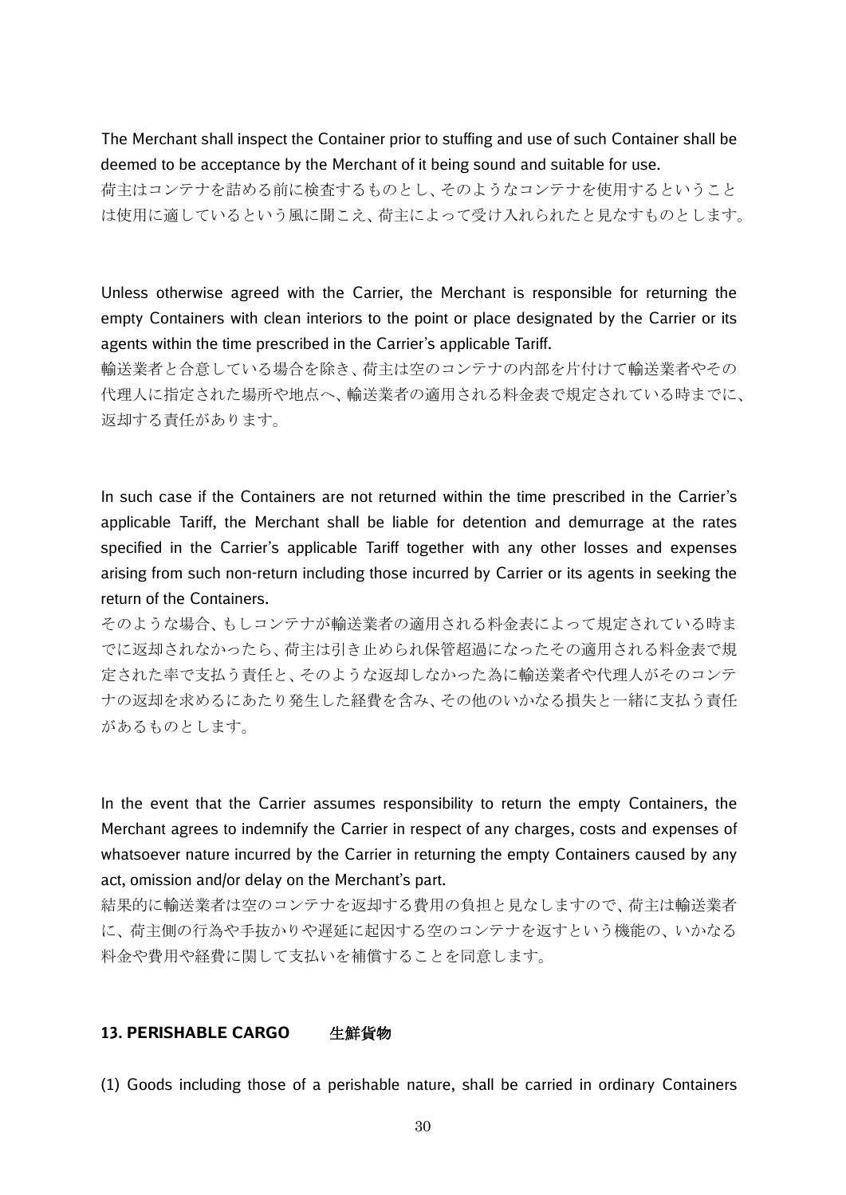The Merchant shall inspect the Container prior to stuffing and use of such Container shall be deemed to be acceptance by the Merchant of it being sound and suitable for use.

荷主はコンテナを詰める前に検査するものとし、そのようなコンテナを使用するということ は使用に適しているという風に聞こえ、荷主によって受け入れられたと見なすものとします。

Unless otherwise agreed with the Carrier, the Merchant is responsible for returning the empty Containers with clean interiors to the point or place designated by the Carrier or its agents within the time prescribed in the Carrier's applicable Tariff.

輸送業者と合意している場合を除き、荷主は空のコンテナの内部を片付けて輸送業者やその 代理人に指定された場所や地点へ、輸送業者の適用される料金表で規定されている時までに、 返却する責任があります。

In such case if the Containers are not returned within the time prescribed in the Carrier's applicable Tariff, the Merchant shall be liable for detention and demurrage at the rates specified in the Carrier's applicable Tariff together with any other losses and expenses arising from such non-return including those incurred by Carrier or its agents in seeking the return of the Containers.

そのような場合、もしコンテナが輸送業者の適用される料金表によって規定されている時ま でに返却されなかったら、荷主は引き止められ保管超過になったその適用される料金表で規 定された率で支払う責任と、そのような返却しなかった為に輸送業者や代理人がそのコンテ ナの返却を求めるにあたり発生した経費を含み、その他のいかなる損失と一緒に支払う責任 があるものとします。

In the event that the Carrier assumes responsibility to return the empty Containers, the Merchant agrees to indemnify the Carrier in respect of any charges, costs and expenses of whatsoever nature incurred by the Carrier in returning the empty Containers caused by any act, omission and/or delay on the Merchant's part.

結果的に輸送業者は空のコンテナを返却する費用の負担と見なしますので、荷主は輸送業者 に、荷主側の行為や手抜かりや遅延に起因する空のコンテナを返すという機能の、いかなる 料金や費用や経費に関して支払いを補償することを同意します。

#### **13. PERISHABLE CARGO** 生鮮貨物

(1) Goods including those of a perishable nature, shall be carried in ordinary Containers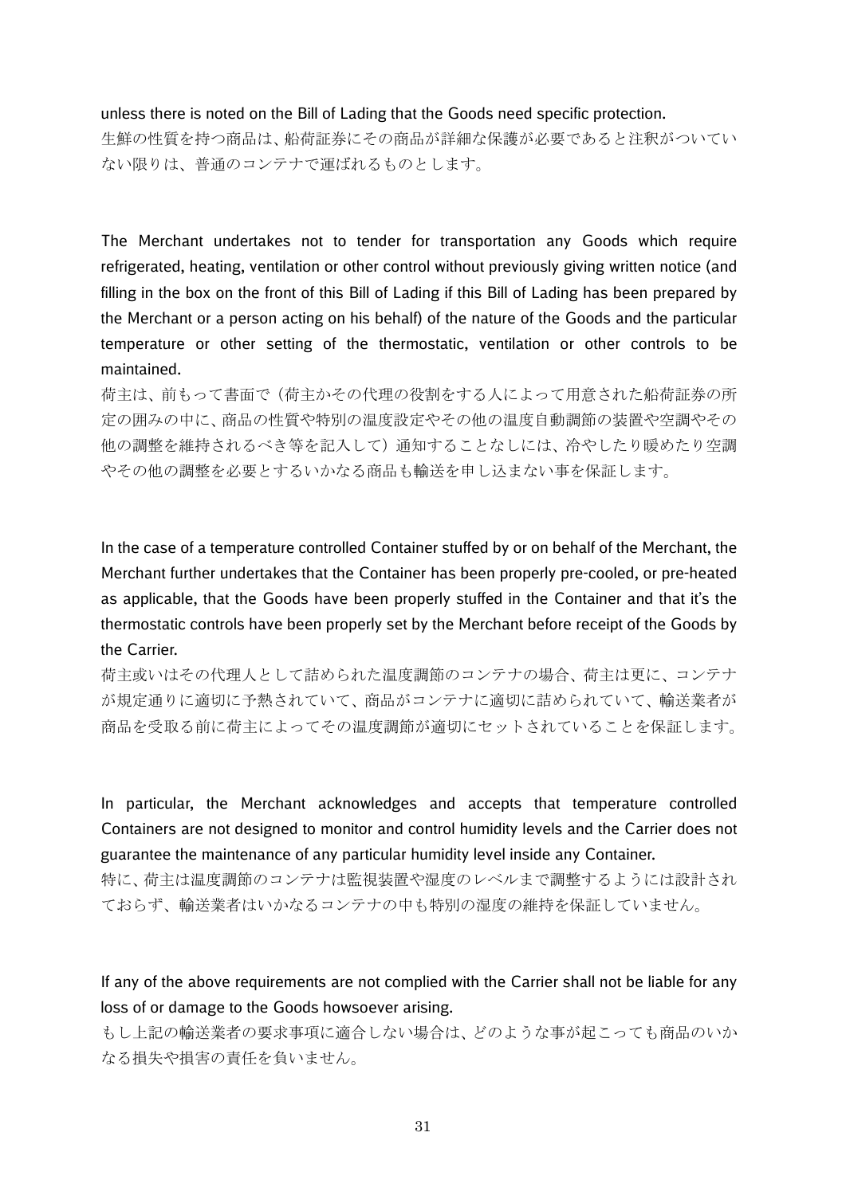#### unless there is noted on the Bill of Lading that the Goods need specific protection.

生鮮の性質を持つ商品は、船荷証券にその商品が詳細な保護が必要であると注釈がついてい ない限りは、普通のコンテナで運ばれるものとします。

The Merchant undertakes not to tender for transportation any Goods which require refrigerated, heating, ventilation or other control without previously giving written notice (and filling in the box on the front of this Bill of Lading if this Bill of Lading has been prepared by the Merchant or a person acting on his behalf) of the nature of the Goods and the particular temperature or other setting of the thermostatic, ventilation or other controls to be maintained.

荷主は、前もって書面で(荷主かその代理の役割をする人によって用意された船荷証券の所 定の囲みの中に、商品の性質や特別の温度設定やその他の温度自動調節の装置や空調やその 他の調整を維持されるべき等を記入して)通知することなしには、冷やしたり暖めたり空調 やその他の調整を必要とするいかなる商品も輸送を申し込まない事を保証します。

In the case of a temperature controlled Container stuffed by or on behalf of the Merchant, the Merchant further undertakes that the Container has been properly pre-cooled, or pre-heated as applicable, that the Goods have been properly stuffed in the Container and that it's the thermostatic controls have been properly set by the Merchant before receipt of the Goods by the Carrier.

荷主或いはその代理人として詰められた温度調節のコンテナの場合、荷主は更に、コンテナ が規定通りに適切に予熱されていて、商品がコンテナに適切に詰められていて、輸送業者が 商品を受取る前に荷主によってその温度調節が適切にセットされていることを保証します。

In particular, the Merchant acknowledges and accepts that temperature controlled Containers are not designed to monitor and control humidity levels and the Carrier does not guarantee the maintenance of any particular humidity level inside any Container. 特に、荷主は温度調節のコンテナは監視装置や湿度のレベルまで調整するようには設計され

ておらず、輸送業者はいかなるコンテナの中も特別の湿度の維持を保証していません。

If any of the above requirements are not complied with the Carrier shall not be liable for any loss of or damage to the Goods howsoever arising.

もし上記の輸送業者の要求事項に適合しない場合は、どのような事が起こっても商品のいか なる損失や損害の責任を負いません。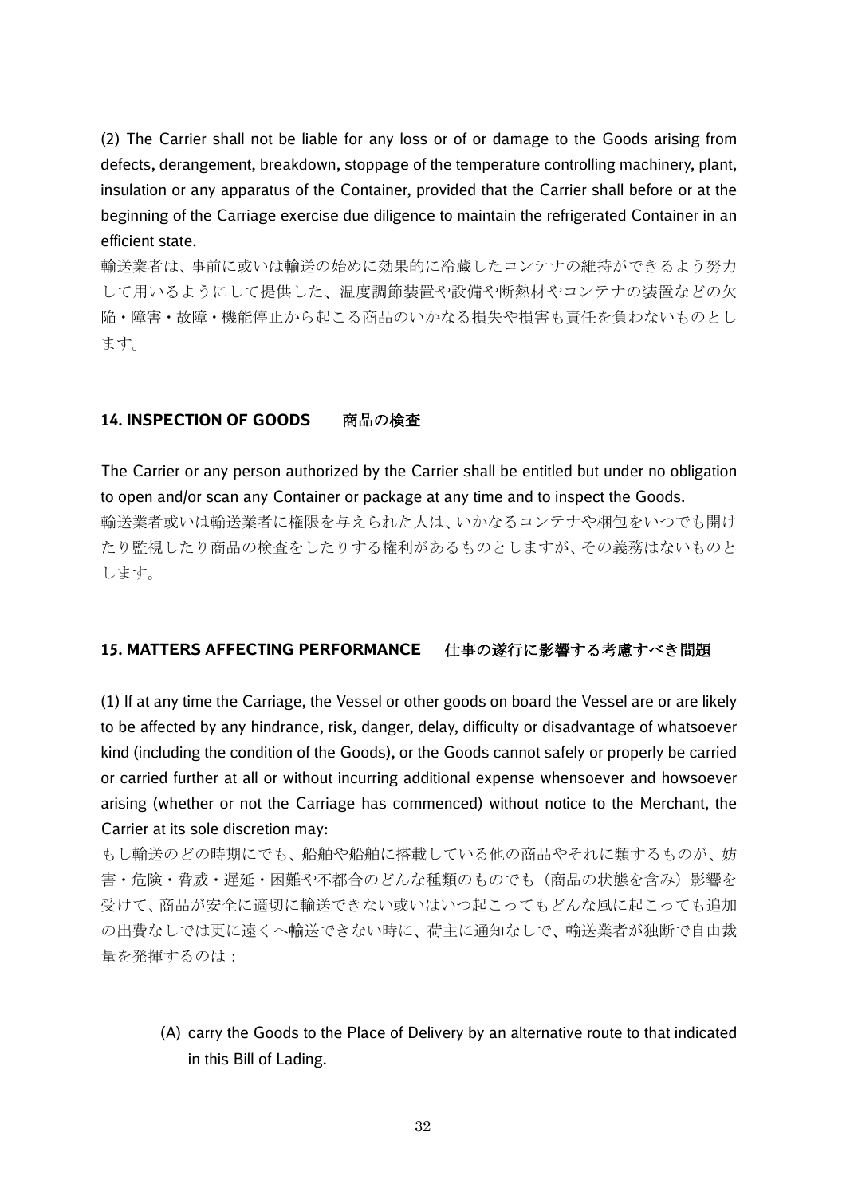(2) The Carrier shall not be liable for any loss or of or damage to the Goods arising from defects, derangement, breakdown, stoppage of the temperature controlling machinery, plant, insulation or any apparatus of the Container, provided that the Carrier shall before or at the beginning of the Carriage exercise due diligence to maintain the refrigerated Container in an efficient state.

輸送業者は、事前に或いは輸送の始めに効果的に冷蔵したコンテナの維持ができるよう努力 して用いるようにして提供した、温度調節装置や設備や断熱材やコンテナの装置などの欠 陥・障害・故障・機能停止から起こる商品のいかなる損失や損害も責任を負わないものとし ます。

## **14. INSPECTION OF GOODS** 商品の検査

The Carrier or any person authorized by the Carrier shall be entitled but under no obligation to open and/or scan any Container or package at any time and to inspect the Goods. 輸送業者或いは輸送業者に権限を与えられた人は、いかなるコンテナや梱包をいつでも開け たり監視したり商品の検査をしたりする権利があるものとしますが、その義務はないものと します。

## **15. MATTERS AFFECTING PERFORMANCE** 仕事の遂行に影響する考慮すべき問題

(1) If at any time the Carriage, the Vessel or other goods on board the Vessel are or are likely to be affected by any hindrance, risk, danger, delay, difficulty or disadvantage of whatsoever kind (including the condition of the Goods), or the Goods cannot safely or properly be carried or carried further at all or without incurring additional expense whensoever and howsoever arising (whether or not the Carriage has commenced) without notice to the Merchant, the Carrier at its sole discretion may:

もし輸送のどの時期にでも、船舶や船舶に搭載している他の商品やそれに類するものが、妨 害・危険・脅威・遅延・困難や不都合のどんな種類のものでも(商品の状態を含み)影響を 受けて、商品が安全に適切に輸送できない或いはいつ起こってもどんな風に起こっても追加 の出費なしでは更に遠くへ輸送できない時に、荷主に通知なしで、輸送業者が独断で自由裁 量を発揮するのは:

(A) carry the Goods to the Place of Delivery by an alternative route to that indicated in this Bill of Lading.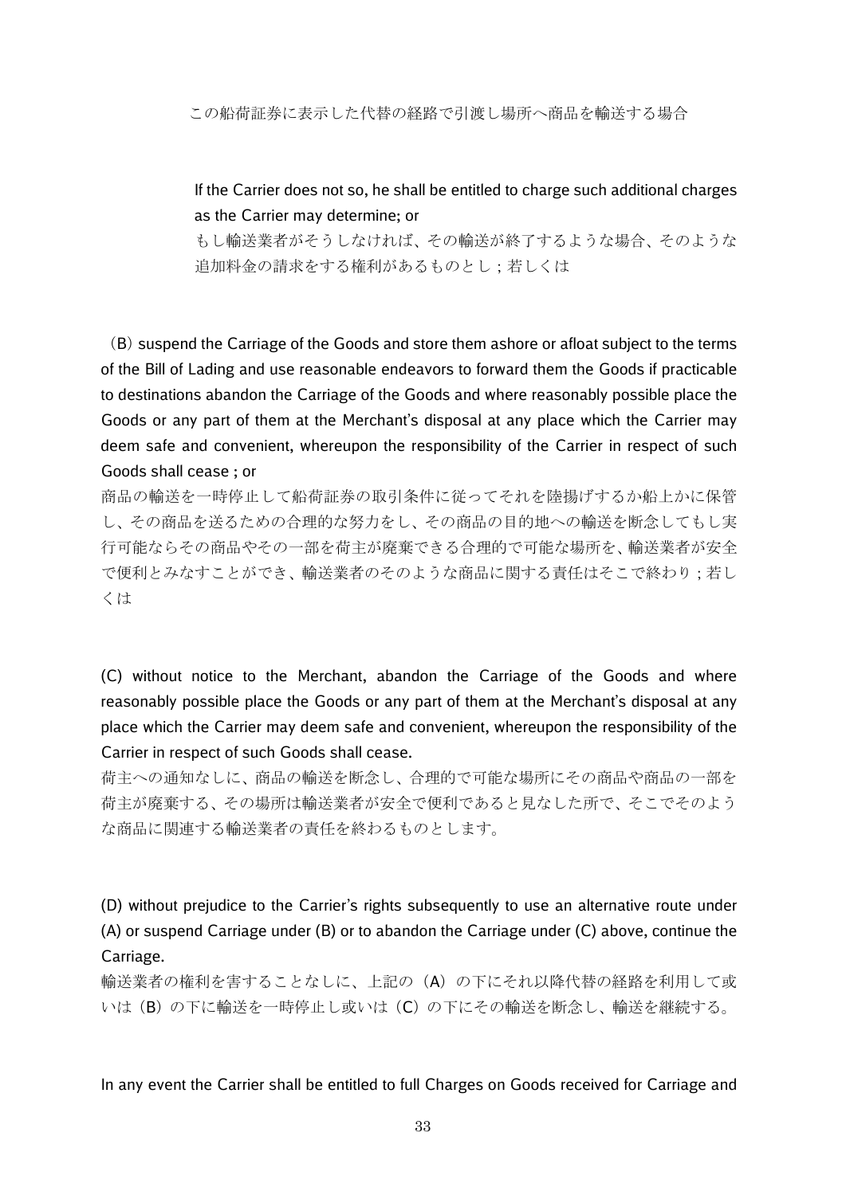この船荷証券に表示した代替の経路で引渡し場所へ商品を輸送する場合

# If the Carrier does not so, he shall be entitled to charge such additional charges as the Carrier may determine; or

もし輸送業者がそうしなければ、その輸送が終了するような場合、そのような 追加料金の請求をする権利があるものとし;若しくは

(B) suspend the Carriage of the Goods and store them ashore or afloat subject to the terms of the Bill of Lading and use reasonable endeavors to forward them the Goods if practicable to destinations abandon the Carriage of the Goods and where reasonably possible place the Goods or any part of them at the Merchant's disposal at any place which the Carrier may deem safe and convenient, whereupon the responsibility of the Carrier in respect of such Goods shall cease ; or

商品の輸送を一時停止して船荷証券の取引条件に従ってそれを陸揚げするか船上かに保管 し、その商品を送るための合理的な努力をし、その商品の目的地への輸送を断念してもし実 行可能ならその商品やその一部を荷主が廃棄できる合理的で可能な場所を、輸送業者が安全 で便利とみなすことができ、輸送業者のそのような商品に関する責任はそこで終わり;若し くは

(C) without notice to the Merchant, abandon the Carriage of the Goods and where reasonably possible place the Goods or any part of them at the Merchant's disposal at any place which the Carrier may deem safe and convenient, whereupon the responsibility of the Carrier in respect of such Goods shall cease.

荷主への通知なしに、商品の輸送を断念し、合理的で可能な場所にその商品や商品の一部を 荷主が廃棄する、その場所は輸送業者が安全で便利であると見なした所で、そこでそのよう な商品に関連する輸送業者の責任を終わるものとします。

(D) without prejudice to the Carrier's rights subsequently to use an alternative route under (A) or suspend Carriage under (B) or to abandon the Carriage under (C) above, continue the Carriage.

輸送業者の権利を害することなしに、上記の(A)の下にそれ以降代替の経路を利用して或 いは(B)の下に輸送を一時停止し或いは(C)の下にその輸送を断念し、輸送を継続する。

In any event the Carrier shall be entitled to full Charges on Goods received for Carriage and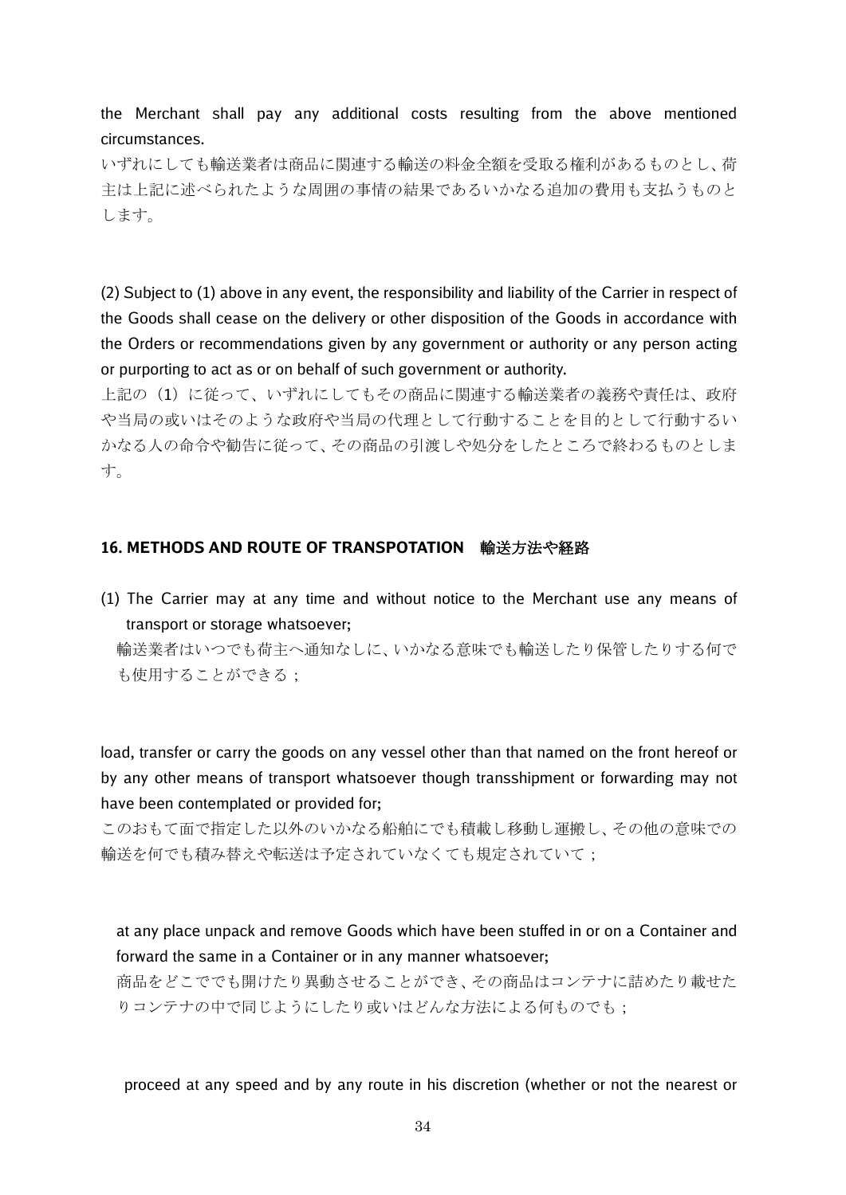the Merchant shall pay any additional costs resulting from the above mentioned circumstances.

いずれにしても輸送業者は商品に関連する輸送の料金全額を受取る権利があるものとし、荷 主は上記に述べられたような周囲の事情の結果であるいかなる追加の費用も支払うものと します。

(2) Subject to (1) above in any event, the responsibility and liability of the Carrier in respect of the Goods shall cease on the delivery or other disposition of the Goods in accordance with the Orders or recommendations given by any government or authority or any person acting or purporting to act as or on behalf of such government or authority.

上記の(1)に従って、いずれにしてもその商品に関連する輸送業者の義務や責任は、政府 や当局の或いはそのような政府や当局の代理として行動することを目的として行動するい かなる人の命令や勧告に従って、その商品の引渡しや処分をしたところで終わるものとしま す。

#### **16. METHODS AND ROUTE OF TRANSPOTATION** 輸送方法や経路

(1) The Carrier may at any time and without notice to the Merchant use any means of transport or storage whatsoever;

輸送業者はいつでも荷主へ通知なしに、いかなる意味でも輸送したり保管したりする何で も使用することができる;

load, transfer or carry the goods on any vessel other than that named on the front hereof or by any other means of transport whatsoever though transshipment or forwarding may not have been contemplated or provided for;

このおもて面で指定した以外のいかなる船舶にでも積載し移動し運搬し、その他の意味での 輸送を何でも積み替えや転送は予定されていなくても規定されていて;

at any place unpack and remove Goods which have been stuffed in or on a Container and forward the same in a Container or in any manner whatsoever;

商品をどこででも開けたり異動させることができ、その商品はコンテナに詰めたり載せた りコンテナの中で同じようにしたり或いはどんな方法による何ものでも;

proceed at any speed and by any route in his discretion (whether or not the nearest or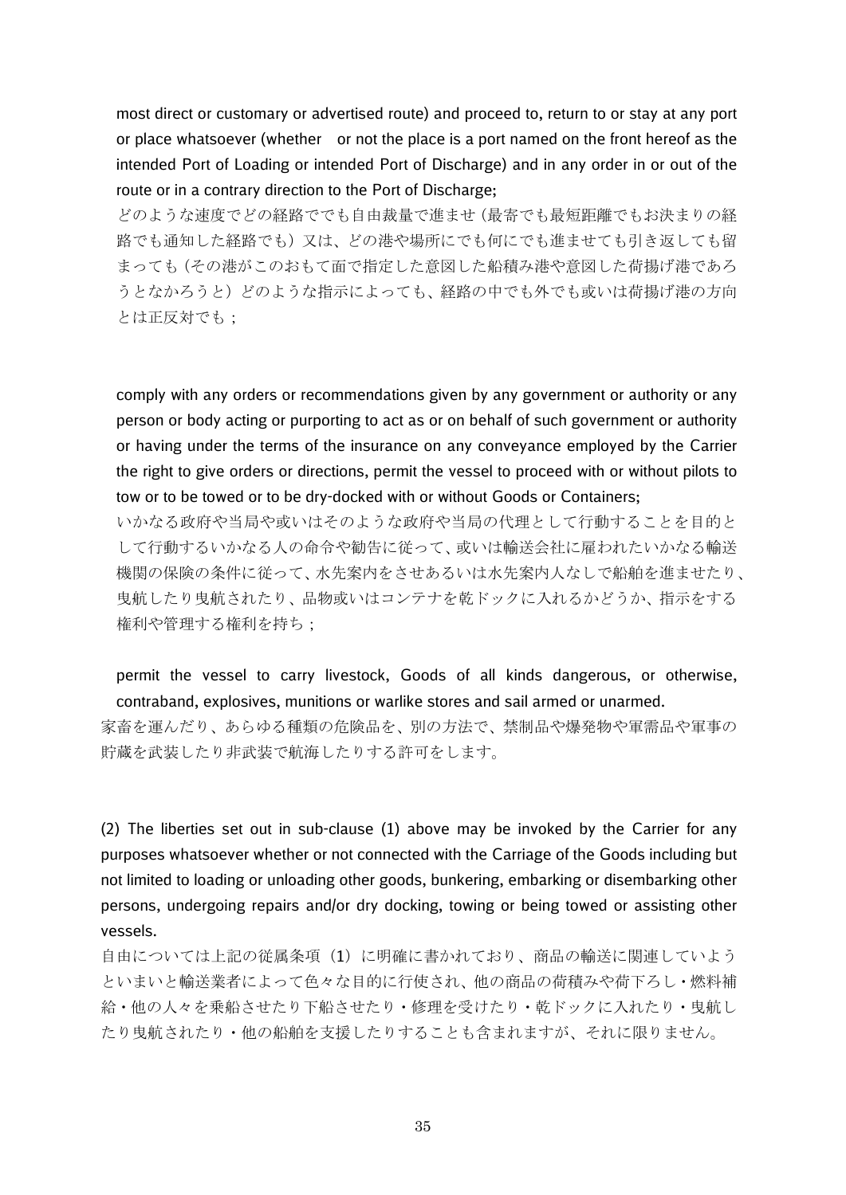most direct or customary or advertised route) and proceed to, return to or stay at any port or place whatsoever (whether or not the place is a port named on the front hereof as the intended Port of Loading or intended Port of Discharge) and in any order in or out of the route or in a contrary direction to the Port of Discharge;

どのような速度でどの経路ででも自由裁量で進ませ(最寄でも最短距離でもお決まりの経 路でも通知した経路でも)又は、どの港や場所にでも何にでも進ませても引き返しても留 まっても(その港がこのおもて面で指定した意図した船積み港や意図した荷揚げ港であろ うとなかろうと)どのような指示によっても、経路の中でも外でも或いは荷揚げ港の方向 とは正反対でも;

comply with any orders or recommendations given by any government or authority or any person or body acting or purporting to act as or on behalf of such government or authority or having under the terms of the insurance on any conveyance employed by the Carrier the right to give orders or directions, permit the vessel to proceed with or without pilots to tow or to be towed or to be dry-docked with or without Goods or Containers;

いかなる政府や当局や或いはそのような政府や当局の代理として行動することを目的と して行動するいかなる人の命令や勧告に従って、或いは輸送会社に雇われたいかなる輸送 機関の保険の条件に従って、水先案内をさせあるいは水先案内人なしで船舶を進ませたり、 曳航したり曳航されたり、品物或いはコンテナを乾ドックに入れるかどうか、指示をする 権利や管理する権利を持ち;

permit the vessel to carry livestock, Goods of all kinds dangerous, or otherwise, contraband, explosives, munitions or warlike stores and sail armed or unarmed.

家畜を運んだり、あらゆる種類の危険品を、別の方法で、禁制品や爆発物や軍需品や軍事の 貯蔵を武装したり非武装で航海したりする許可をします。

(2) The liberties set out in sub-clause (1) above may be invoked by the Carrier for any purposes whatsoever whether or not connected with the Carriage of the Goods including but not limited to loading or unloading other goods, bunkering, embarking or disembarking other persons, undergoing repairs and/or dry docking, towing or being towed or assisting other vessels.

自由については上記の従属条項(1)に明確に書かれており、商品の輸送に関連していよう といまいと輸送業者によって色々な目的に行使され、他の商品の荷積みや荷下ろし・燃料補 給・他の人々を乗船させたり下船させたり・修理を受けたり・乾ドックに入れたり・曳航し たり曳航されたり・他の船舶を支援したりすることも含まれますが、それに限りません。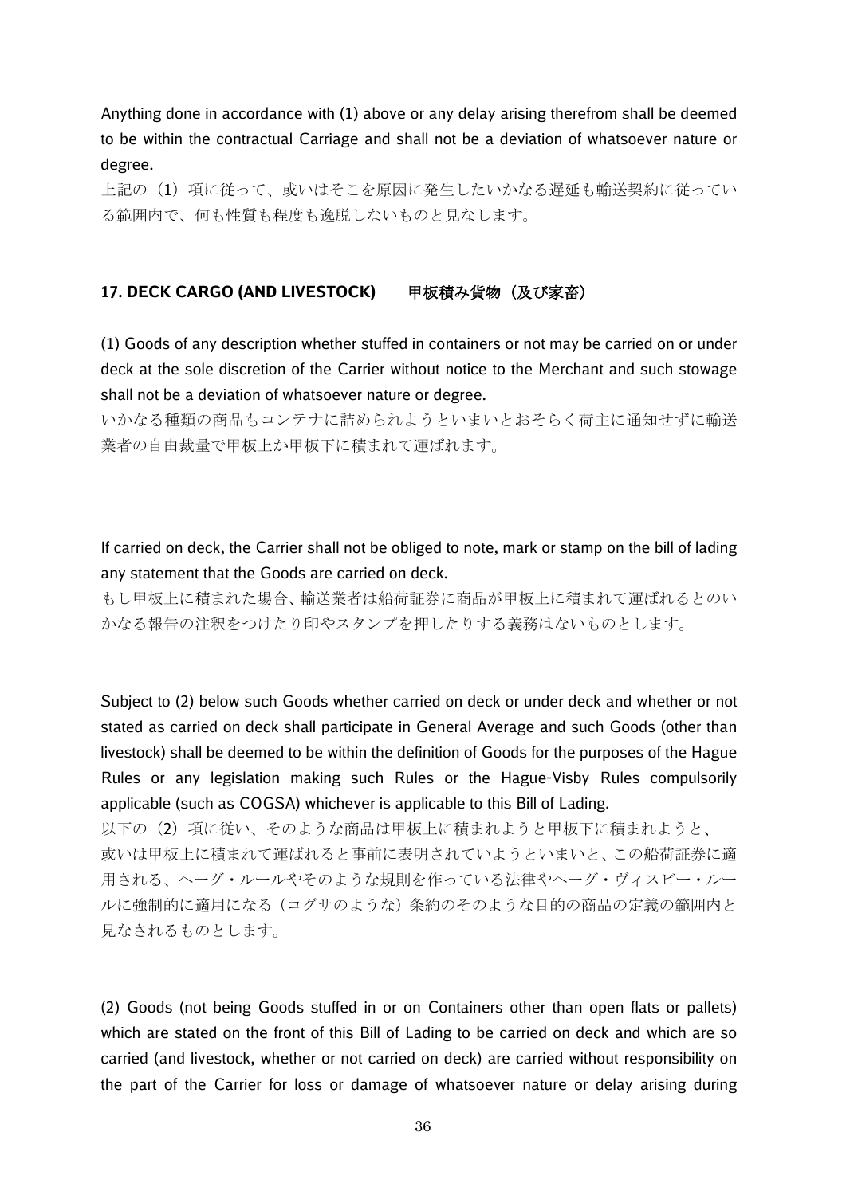Anything done in accordance with (1) above or any delay arising therefrom shall be deemed to be within the contractual Carriage and shall not be a deviation of whatsoever nature or degree.

上記の(1)項に従って、或いはそこを原因に発生したいかなる遅延も輸送契約に従ってい る範囲内で、何も性質も程度も逸脱しないものと見なします。

## 17. DECK CARGO (AND LIVESTOCK) 甲板積み貨物 (及び家畜)

(1) Goods of any description whether stuffed in containers or not may be carried on or under deck at the sole discretion of the Carrier without notice to the Merchant and such stowage shall not be a deviation of whatsoever nature or degree.

いかなる種類の商品もコンテナに詰められようといまいとおそらく荷主に通知せずに輸送 業者の自由裁量で甲板上か甲板下に積まれて運ばれます。

If carried on deck, the Carrier shall not be obliged to note, mark or stamp on the bill of lading any statement that the Goods are carried on deck.

もし甲板上に積まれた場合、輸送業者は船荷証券に商品が甲板上に積まれて運ばれるとのい かなる報告の注釈をつけたり印やスタンプを押したりする義務はないものとします。

Subject to (2) below such Goods whether carried on deck or under deck and whether or not stated as carried on deck shall participate in General Average and such Goods (other than livestock) shall be deemed to be within the definition of Goods for the purposes of the Hague Rules or any legislation making such Rules or the Hague-Visby Rules compulsorily applicable (such as COGSA) whichever is applicable to this Bill of Lading.

以下の(2)項に従い、そのような商品は甲板上に積まれようと甲板下に積まれようと、 或いは甲板上に積まれて運ばれると事前に表明されていようといまいと、この船荷証券に適 用される、ヘーグ・ルールやそのような規則を作っている法律やヘーグ・ヴィスビー・ルー ルに強制的に適用になる(コグサのような)条約のそのような目的の商品の定義の範囲内と 見なされるものとします。

(2) Goods (not being Goods stuffed in or on Containers other than open flats or pallets) which are stated on the front of this Bill of Lading to be carried on deck and which are so carried (and livestock, whether or not carried on deck) are carried without responsibility on the part of the Carrier for loss or damage of whatsoever nature or delay arising during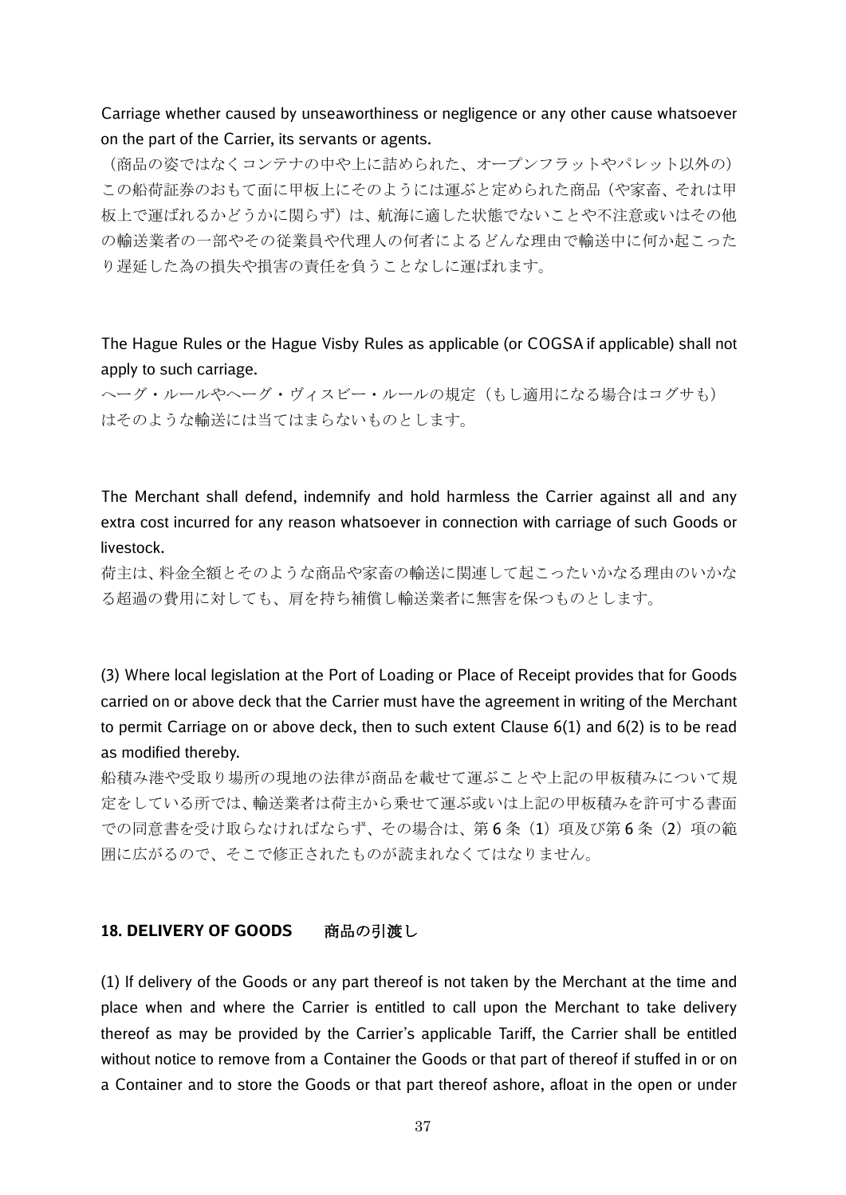## Carriage whether caused by unseaworthiness or negligence or any other cause whatsoever on the part of the Carrier, its servants or agents.

(商品の姿ではなくコンテナの中や上に詰められた、オープンフラットやパレット以外の) この船荷証券のおもて面に甲板上にそのようには運ぶと定められた商品(や家畜、それは甲 板上で運ばれるかどうかに関らず)は、航海に適した状態でないことや不注意或いはその他 の輸送業者の一部やその従業員や代理人の何者によるどんな理由で輸送中に何か起こった り遅延した為の損失や損害の責任を負うことなしに運ばれます。

The Hague Rules or the Hague Visby Rules as applicable (or COGSA if applicable) shall not apply to such carriage.

へーグ・ルールやヘーグ・ヴィスビー・ルールの規定(もし適用になる場合はコグサも) はそのような輸送には当てはまらないものとします。

The Merchant shall defend, indemnify and hold harmless the Carrier against all and any extra cost incurred for any reason whatsoever in connection with carriage of such Goods or livestock.

荷主は、料金全額とそのような商品や家畜の輸送に関連して起こったいかなる理由のいかな る超過の費用に対しても、肩を持ち補償し輸送業者に無害を保つものとします。

(3) Where local legislation at the Port of Loading or Place of Receipt provides that for Goods carried on or above deck that the Carrier must have the agreement in writing of the Merchant to permit Carriage on or above deck, then to such extent Clause 6(1) and 6(2) is to be read as modified thereby.

船積み港や受取り場所の現地の法律が商品を載せて運ぶことや上記の甲板積みについて規 定をしている所では、輸送業者は荷主から乗せて運ぶ或いは上記の甲板積みを許可する書面 での同意書を受け取らなければならず、その場合は、第6条(1)項及び第6条(2)項の範 囲に広がるので、そこで修正されたものが読まれなくてはなりません。

#### **18. DELIVERY OF GOODS** 商品の引渡し

(1) If delivery of the Goods or any part thereof is not taken by the Merchant at the time and place when and where the Carrier is entitled to call upon the Merchant to take delivery thereof as may be provided by the Carrier's applicable Tariff, the Carrier shall be entitled without notice to remove from a Container the Goods or that part of thereof if stuffed in or on a Container and to store the Goods or that part thereof ashore, afloat in the open or under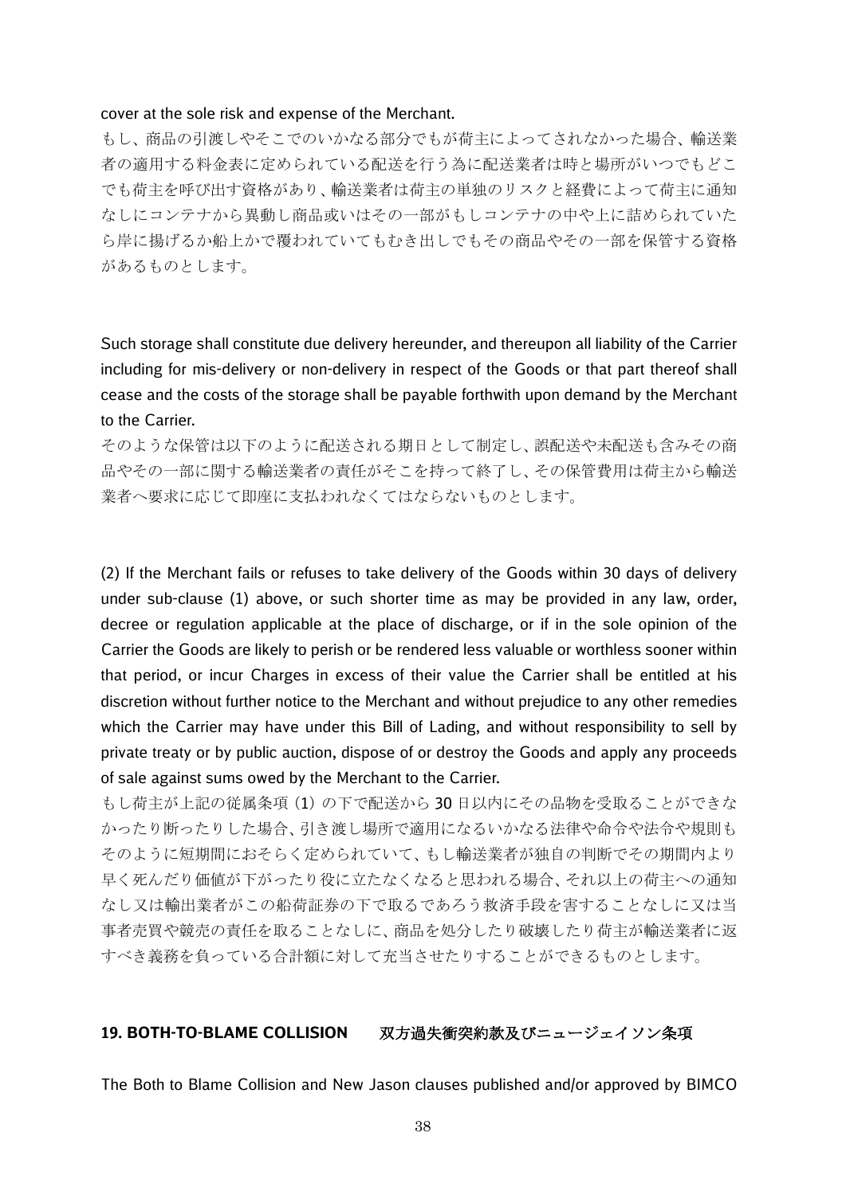#### cover at the sole risk and expense of the Merchant.

もし、商品の引渡しやそこでのいかなる部分でもが荷主によってされなかった場合、輸送業 者の適用する料金表に定められている配送を行う為に配送業者は時と場所がいつでもどこ でも荷主を呼び出す資格があり、輸送業者は荷主の単独のリスクと経費によって荷主に通知 なしにコンテナから異動し商品或いはその一部がもしコンテナの中や上に詰められていた ら岸に揚げるか船上かで覆われていてもむき出しでもその商品やその一部を保管する資格 があるものとします。

Such storage shall constitute due delivery hereunder, and thereupon all liability of the Carrier including for mis-delivery or non-delivery in respect of the Goods or that part thereof shall cease and the costs of the storage shall be payable forthwith upon demand by the Merchant to the Carrier.

そのような保管は以下のように配送される期日として制定し、誤配送や未配送も含みその商 品やその一部に関する輸送業者の責任がそこを持って終了し、その保管費用は荷主から輸送 業者へ要求に応じて即座に支払われなくてはならないものとします。

(2) If the Merchant fails or refuses to take delivery of the Goods within 30 days of delivery under sub-clause (1) above, or such shorter time as may be provided in any law, order, decree or regulation applicable at the place of discharge, or if in the sole opinion of the Carrier the Goods are likely to perish or be rendered less valuable or worthless sooner within that period, or incur Charges in excess of their value the Carrier shall be entitled at his discretion without further notice to the Merchant and without prejudice to any other remedies which the Carrier may have under this Bill of Lading, and without responsibility to sell by private treaty or by public auction, dispose of or destroy the Goods and apply any proceeds of sale against sums owed by the Merchant to the Carrier.

もし荷主が上記の従属条項(1)の下で配送から 30 日以内にその品物を受取ることができな かったり断ったりした場合、引き渡し場所で適用になるいかなる法律や命令や法令や規則も そのように短期間におそらく定められていて、もし輸送業者が独自の判断でその期間内より 早く死んだり価値が下がったり役に立たなくなると思われる場合、それ以上の荷主への通知 なし又は輸出業者がこの船荷証券の下で取るであろう救済手段を害することなしに又は当 事者売買や競売の責任を取ることなしに、商品を処分したり破壊したり荷主が輸送業者に返 すべき義務を負っている合計額に対して充当させたりすることができるものとします。

#### **19. BOTH-TO-BLAME COLLISION** 双方過失衝突約款及びニュージェイソン条項

The Both to Blame Collision and New Jason clauses published and/or approved by BIMCO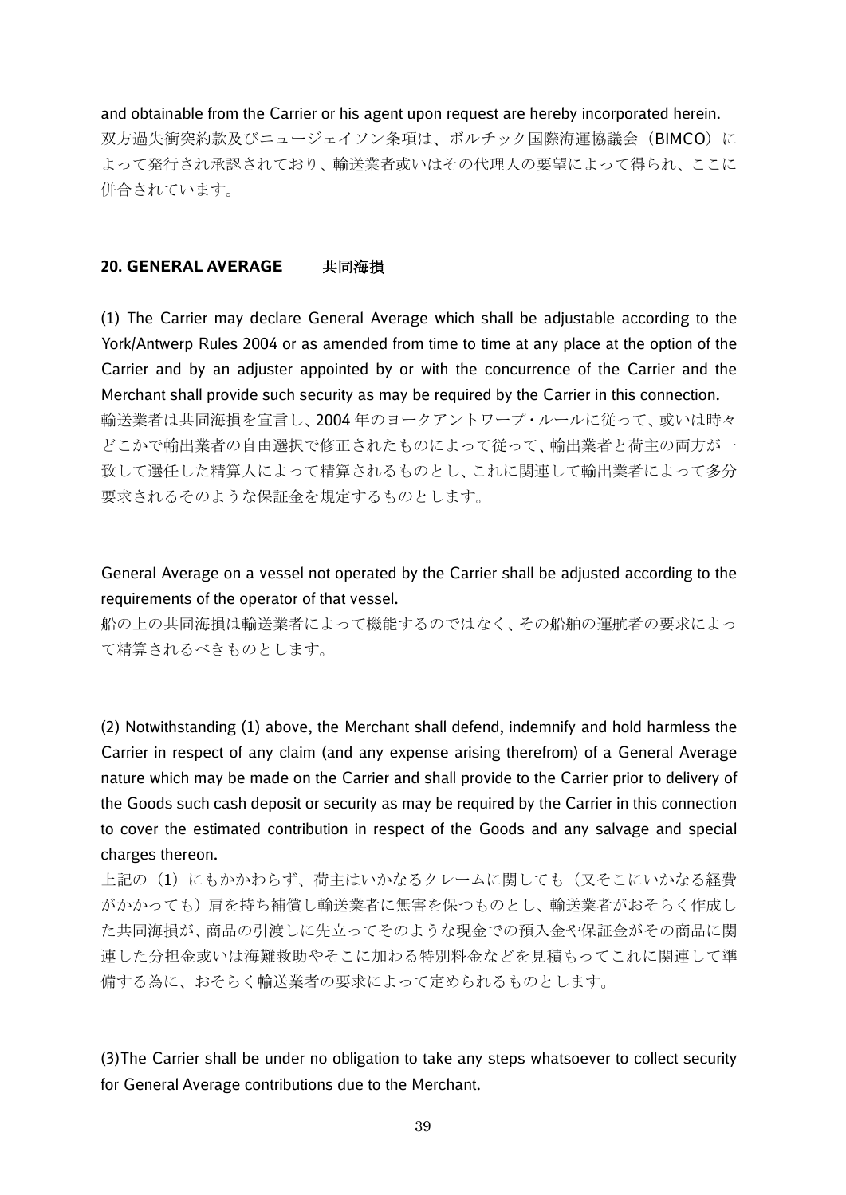and obtainable from the Carrier or his agent upon request are hereby incorporated herein. 双方過失衝突約款及びニュージェイソン条項は、ボルチック国際海運協議会(BIMCO)に よって発行され承認されており、輸送業者或いはその代理人の要望によって得られ、ここに 併合されています。

#### **20. GENERAL AVERAGE** 共同海損

(1) The Carrier may declare General Average which shall be adjustable according to the York/Antwerp Rules 2004 or as amended from time to time at any place at the option of the Carrier and by an adjuster appointed by or with the concurrence of the Carrier and the Merchant shall provide such security as may be required by the Carrier in this connection. 輸送業者は共同海損を宣言し、2004 年のヨークアントワープ・ルールに従って、或いは時々 どこかで輸出業者の自由選択で修正されたものによって従って、輸出業者と荷主の両方が一 致して選任した精算人によって精算されるものとし、これに関連して輸出業者によって多分 要求されるそのような保証金を規定するものとします。

General Average on a vessel not operated by the Carrier shall be adjusted according to the requirements of the operator of that vessel.

船の上の共同海損は輸送業者によって機能するのではなく、その船舶の運航者の要求によっ て精算されるべきものとします。

(2) Notwithstanding (1) above, the Merchant shall defend, indemnify and hold harmless the Carrier in respect of any claim (and any expense arising therefrom) of a General Average nature which may be made on the Carrier and shall provide to the Carrier prior to delivery of the Goods such cash deposit or security as may be required by the Carrier in this connection to cover the estimated contribution in respect of the Goods and any salvage and special charges thereon.

上記の(1)にもかかわらず、荷主はいかなるクレームに関しても(又そこにいかなる経費 がかかっても)肩を持ち補償し輸送業者に無害を保つものとし、輸送業者がおそらく作成し た共同海損が、商品の引渡しに先立ってそのような現金での預入金や保証金がその商品に関 連した分担金或いは海難救助やそこに加わる特別料金などを見積もってこれに関連して準 備する為に、おそらく輸送業者の要求によって定められるものとします。

(3)The Carrier shall be under no obligation to take any steps whatsoever to collect security for General Average contributions due to the Merchant.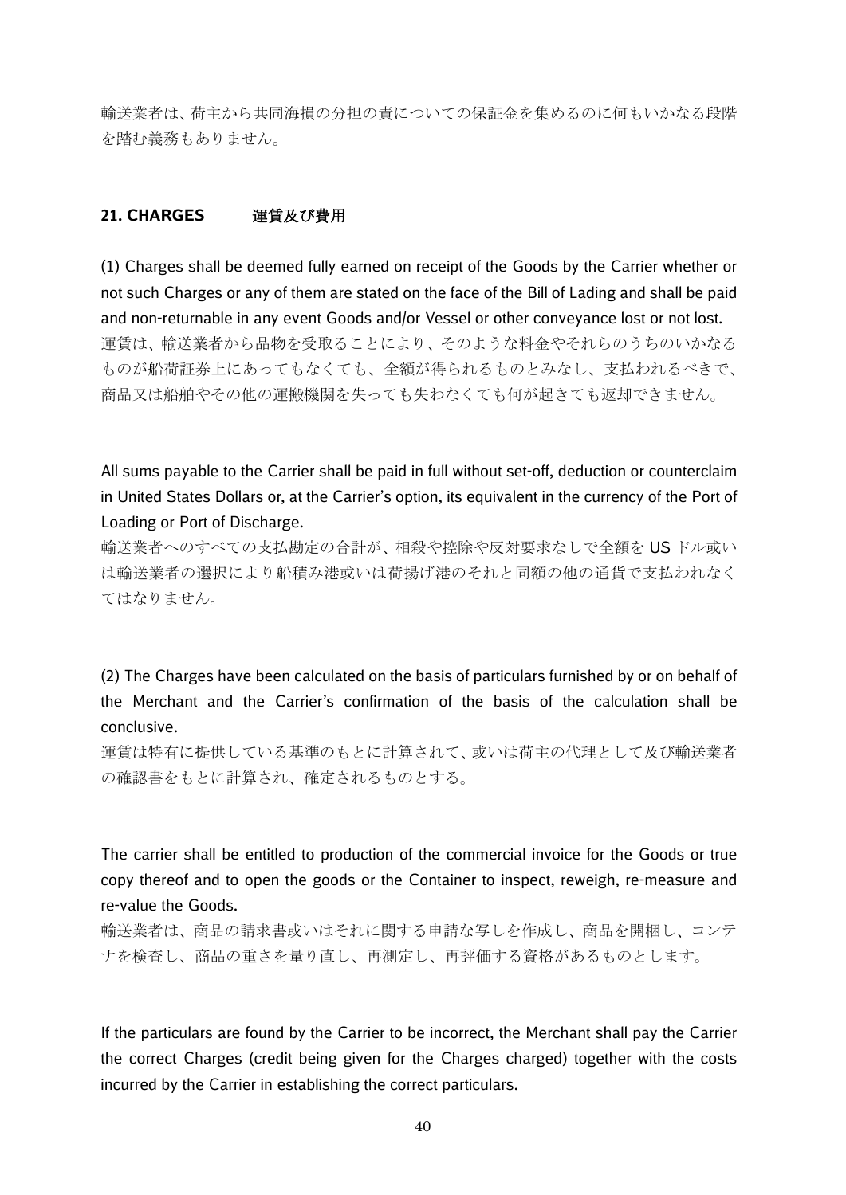輸送業者は、荷主から共同海損の分担の責についての保証金を集めるのに何もいかなる段階 を踏む義務もありません。

## **21. CHARGES** 運賃及び費用

(1) Charges shall be deemed fully earned on receipt of the Goods by the Carrier whether or not such Charges or any of them are stated on the face of the Bill of Lading and shall be paid and non-returnable in any event Goods and/or Vessel or other conveyance lost or not lost. 運賃は、輸送業者から品物を受取ることにより、そのような料金やそれらのうちのいかなる ものが船荷証券上にあってもなくても、全額が得られるものとみなし、支払われるべきで、 商品又は船舶やその他の運搬機関を失っても失わなくても何が起きても返却できません。

All sums payable to the Carrier shall be paid in full without set-off, deduction or counterclaim in United States Dollars or, at the Carrier's option, its equivalent in the currency of the Port of Loading or Port of Discharge.

輸送業者へのすべての支払勘定の合計が、相殺や控除や反対要求なしで全額を US ドル或い は輸送業者の選択により船積み港或いは荷揚げ港のそれと同額の他の通貨で支払われなく てはなりません。

(2) The Charges have been calculated on the basis of particulars furnished by or on behalf of the Merchant and the Carrier's confirmation of the basis of the calculation shall be conclusive.

運賃は特有に提供している基準のもとに計算されて、或いは荷主の代理として及び輸送業者 の確認書をもとに計算され、確定されるものとする。

The carrier shall be entitled to production of the commercial invoice for the Goods or true copy thereof and to open the goods or the Container to inspect, reweigh, re-measure and re-value the Goods.

輸送業者は、商品の請求書或いはそれに関する申請な写しを作成し、商品を開梱し、コンテ ナを検査し、商品の重さを量り直し、再測定し、再評価する資格があるものとします。

If the particulars are found by the Carrier to be incorrect, the Merchant shall pay the Carrier the correct Charges (credit being given for the Charges charged) together with the costs incurred by the Carrier in establishing the correct particulars.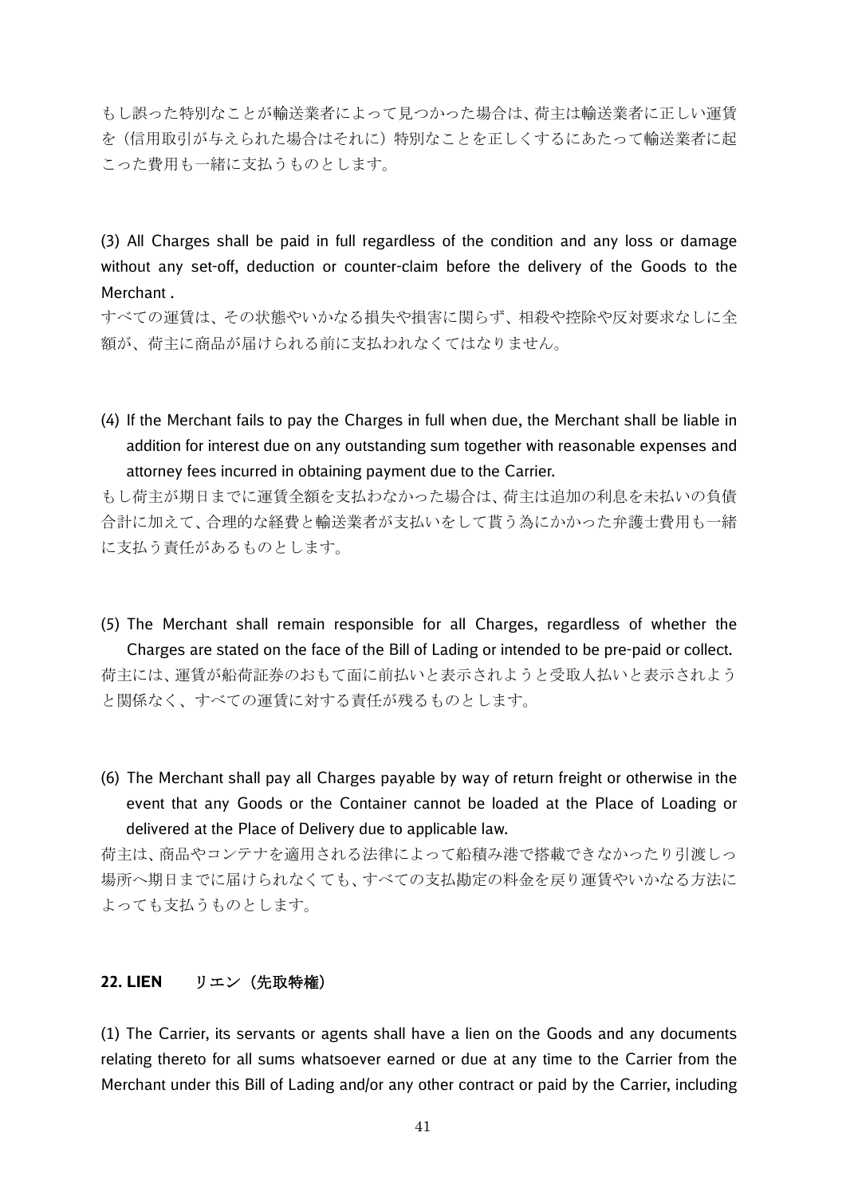もし誤った特別なことが輸送業者によって見つかった場合は、荷主は輸送業者に正しい運賃 を(信用取引が与えられた場合はそれに)特別なことを正しくするにあたって輸送業者に起 こった費用も一緒に支払うものとします。

(3) All Charges shall be paid in full regardless of the condition and any loss or damage without any set-off, deduction or counter-claim before the delivery of the Goods to the Merchant .

すべての運賃は、その状態やいかなる損失や損害に関らず、相殺や控除や反対要求なしに全 額が、荷主に商品が届けられる前に支払われなくてはなりません。

(4) If the Merchant fails to pay the Charges in full when due, the Merchant shall be liable in addition for interest due on any outstanding sum together with reasonable expenses and attorney fees incurred in obtaining payment due to the Carrier.

もし荷主が期日までに運賃全額を支払わなかった場合は、荷主は追加の利息を未払いの負債 合計に加えて、合理的な経費と輸送業者が支払いをして貰う為にかかった弁護士費用も一緒 に支払う責任があるものとします。

- (5) The Merchant shall remain responsible for all Charges, regardless of whether the Charges are stated on the face of the Bill of Lading or intended to be pre-paid or collect. 荷主には、運賃が船荷証券のおもて面に前払いと表示されようと受取人払いと表示されよう と関係なく、すべての運賃に対する責任が残るものとします。
- (6) The Merchant shall pay all Charges payable by way of return freight or otherwise in the event that any Goods or the Container cannot be loaded at the Place of Loading or delivered at the Place of Delivery due to applicable law.

荷主は、商品やコンテナを適用される法律によって船積み港で搭載できなかったり引渡しっ 場所へ期日までに届けられなくても、すべての支払勘定の料金を戻り運賃やいかなる方法に よっても支払うものとします。

## **22. LIEN** リエン(先取特権)

(1) The Carrier, its servants or agents shall have a lien on the Goods and any documents relating thereto for all sums whatsoever earned or due at any time to the Carrier from the Merchant under this Bill of Lading and/or any other contract or paid by the Carrier, including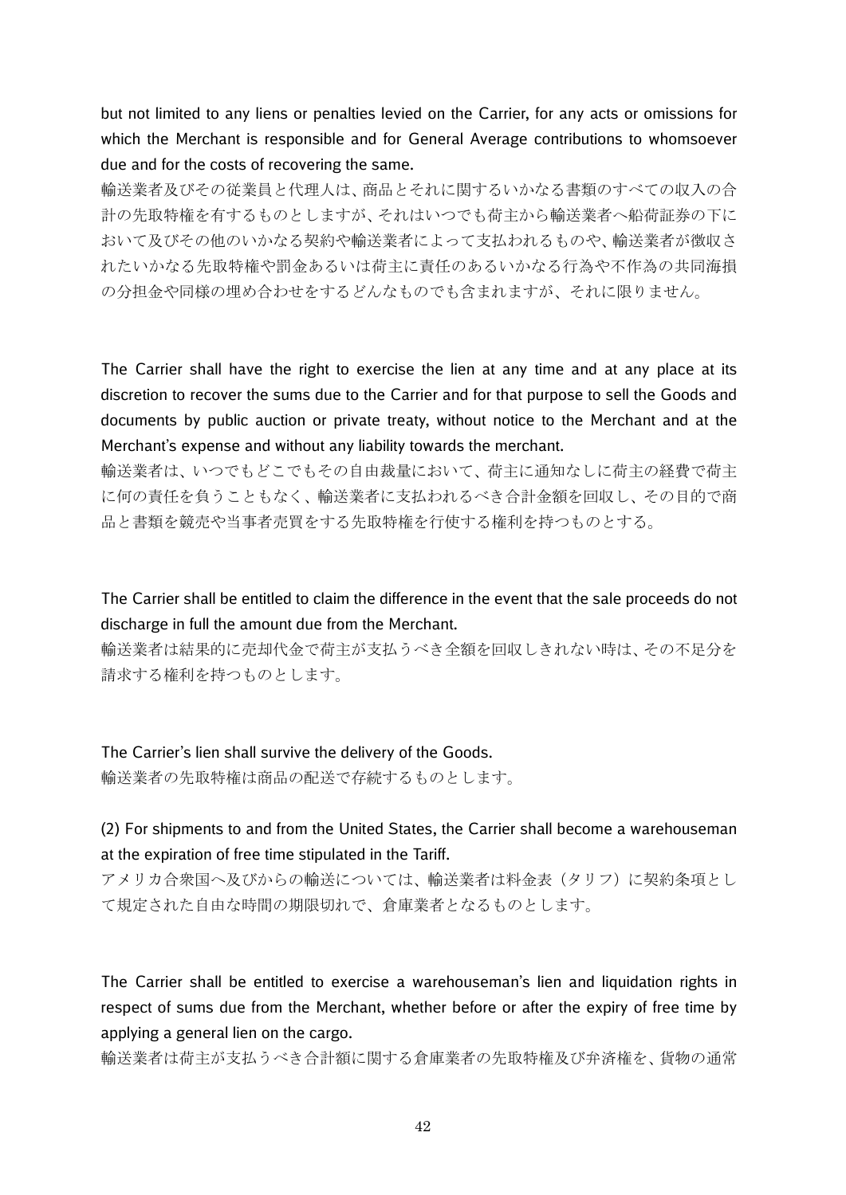but not limited to any liens or penalties levied on the Carrier, for any acts or omissions for which the Merchant is responsible and for General Average contributions to whomsoever due and for the costs of recovering the same.

輸送業者及びその従業員と代理人は、商品とそれに関するいかなる書類のすべての収入の合 計の先取特権を有するものとしますが、それはいつでも荷主から輸送業者へ船荷証券の下に おいて及びその他のいかなる契約や輸送業者によって支払われるものや、輸送業者が徴収さ れたいかなる先取特権や罰金あるいは荷主に責任のあるいかなる行為や不作為の共同海損 の分担金や同様の埋め合わせをするどんなものでも含まれますが、それに限りません。

The Carrier shall have the right to exercise the lien at any time and at any place at its discretion to recover the sums due to the Carrier and for that purpose to sell the Goods and documents by public auction or private treaty, without notice to the Merchant and at the Merchant's expense and without any liability towards the merchant.

輸送業者は、いつでもどこでもその自由裁量において、荷主に通知なしに荷主の経費で荷主 に何の責任を負うこともなく、輸送業者に支払われるべき合計金額を回収し、その目的で商 品と書類を競売や当事者売買をする先取特権を行使する権利を持つものとする。

The Carrier shall be entitled to claim the difference in the event that the sale proceeds do not discharge in full the amount due from the Merchant.

輸送業者は結果的に売却代金で荷主が支払うべき全額を回収しきれない時は、その不足分を 請求する権利を持つものとします。

The Carrier's lien shall survive the delivery of the Goods. 輸送業者の先取特権は商品の配送で存続するものとします。

(2) For shipments to and from the United States, the Carrier shall become a warehouseman at the expiration of free time stipulated in the Tariff.

アメリカ合衆国へ及びからの輸送については、輸送業者は料金表(タリフ)に契約条項とし て規定された自由な時間の期限切れで、倉庫業者となるものとします。

The Carrier shall be entitled to exercise a warehouseman's lien and liquidation rights in respect of sums due from the Merchant, whether before or after the expiry of free time by applying a general lien on the cargo.

輸送業者は荷主が支払うべき合計額に関する倉庫業者の先取特権及び弁済権を、貨物の通常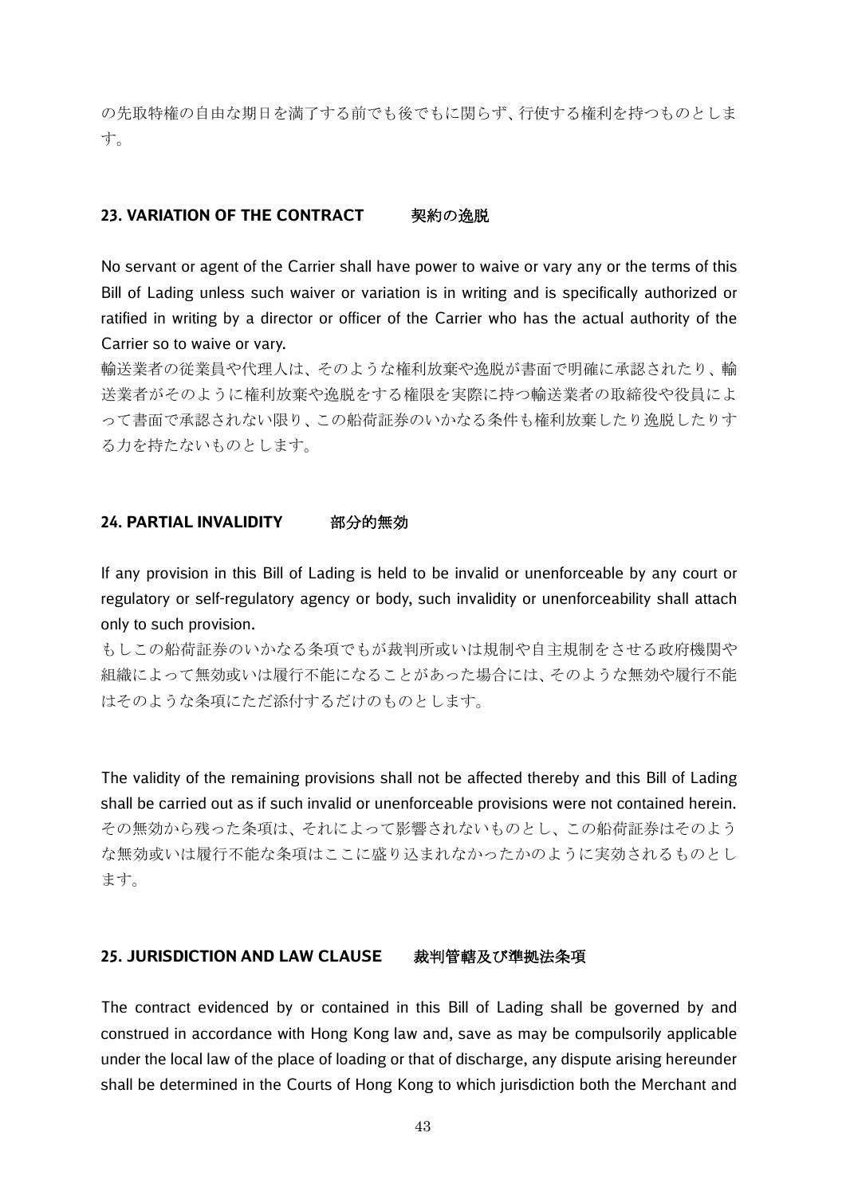の先取特権の自由な期日を満了する前でも後でもに関らず、行使する権利を持つものとしま す。

## **23. VARIATION OF THE CONTRACT 製約の逸脱**

No servant or agent of the Carrier shall have power to waive or vary any or the terms of this Bill of Lading unless such waiver or variation is in writing and is specifically authorized or ratified in writing by a director or officer of the Carrier who has the actual authority of the Carrier so to waive or vary.

輸送業者の従業員や代理人は、そのような権利放棄や逸脱が書面で明確に承認されたり、輸 送業者がそのように権利放棄や逸脱をする権限を実際に持つ輸送業者の取締役や役員によ って書面で承認されない限り、この船荷証券のいかなる条件も権利放棄したり逸脱したりす る力を持たないものとします。

#### **24. PARTIAL INVALIDITY** 部分的無効

If any provision in this Bill of Lading is held to be invalid or unenforceable by any court or regulatory or self-regulatory agency or body, such invalidity or unenforceability shall attach only to such provision.

もしこの船荷証券のいかなる条項でもが裁判所或いは規制や自主規制をさせる政府機関や 組織によって無効或いは履行不能になることがあった場合には、そのような無効や履行不能 はそのような条項にただ添付するだけのものとします。

The validity of the remaining provisions shall not be affected thereby and this Bill of Lading shall be carried out as if such invalid or unenforceable provisions were not contained herein. その無効から残った条項は、それによって影響されないものとし、この船荷証券はそのよう な無効或いは履行不能な条項はここに盛り込まれなかったかのように実効されるものとし ます。

## **25. JURISDICTION AND LAW CLAUSE** 裁判管轄及び準拠法条項

The contract evidenced by or contained in this Bill of Lading shall be governed by and construed in accordance with Hong Kong law and, save as may be compulsorily applicable under the local law of the place of loading or that of discharge, any dispute arising hereunder shall be determined in the Courts of Hong Kong to which jurisdiction both the Merchant and